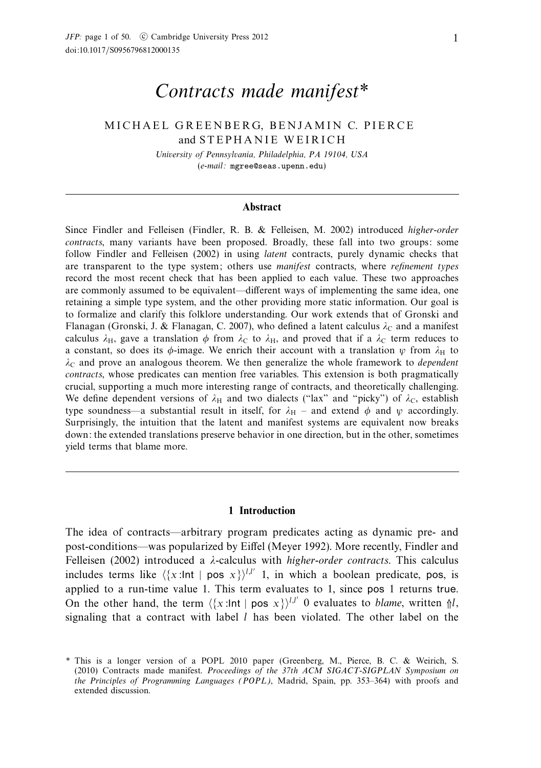# Contracts made manifest\*

# MICHAEL GREENBERG, BENJAMIN C. PIERCE and STEPHANIE WEIRICH

University of Pennsylvania, Philadelphia, PA 19104, USA (e-mail:)mgree@seas.upenn.edu)

#### **Abstract**

Since Findler and Felleisen (Findler, R. B. & Felleisen, M. 2002) introduced higher-order contracts, many variants have been proposed. Broadly, these fall into two groups: some follow Findler and Felleisen (2002) in using latent contracts, purely dynamic checks that are transparent to the type system; others use manifest contracts, where refinement types record the most recent check that has been applied to each value. These two approaches are commonly assumed to be equivalent—different ways of implementing the same idea, one retaining a simple type system, and the other providing more static information. Our goal is to formalize and clarify this folklore understanding. Our work extends that of Gronski and Flanagan (Gronski, J. & Flanagan, C. 2007), who defined a latent calculus λ<sub>C</sub> and a manifest calculus  $\lambda_H$ , gave a translation  $\phi$  from  $\lambda_C$  to  $\lambda_H$ , and proved that if a  $\lambda_C$  term reduces to a constant, so does its  $\phi$ -image. We enrich their account with a translation  $\psi$  from  $\lambda_H$  to  $\lambda_c$  and prove an analogous theorem. We then generalize the whole framework to *dependent* contracts, whose predicates can mention free variables. This extension is both pragmatically crucial, supporting a much more interesting range of contracts, and theoretically challenging. We define dependent versions of  $\lambda_H$  and two dialects ("lax" and "picky") of  $\lambda_C$ , establish type soundness—a substantial result in itself, for  $\lambda_H$  – and extend  $\phi$  and  $\psi$  accordingly. Surprisingly, the intuition that the latent and manifest systems are equivalent now breaks down: the extended translations preserve behavior in one direction, but in the other, sometimes yield terms that blame more.

#### **1 Introduction**

The idea of contracts—arbitrary program predicates acting as dynamic pre- and post-conditions—was popularized by Eiffel (Meyer 1992). More recently, Findler and Felleisen (2002) introduced a *λ*-calculus with higher-order contracts. This calculus includes terms like  $\langle x: \text{Int} | \text{pos } x \rangle$ ,  $\mid h \mid x \rangle$  in which a boolean predicate, pos, is applied to a run-time value 1. This term evaluates to 1, since pos 1 returns true. On the other hand, the term  $\langle x: \text{Int} | \text{pos } x \rangle^{l,l'}$  0 evaluates to *blame*, written  $\mathcal{M}_l$ , signaling that a contract with label  $l$  has been violated. The other label on the

<sup>-</sup> This is a longer version of a POPL 2010 paper (Greenberg, M., Pierce, B. C. & Weirich, S. (2010) Contracts made manifest. Proceedings of the  $37th$  ACM SIGACT-SIGPLAN Symposium on the Principles of Programming Languages (POPL), Madrid, Spain, pp. 353–364) with proofs and extended discussion.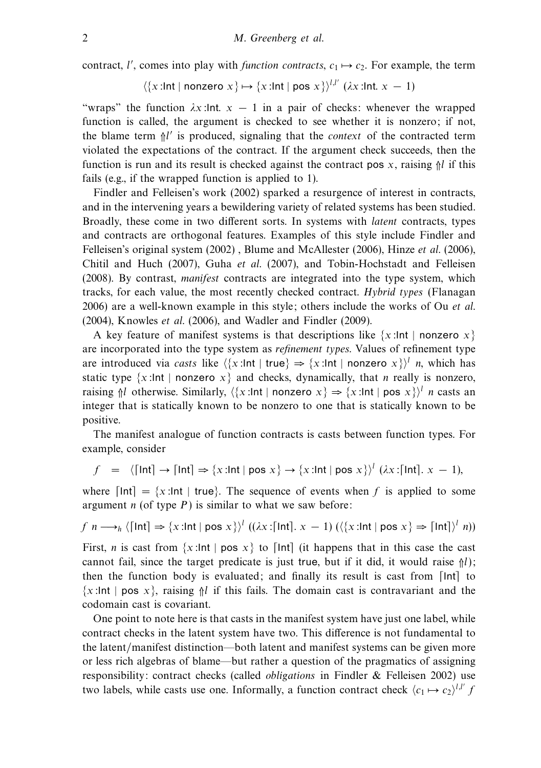contract, l', comes into play with *function contracts*,  $c_1 \mapsto c_2$ . For example, the term

$$
\langle \{x : \text{Int} \mid \text{nonzero } x \} \mapsto \{x : \text{Int} \mid \text{pos } x \} \rangle^{l,l'} \; (\lambda x : \text{Int. } x - 1)
$$

"wraps" the function  $\lambda x$ :Int.  $x - 1$  in a pair of checks: whenever the wrapped function is called, the argument is checked to see whether it is nonzero; if not, the blame term  $\frac{1}{l}$  is produced, signaling that the *context* of the contracted term violated the expectations of the contract. If the argument check succeeds, then the function is run and its result is checked against the contract pos  $x$ , raising  $\frac{1}{n}$  if this fails (e.g., if the wrapped function is applied to 1).

Findler and Felleisen's work (2002) sparked a resurgence of interest in contracts, and in the intervening years a bewildering variety of related systems has been studied. Broadly, these come in two different sorts. In systems with latent contracts, types and contracts are orthogonal features. Examples of this style include Findler and Felleisen's original system (2002), Blume and McAllester (2006), Hinze *et al.* (2006), Chitil and Huch (2007), Guha et al. (2007), and Tobin-Hochstadt and Felleisen (2008). By contrast, manifest contracts are integrated into the type system, which tracks, for each value, the most recently checked contract. Hybrid types (Flanagan 2006) are a well-known example in this style; others include the works of Ou *et al.* (2004), Knowles et al. (2006), and Wadler and Findler (2009).

A key feature of manifest systems is that descriptions like  $\{x:\mathsf{Int}\mid \mathsf{nonzero}\ x\}$ are incorporated into the type system as refinement types. Values of refinement type are introduced via casts like  $\langle x: \text{Int} | \text{true} \rangle \Rightarrow \{x: \text{Int} | \text{nonzero } x\} \rangle^l$  *n*, which has static type  $\{x:\mathsf{Int} \mid \mathsf{nonzero} \ x\}$  and checks, dynamically, that *n* really is nonzero, raising  $\mathcal{N}$  otherwise. Similarly,  $\langle \{x: \text{Int} \mid \text{nonzero } x \} \rangle = \{x: \text{Int} \mid \text{pos } x \}$  *n* casts an integer that is statically known to be nonzero to one that is statically known to be positive.

The manifest analogue of function contracts is casts between function types. For example, consider

$$
f = \langle \lceil \ln t \rceil \to \lceil \ln t \rceil \Rightarrow \{x : \ln t \mid \text{pos } x\} \to \{x : \ln t \mid \text{pos } x\} \rangle^l \ (\lambda x : \lceil \ln t \rceil, x - 1),
$$

where  $\lceil \ln t \rceil = \{x : \ln t \mid \text{true}\}.$  The sequence of events when f is applied to some argument  $n$  (of type  $P$ ) is similar to what we saw before:

$$
f\ n \longrightarrow_h \langle \lceil \ln t \rceil \Rightarrow \{x : \ln t \mid \text{pos } x\} \rangle^l \ ((\lambda x : \lceil \ln t \rceil, x - 1) \ ((\{x : \ln t \mid \text{pos } x\} \Rightarrow \lceil \ln t \rceil)^l \ n))
$$

First, *n* is cast from  $\{x : \text{Int} \mid \text{pos } x\}$  to  $\lceil \text{Int} \rceil$  (it happens that in this case the cast cannot fail, since the target predicate is just true, but if it did, it would raise  $\frac{\hbar}{\hbar}}$ ; then the function body is evaluated; and finally its result is cast from  $[Int]$  to  $\{x:\mathsf{Int} \mid \mathsf{pos}\ x\}$ , raising  $\mathsf{M}$  if this fails. The domain cast is contravariant and the codomain cast is covariant.

One point to note here is that casts in the manifest system have just one label, while contract checks in the latent system have two. This difference is not fundamental to the latent/manifest distinction—both latent and manifest systems can be given more or less rich algebras of blame—but rather a question of the pragmatics of assigning responsibility: contract checks (called obligations in Findler & Felleisen 2002) use two labels, while casts use one. Informally, a function contract check  $\langle c_1 \mapsto c_2 \rangle^{l,l'}$  f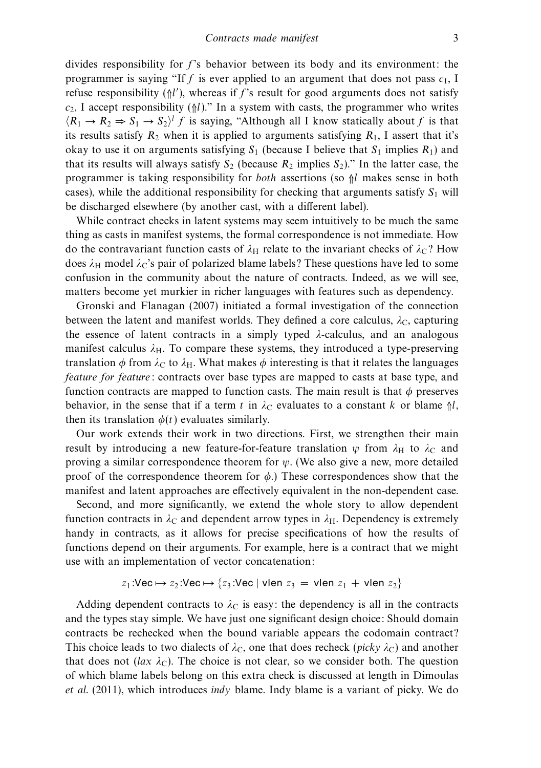divides responsibility for  $f$ 's behavior between its body and its environment: the programmer is saying "If f is ever applied to an argument that does not pass  $c_1$ , I refuse responsibility  $(\frac{1}{1})$ , whereas if f's result for good arguments does not satisfy  $c_2$ , I accept responsibility ( $\Uparrow l$ )." In a system with casts, the programmer who writes  $\langle R_1 \rightarrow R_2 \Rightarrow S_1 \rightarrow S_2 \rangle^l f$  is saying, "Although all I know statically about f is that its results satisfy  $R_2$  when it is applied to arguments satisfying  $R_1$ , I assert that it's okay to use it on arguments satisfying  $S_1$  (because I believe that  $S_1$  implies  $R_1$ ) and that its results will always satisfy  $S_2$  (because  $R_2$  implies  $S_2$ )." In the latter case, the programmer is taking responsibility for *both* assertions (so  $\frac{1}{n}$  makes sense in both cases), while the additional responsibility for checking that arguments satisfy  $S_1$  will be discharged elsewhere (by another cast, with a different label).

While contract checks in latent systems may seem intuitively to be much the same thing as casts in manifest systems, the formal correspondence is not immediate. How do the contravariant function casts of  $\lambda_H$  relate to the invariant checks of  $\lambda_C$ ? How does  $\lambda_H$  model  $\lambda_C$ 's pair of polarized blame labels? These questions have led to some confusion in the community about the nature of contracts. Indeed, as we will see, matters become yet murkier in richer languages with features such as dependency.

Gronski and Flanagan (2007) initiated a formal investigation of the connection between the latent and manifest worlds. They defined a core calculus,  $\lambda_c$ , capturing the essence of latent contracts in a simply typed *λ*-calculus, and an analogous manifest calculus  $\lambda_{\rm H}$ . To compare these systems, they introduced a type-preserving translation  $\phi$  from  $\lambda_C$  to  $\lambda_H$ . What makes  $\phi$  interesting is that it relates the languages feature for feature: contracts over base types are mapped to casts at base type, and function contracts are mapped to function casts. The main result is that  $\phi$  preserves behavior, in the sense that if a term t in  $\lambda_c$  evaluates to a constant k or blame  $\Uparrow l$ , then its translation  $\phi(t)$  evaluates similarly.

Our work extends their work in two directions. First, we strengthen their main result by introducing a new feature-for-feature translation  $\psi$  from  $\lambda_H$  to  $\lambda_C$  and proving a similar correspondence theorem for *ψ*. (We also give a new, more detailed proof of the correspondence theorem for  $\phi$ .) These correspondences show that the manifest and latent approaches are effectively equivalent in the non-dependent case.

Second, and more significantly, we extend the whole story to allow dependent function contracts in  $\lambda_C$  and dependent arrow types in  $\lambda_H$ . Dependency is extremely handy in contracts, as it allows for precise specifications of how the results of functions depend on their arguments. For example, here is a contract that we might use with an implementation of vector concatenation:

$$
z_1:\text{Vec}\mapsto z_2:\text{Vec}\mapsto \{z_3:\text{Vec}\mid \text{vlen } z_3\,=\,\text{vlen } z_1\,+\,\text{vlen } z_2\}
$$

Adding dependent contracts to  $\lambda_C$  is easy: the dependency is all in the contracts and the types stay simple. We have just one significant design choice: Should domain contracts be rechecked when the bound variable appears the codomain contract? This choice leads to two dialects of  $\lambda_C$ , one that does recheck (*picky*  $\lambda_C$ ) and another that does not ( $lax \lambda_c$ ). The choice is not clear, so we consider both. The question of which blame labels belong on this extra check is discussed at length in Dimoulas et al. (2011), which introduces indy blame. Indy blame is a variant of picky. We do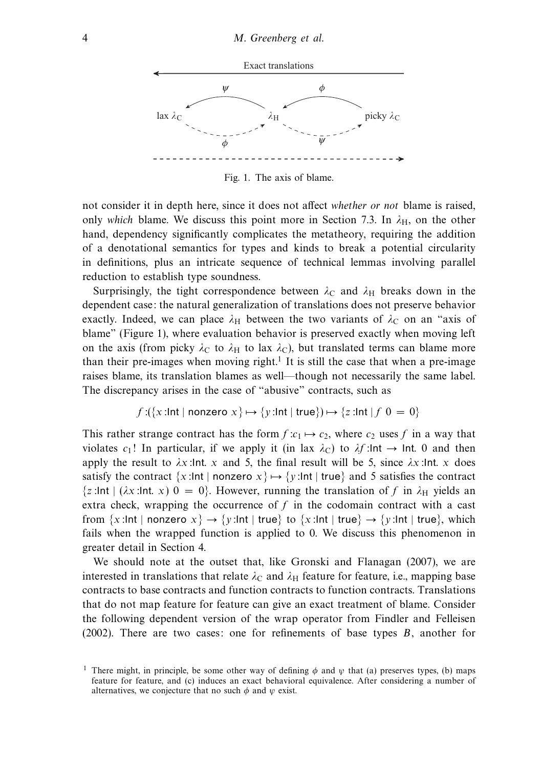

Fig. 1. The axis of blame.

not consider it in depth here, since it does not affect whether or not blame is raised, only which blame. We discuss this point more in Section 7.3. In  $\lambda_H$ , on the other hand, dependency significantly complicates the metatheory, requiring the addition of a denotational semantics for types and kinds to break a potential circularity in definitions, plus an intricate sequence of technical lemmas involving parallel reduction to establish type soundness.

Surprisingly, the tight correspondence between  $\lambda_C$  and  $\lambda_H$  breaks down in the dependent case: the natural generalization of translations does not preserve behavior exactly. Indeed, we can place  $\lambda_H$  between the two variants of  $\lambda_C$  on an "axis of blame" (Figure 1), where evaluation behavior is preserved exactly when moving left on the axis (from picky  $\lambda_C$  to  $\lambda_H$  to lax  $\lambda_C$ ), but translated terms can blame more than their pre-images when moving right.<sup>1</sup> It is still the case that when a pre-image raises blame, its translation blames as well—though not necessarily the same label. The discrepancy arises in the case of "abusive" contracts, such as

$$
f:(\{x:\mathsf{Int}\mid\mathsf{nonzero}\;x\}\mapsto\{y:\mathsf{Int}\mid\mathsf{true}\})\mapsto\{z:\mathsf{Int}\mid f\;0=0\}
$$

This rather strange contract has the form  $f: c_1 \mapsto c_2$ , where  $c_2$  uses f in a way that violates c<sub>1</sub>! In particular, if we apply it (in lax  $\lambda_C$ ) to  $\lambda f$ :Int  $\rightarrow$  Int. 0 and then apply the result to  $\lambda x$ :Int*.* x and 5, the final result will be 5, since  $\lambda x$ :Int*.* x does satisfy the contract  $\{x:\text{Int} \mid \text{nonzero } x\} \mapsto \{y:\text{Int} \mid \text{true}\}\$  and 5 satisfies the contract  $\{z:\text{Int }|\ (\lambda x:\text{Int } x) = 0\}$ . However, running the translation of f in  $\lambda_H$  yields an extra check, wrapping the occurrence of  $f$  in the codomain contract with a cast from  $\{x:\text{Int }| \text{ nonzero } x\} \to \{y:\text{Int }| \text{ true}\}\$  to  $\{x:\text{Int }| \text{ true}\} \to \{y:\text{Int }| \text{ true}\}\$ , which fails when the wrapped function is applied to 0. We discuss this phenomenon in greater detail in Section 4.

We should note at the outset that, like Gronski and Flanagan (2007), we are interested in translations that relate  $\lambda_C$  and  $\lambda_H$  feature for feature, i.e., mapping base contracts to base contracts and function contracts to function contracts. Translations that do not map feature for feature can give an exact treatment of blame. Consider the following dependent version of the wrap operator from Findler and Felleisen  $(2002)$ . There are two cases: one for refinements of base types  $B$ , another for

<sup>&</sup>lt;sup>1</sup> There might, in principle, be some other way of defining  $\phi$  and  $\psi$  that (a) preserves types, (b) maps feature for feature, and (c) induces an exact behavioral equivalence. After considering a number of alternatives, we conjecture that no such *φ* and *ψ* exist.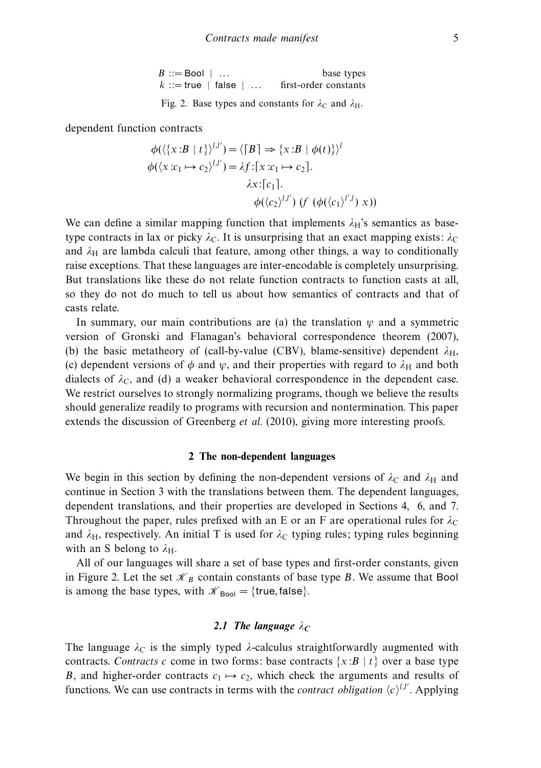| $B ::=$ Bool $  \dots$        |  | base types            |
|-------------------------------|--|-----------------------|
| $k ::= true \mid false \mid $ |  | first-order constants |

Fig. 2. Base types and constants for  $\lambda_C$  and  $\lambda_H$ .

dependent function contracts

$$
\phi(\langle \{x : B | t\} \rangle^{l,l'}) = \langle [B] \Rightarrow \{x : B | \phi(t)\} \rangle^l
$$
  

$$
\phi(\langle x : c_1 \mapsto c_2 \rangle^{l,l'}) = \lambda f : [x : c_1 \mapsto c_2].
$$
  

$$
\lambda x : [c_1].
$$
  

$$
\phi(\langle c_2 \rangle^{l,l'}) \ (f \ (\phi(\langle c_1 \rangle^{l',l}) \ x))
$$

We can define a similar mapping function that implements  $\lambda_H$ 's semantics as basetype contracts in lax or picky  $\lambda_C$ . It is unsurprising that an exact mapping exists:  $\lambda_C$ and  $\lambda_H$  are lambda calculi that feature, among other things, a way to conditionally raise exceptions. That these languages are inter-encodable is completely unsurprising. But translations like these do not relate function contracts to function casts at all, so they do not do much to tell us about how semantics of contracts and that of casts relate.

In summary, our main contributions are (a) the translation  $\psi$  and a symmetric version of Gronski and Flanagan's behavioral correspondence theorem (2007), (b) the basic metatheory of (call-by-value (CBV), blame-sensitive) dependent  $\lambda_H$ , (c) dependent versions of  $\phi$  and  $\psi$ , and their properties with regard to  $\lambda_H$  and both dialects of  $\lambda_c$ , and (d) a weaker behavioral correspondence in the dependent case. We restrict ourselves to strongly normalizing programs, though we believe the results should generalize readily to programs with recursion and nontermination. This paper extends the discussion of Greenberg et al. (2010), giving more interesting proofs.

#### **2 The non-dependent languages**

We begin in this section by defining the non-dependent versions of  $\lambda_C$  and  $\lambda_H$  and continue in Section 3 with the translations between them. The dependent languages, dependent translations, and their properties are developed in Sections 4, 6, and 7. Throughout the paper, rules prefixed with an E or an F are operational rules for  $\lambda_c$ and  $\lambda_H$ , respectively. An initial T is used for  $\lambda_C$  typing rules; typing rules beginning with an S belong to  $\lambda_{\text{H}}$ .

All of our languages will share a set of base types and first-order constants, given in Figure 2. Let the set  $\mathcal{K}_B$  contain constants of base type B. We assume that Bool is among the base types, with  $\mathcal{K}_{\text{Bool}} = \{ \text{true}, \text{false} \}.$ 

# 2.1 The language  $\lambda_C$

The language  $\lambda_c$  is the simply typed  $\lambda$ -calculus straightforwardly augmented with contracts. Contracts c come in two forms: base contracts  $\{x:B | t\}$  over a base type B, and higher-order contracts  $c_1 \mapsto c_2$ , which check the arguments and results of functions. We can use contracts in terms with the *contract obligation*  $\langle c \rangle^{l,l'}$ . Applying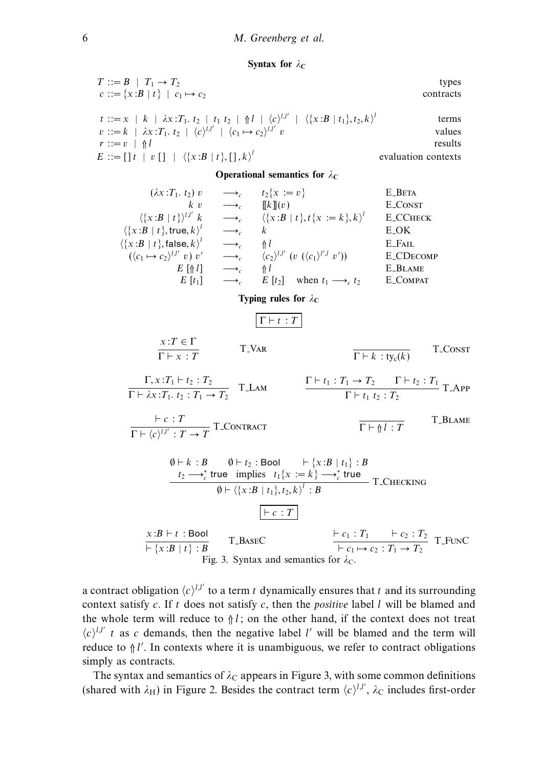**Syntax for**  $\lambda_c$ 

| $T ::= B \mid T_1 \rightarrow T_2$                                                                                                                      | types               |
|---------------------------------------------------------------------------------------------------------------------------------------------------------|---------------------|
| $c ::= \{x : B   t\}   c_1 \mapsto c_2$                                                                                                                 | contracts           |
| $t ::= x \mid k \mid \lambda x : T_1, t_2 \mid t_1 t_2 \mid \Uparrow l \mid \langle c \rangle^{l,l'} \mid \langle \{x : B \mid t_1\}, t_2, k \rangle^l$ | terms               |
| $v ::= k \mid \lambda x : T_1, t_2 \mid \langle c \rangle^{l,l'} \mid \langle c_1 \mapsto c_2 \rangle^{l,l'} v$                                         | values              |
| $r ::= v \;   \; \Uparrow l$                                                                                                                            | results             |
| $E := [\;] t \;   \; v \; [ \;] \;   \; \langle \{x : B \;   \; t\}, [ \;] \; , k \rangle^t$                                                            | evaluation contexts |

**Operational semantics for**  $\lambda_c$ 

$$
(2x : T_1. t_2) v \longrightarrow_c t_2\{x := v\} \qquad \text{E-BETA}
$$
\n
$$
\langle x : B | t \rangle\}^{lJ'} k \longrightarrow_c \langle \{x : B | t \}, t \{x := k \}, k \rangle^l \qquad \text{E-CORST}
$$
\n
$$
\langle \{x : B | t \}, \text{true}, k \rangle^l \longrightarrow_c k \qquad \text{E-OK}
$$
\n
$$
\langle \{x : B | t \}, \text{false}, k \rangle^l \longrightarrow_c \{h\} \qquad \text{E-EAIL}
$$
\n
$$
\langle (c_1 \mapsto c_2)^{lJ'} v) v' \longrightarrow_c \langle c_2 \rangle^{lJ'} (v \langle (c_1)^{l'J} v') ) \qquad \text{E-CDECOMP}
$$
\n
$$
E [t_1] \longrightarrow_c E [t_2] \qquad \text{when } t_1 \longrightarrow_c t_2 \qquad \text{E-COMPAT}
$$
\n
$$
\text{Typing rules for } \lambda_C
$$
\n
$$
\frac{x : T \in \Gamma}{\Gamma \vdash x : T} \qquad \text{T-VAR} \qquad \frac{\Gamma \vdash t_1 : T_1 \rightarrow T_2 \quad \Gamma \vdash t_2 : T_1 \rightarrow \Gamma \vdash T_1 \rightarrow \Gamma \vdash t_2 : T_1 \rightarrow \Gamma \vdash T_1 \rightarrow \Gamma \vdash t_1 : T_1 \rightarrow T_2 \qquad \Gamma \vdash t_1 : T_1 \rightarrow T_2 \qquad \Gamma \vdash t_1 : T_1 \rightarrow T_2 \qquad \Gamma \vdash t_1 : T_1 \rightarrow T_2 \qquad \Gamma \vdash t_1 : T_1 \rightarrow T_2 \qquad \Gamma \vdash t_1 : T_1 \rightarrow T_2 \qquad \Gamma \vdash t_1 : T_1 \rightarrow T_2 \qquad \Gamma \vdash t_1 : T_1 \rightarrow T_2 \qquad \Gamma \vdash t_1 : T_1 \rightarrow T_2 \qquad \Gamma \vdash t_1 : T_1 \rightarrow T_2 \qquad \Gamma \vdash t_1 : T_1 \rightarrow T_2 \qquad \Gamma \vdash t_1 : T_1 \rightarrow T_2 \qquad \Gamma \vdash t_1 : T_1 \rightarrow T_2 \qquad \Gamma \vdash t_1 : T_1 \rightarrow T_2 \qquad \Gamma \vdash t_1 : T_1 \rightarrow T_2 \qquad \Gamma \vdash t_1 : T_1 \rightarrow T_2 \qquad \
$$

a contract obligation  $\langle c \rangle^{l,l'}$  to a term t dynamically ensures that t and its surrounding context satisfy  $c$ . If  $t$  does not satisfy  $c$ , then the *positive* label  $l$  will be blamed and the whole term will reduce to  $\frac{1}{1}$ ; on the other hand, if the context does not treat  $\langle c \rangle^{l,l'}$  t as c demands, then the negative label l' will be blamed and the term will reduce to  $\frac{1}{n}l'$ . In contexts where it is unambiguous, we refer to contract obligations simply as contracts.

The syntax and semantics of  $\lambda_c$  appears in Figure 3, with some common definitions (shared with  $\lambda_H$ ) in Figure 2. Besides the contract term  $\langle c \rangle^{l,l'}$ ,  $\lambda_C$  includes first-order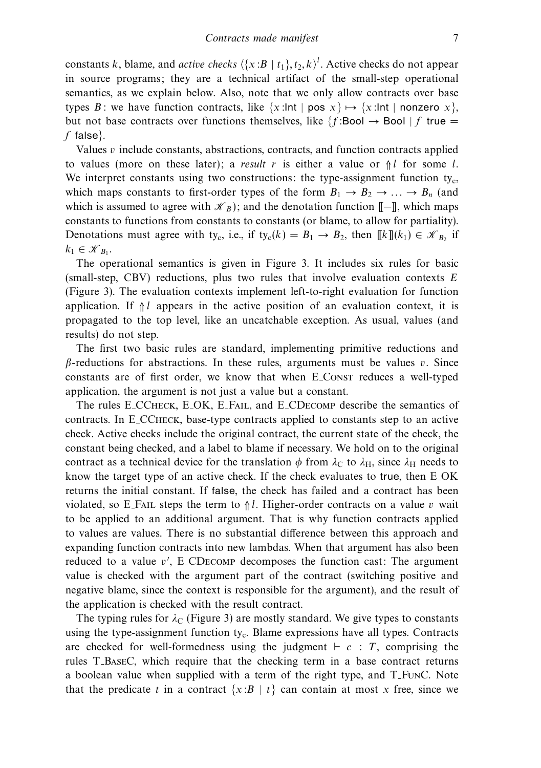constants k, blame, and *active checks*  $\langle \{x : B | t_1\}, t_2, k \rangle^l$ . Active checks do not appear in source programs; they are a technical artifact of the small-step operational semantics, as we explain below. Also, note that we only allow contracts over base types B: we have function contracts, like  $\{x:\text{Int }|$  pos  $x\} \mapsto \{x:\text{Int }|$  nonzero  $x\}$ , but not base contracts over functions themselves, like  $\{f:\text{Bool}\to\text{Bool}\mid f\}$  true  $=$ f false $\}$ .

Values  $v$  include constants, abstractions, contracts, and function contracts applied to values (more on these later); a result r is either a value or  $\frac{1}{n}$  for some l. We interpret constants using two constructions: the type-assignment function ty<sub>c</sub>, which maps constants to first-order types of the form  $B_1 \rightarrow B_2 \rightarrow \dots \rightarrow B_n$  (and which is assumed to agree with  $\mathcal{K}_B$ ); and the denotation function  $[-\mathbb{I}]$ , which maps constants to functions from constants to constants (or blame, to allow for partiality). Denotations must agree with ty<sub>c</sub>, i.e., if ty<sub>c</sub>(k) =  $B_1 \rightarrow B_2$ , then  $[[k]](k_1) \in \mathcal{K}_{B_2}$  if  $k_1 \in \mathcal{K}_{B_1}$ .

The operational semantics is given in Figure 3. It includes six rules for basic (small-step, CBV) reductions, plus two rules that involve evaluation contexts  $E$ (Figure 3). The evaluation contexts implement left-to-right evaluation for function application. If  $\mathcal{N}$  appears in the active position of an evaluation context, it is propagated to the top level, like an uncatchable exception. As usual, values (and results) do not step.

The first two basic rules are standard, implementing primitive reductions and  $\beta$ -reductions for abstractions. In these rules, arguments must be values v. Since constants are of first order, we know that when E Const reduces a well-typed application, the argument is not just a value but a constant.

The rules E CCheck, E OK, E Fail, and E CDecomp describe the semantics of contracts. In E CCheck, base-type contracts applied to constants step to an active check. Active checks include the original contract, the current state of the check, the constant being checked, and a label to blame if necessary. We hold on to the original contract as a technical device for the translation  $\phi$  from  $\lambda_C$  to  $\lambda_H$ , since  $\lambda_H$  needs to know the target type of an active check. If the check evaluates to true, then E OK returns the initial constant. If false, the check has failed and a contract has been violated, so E\_FAIL steps the term to  $\frac{\triangle}{\triangle}l$ . Higher-order contracts on a value v wait to be applied to an additional argument. That is why function contracts applied to values are values. There is no substantial difference between this approach and expanding function contracts into new lambdas. When that argument has also been reduced to a value v', E\_CDECOMP decomposes the function cast: The argument value is checked with the argument part of the contract (switching positive and negative blame, since the context is responsible for the argument), and the result of the application is checked with the result contract.

The typing rules for  $\lambda_c$  (Figure 3) are mostly standard. We give types to constants using the type-assignment function  $t<sub>y</sub>$ . Blame expressions have all types. Contracts are checked for well-formedness using the judgment  $\vdash c : T$ , comprising the rules T BaseC, which require that the checking term in a base contract returns a boolean value when supplied with a term of the right type, and T FunC. Note that the predicate t in a contract  $\{x : B | t\}$  can contain at most x free, since we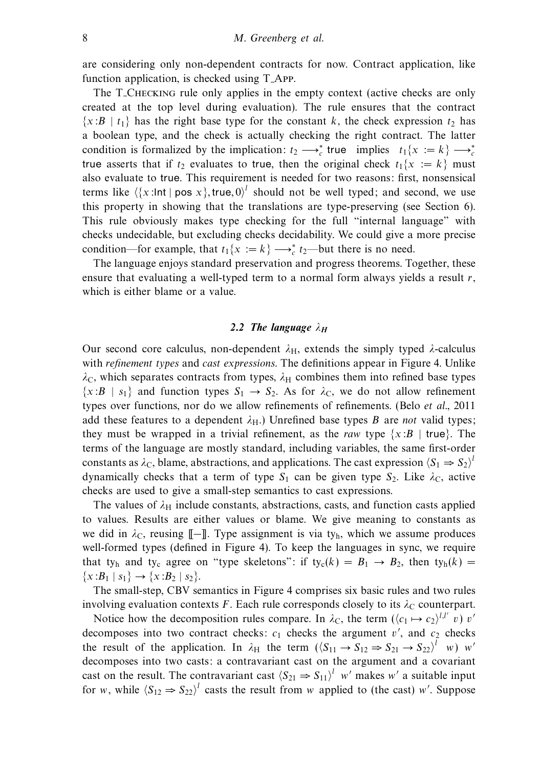are considering only non-dependent contracts for now. Contract application, like function application, is checked using T App.

The T<sub>-Checking</sub> rule only applies in the empty context (active checks are only created at the top level during evaluation). The rule ensures that the contract  $\{x:B \mid t_1\}$  has the right base type for the constant k, the check expression  $t_2$  has a boolean type, and the check is actually checking the right contract. The latter condition is formalized by the implication:  $t_2 \rightarrow_c^*$  true implies  $t_1\{x := k\} \rightarrow_c^*$ true asserts that if  $t_2$  evaluates to true, then the original check  $t_1\{x := k\}$  must also evaluate to true. This requirement is needed for two reasons: first, nonsensical terms like  $\langle \{x : \text{Int} \mid \text{pos } x\}, \text{true}, 0 \rangle^l$  should not be well typed; and second, we use this property in showing that the translations are type-preserving (see Section 6). This rule obviously makes type checking for the full "internal language" with checks undecidable, but excluding checks decidability. We could give a more precise condition—for example, that  $t_1\{x := k\} \longrightarrow_c^* t_2$ —but there is no need.

The language enjoys standard preservation and progress theorems. Together, these ensure that evaluating a well-typed term to a normal form always yields a result  $r$ , which is either blame or a value.

## 2.2 The language  $\lambda_H$

Our second core calculus, non-dependent  $λ$ <sub>H</sub>, extends the simply typed  $λ$ -calculus with refinement types and cast expressions. The definitions appear in Figure 4. Unlike  $\lambda_c$ , which separates contracts from types,  $\lambda_H$  combines them into refined base types  $\{x : B | s_1\}$  and function types  $S_1 \rightarrow S_2$ . As for  $\lambda_C$ , we do not allow refinement types over functions, nor do we allow refinements of refinements. (Belo *et al.*, 2011) add these features to a dependent  $\lambda_{\text{H}}$ .) Unrefined base types B are not valid types; they must be wrapped in a trivial refinement, as the raw type  $\{x : B | true\}$ . The terms of the language are mostly standard, including variables, the same first-order constants as  $\lambda_C$ , blame, abstractions, and applications. The cast expression  $\langle S_1 \Rightarrow S_2 \rangle^{\dagger}$ dynamically checks that a term of type  $S_1$  can be given type  $S_2$ . Like  $\lambda_c$ , active checks are used to give a small-step semantics to cast expressions.

The values of  $\lambda_H$  include constants, abstractions, casts, and function casts applied to values. Results are either values or blame. We give meaning to constants as we did in  $\lambda_c$ , reusing  $\llbracket - \rrbracket$ . Type assignment is via ty<sub>h</sub>, which we assume produces well-formed types (defined in Figure 4). To keep the languages in sync, we require that ty<sub>h</sub> and ty<sub>c</sub> agree on "type skeletons": if ty<sub>c</sub>(k) =  $B_1 \rightarrow B_2$ , then ty<sub>h</sub>(k) =  $\{x:B_1 \mid s_1\} \rightarrow \{x:B_2 \mid s_2\}.$ 

The small-step, CBV semantics in Figure 4 comprises six basic rules and two rules involving evaluation contexts F. Each rule corresponds closely to its  $\lambda_c$  counterpart.

Notice how the decomposition rules compare. In  $\lambda_C$ , the term  $(\langle c_1 \mapsto c_2 \rangle^{l,l'} v) v'$ decomposes into two contract checks:  $c_1$  checks the argument  $v'$ , and  $c_2$  checks the result of the application. In  $\lambda_H$  the term  $(\langle S_{11} \to S_{12} \Rightarrow S_{21} \to S_{22} \rangle^l$  w) w' decomposes into two casts: a contravariant cast on the argument and a covariant cast on the result. The contravariant cast  $(S_{21} \Rightarrow S_{11})^l$  w' makes w' a suitable input for w, while  $\langle S_{12} \Rightarrow S_{22} \rangle^l$  casts the result from w applied to (the cast) w'. Suppose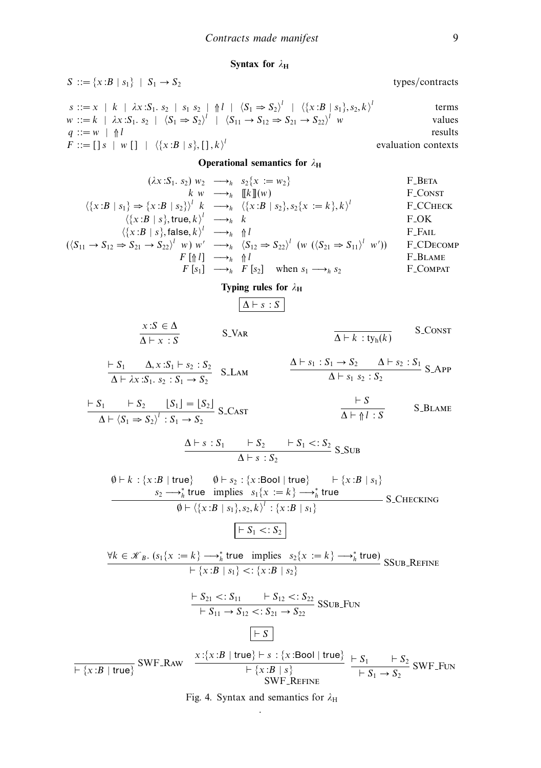**Syntax for** *λ***<sup>H</sup>**

S := {x:B | s<sub>1</sub>} | S<sub>1</sub> - S<sub>2</sub>  
\nS := x | k | xx:S<sub>1</sub>, s<sub>2</sub> | s<sub>1</sub> s<sub>2</sub> | 
$$
\frac{4}{5}
$$
 |  $\frac{1}{5}$  (x:B | s<sub>1</sub>, s<sub>2</sub>, s<sub>1</sub><sup>2</sup>)  
\n
$$
x := k | xS1, s2 | (S1 - S2)' | (S1 - S1 - S2)' | (x:B | s1), s21 terms\n
$$
q := w | \eta |
$$
\n
$$
y_{12} \rightarrow w_{21} s2 | x = w2 \dots w2
$$
\n
$$
y_{21} \rightarrow w_{22} \rightarrow w_{22} | x = w2 \dots w2
$$
\n
$$
y_{22} \rightarrow w_{22} | x = w2 \dots w2
$$
\n
$$
y_{21} \rightarrow w_{21} | y_{21} | y_{21} | y_{21} | y_{21} | y_{21} | y_{21} | y_{21} | y_{21} | y_{21} | y_{21} | y_{21} | y_{21} | y_{21} | y_{21} | y_{21} | y_{21} | y_{21} | y_{21} | y_{21} | y_{21} | y_{21} | y_{21} | y_{21} | y_{21} | y_{21} | y_{21} | y_{21} | y_{21} | y_{21} | y_{21} | y_{21} | y_{21} | y_{21} | y_{21} | y_{21} | y_{21} | y_{21} | y_{21} | y_{21} | y_{21} | y_{21} | y_{21} | y_{21} | y_{21} | y_{21} | y_{21} | y_{21} | y_{21} | y_{21} | y_{21} | y_{21} | y_{21} | y_{21} | y_{21} | y_{21} | y_{21} | y_{21} |
$$
$$

Fig. 4. Syntax and semantics for  $λ$ H .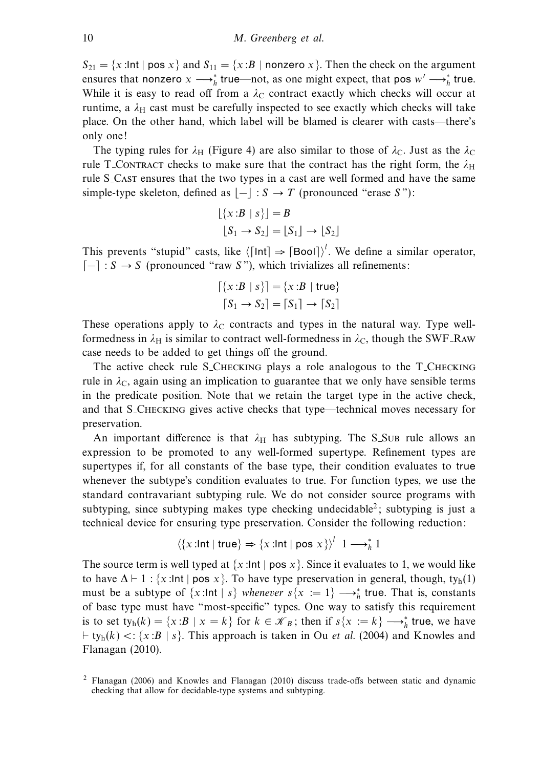$S_{21} = \{x : \text{Int} \mid \text{pos } x \}$  and  $S_{11} = \{x : B \mid \text{nonzero } x \}$ . Then the check on the argument ensures that nonzero  $x \rightarrow^*_{h}$  true—not, as one might expect, that pos  $w' \rightarrow^*_{h}$  true. While it is easy to read off from a  $\lambda_c$  contract exactly which checks will occur at runtime, a  $\lambda_H$  cast must be carefully inspected to see exactly which checks will take place. On the other hand, which label will be blamed is clearer with casts—there's only one!

The typing rules for  $\lambda_H$  (Figure 4) are also similar to those of  $\lambda_C$ . Just as the  $\lambda_C$ rule T<sub>-CONTRACT</sub> checks to make sure that the contract has the right form, the  $\lambda_H$ rule S<sub>-CAST</sub> ensures that the two types in a cast are well formed and have the same simple-type skeleton, defined as  $|-|: S \rightarrow T$  (pronounced "erase S"):

$$
\lfloor \{x : B \mid s\} \rfloor = B
$$
  

$$
\lfloor S_1 \to S_2 \rfloor = \lfloor S_1 \rfloor \to \lfloor S_2 \rfloor
$$

This prevents "stupid" casts, like  $\langle \lceil \ln t \rceil \Rightarrow \lceil \text{Bool} \rceil \rangle^l$ . We define a similar operator,  $\lceil - \rceil$  :  $S \rightarrow S$  (pronounced "raw S"), which trivializes all refinements:

$$
\begin{aligned} \left[ \{ x : B \mid s \} \right] &= \{ x : B \mid \text{true} \} \\ \left[ S_1 \to S_2 \right] &= \left[ S_1 \right] \to \left[ S_2 \right] \end{aligned}
$$

These operations apply to  $\lambda_c$  contracts and types in the natural way. Type wellformedness in  $\lambda_H$  is similar to contract well-formedness in  $\lambda_C$ , though the SWF\_Raw case needs to be added to get things off the ground.

The active check rule S\_CHECKING plays a role analogous to the T\_CHECKING rule in  $\lambda_c$ , again using an implication to guarantee that we only have sensible terms in the predicate position. Note that we retain the target type in the active check, and that S\_CHECKING gives active checks that type—technical moves necessary for preservation.

An important difference is that  $\lambda_H$  has subtyping. The S\_SuB rule allows an expression to be promoted to any well-formed supertype. Refinement types are supertypes if, for all constants of the base type, their condition evaluates to true whenever the subtype's condition evaluates to true. For function types, we use the standard contravariant subtyping rule. We do not consider source programs with subtyping, since subtyping makes type checking undecidable<sup>2</sup>; subtyping is just a technical device for ensuring type preservation. Consider the following reduction:

$$
\langle \{x : \text{Int} \mid \text{true}\} \Rightarrow \{x : \text{Int} \mid \text{pos } x\} \rangle^l \quad 1 \longrightarrow_h^* 1
$$

The source term is well typed at  $\{x:\text{Int} \mid \text{pos } x\}$ . Since it evaluates to 1, we would like to have  $\Delta \vdash 1$ : {x:lnt | pos x}. To have type preservation in general, though, ty<sub>h</sub>(1) must be a subtype of  $\{x : \text{Int} \mid s\}$  whenever  $s\{x := 1\} \longrightarrow_h^*$  true. That is, constants of base type must have "most-specific" types. One way to satisfy this requirement is to set  $ty_h(k) = \{x : B \mid x = k\}$  for  $k \in \mathcal{K}_B$ ; then if  $s\{x := k\} \longrightarrow_h^*$  true, we have  $t \cdot \text{t}_{y_h}(k) < \{x : B | s\}$ . This approach is taken in Ou *et al.* (2004) and Knowles and Flanagan (2010).

<sup>2</sup> Flanagan (2006) and Knowles and Flanagan (2010) discuss trade-offs between static and dynamic checking that allow for decidable-type systems and subtyping.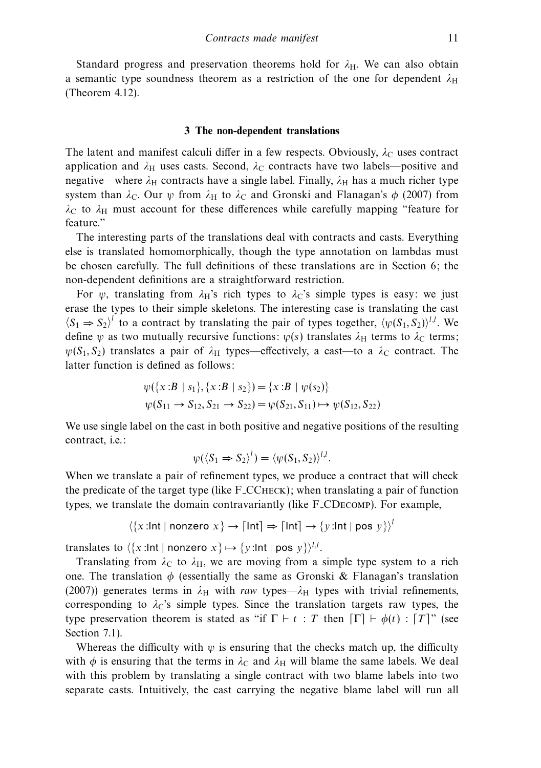Standard progress and preservation theorems hold for  $\lambda$ <sub>H</sub>. We can also obtain a semantic type soundness theorem as a restriction of the one for dependent  $\lambda_H$ (Theorem 4.12).

#### **3 The non-dependent translations**

The latent and manifest calculi differ in a few respects. Obviously,  $\lambda_c$  uses contract application and  $\lambda_H$  uses casts. Second,  $\lambda_C$  contracts have two labels—positive and negative—where  $\lambda_H$  contracts have a single label. Finally,  $\lambda_H$  has a much richer type system than  $\lambda_c$ . Our  $\psi$  from  $\lambda_H$  to  $\lambda_c$  and Gronski and Flanagan's  $\phi$  (2007) from  $λ$ <sub>C</sub> to  $λ$ <sub>H</sub> must account for these differences while carefully mapping "feature for feature."

The interesting parts of the translations deal with contracts and casts. Everything else is translated homomorphically, though the type annotation on lambdas must be chosen carefully. The full definitions of these translations are in Section 6; the non-dependent definitions are a straightforward restriction.

For  $\psi$ , translating from  $\lambda_H$ 's rich types to  $\lambda_C$ 's simple types is easy: we just erase the types to their simple skeletons. The interesting case is translating the cast  $\langle S_1 \Rightarrow S_2 \rangle^l$  to a contract by translating the pair of types together,  $\langle \psi(S_1, S_2) \rangle^{l,l}$ . We define *ψ* as two mutually recursive functions:  $\psi(s)$  translates  $\lambda_H$  terms to  $\lambda_C$  terms;  $\psi(S_1, S_2)$  translates a pair of  $\lambda_H$  types—effectively, a cast—to a  $\lambda_C$  contract. The latter function is defined as follows:

$$
\psi({x : B | s_1}, {x : B | s_2}) = {x : B | \psi(s_2)}
$$
  

$$
\psi(S_{11} \rightarrow S_{12}, S_{21} \rightarrow S_{22}) = \psi(S_{21}, S_{11}) \rightarrow \psi(S_{12}, S_{22})
$$

We use single label on the cast in both positive and negative positions of the resulting contract, i.e.:

$$
\psi(\langle S_1 \Rightarrow S_2 \rangle^l) = \langle \psi(S_1, S_2) \rangle^{l,l}.
$$

When we translate a pair of refinement types, we produce a contract that will check the predicate of the target type (like F CCheck); when translating a pair of function types, we translate the domain contravariantly (like F CDecomp). For example,

$$
\langle \{x : \text{Int} \mid \text{nonzero } x \} \rightarrow \lceil \text{Int} \rceil \Rightarrow \lceil \text{Int} \rceil \rightarrow \{y : \text{Int} \mid \text{pos } y \} \rangle^l
$$

translates to  $\langle x: \mathsf{Int} \mid \mathsf{nonzero}\ x \rangle \mapsto \{y: \mathsf{Int} \mid \mathsf{pos}\ y\}^{\mathcal{U}}.$ 

Translating from  $\lambda_c$  to  $\lambda_H$ , we are moving from a simple type system to a rich one. The translation  $\phi$  (essentially the same as Gronski & Flanagan's translation (2007)) generates terms in  $\lambda_H$  with raw types— $\lambda_H$  types with trivial refinements, corresponding to  $\lambda$ <sup>c</sup>'s simple types. Since the translation targets raw types, the type preservation theorem is stated as "if  $\Gamma \vdash t : T$  then  $\lceil \Gamma \rceil \vdash \phi(t) : T \rceil$ " (see Section 7.1).

Whereas the difficulty with  $\psi$  is ensuring that the checks match up, the difficulty with  $\phi$  is ensuring that the terms in  $\lambda_C$  and  $\lambda_H$  will blame the same labels. We deal with this problem by translating a single contract with two blame labels into two separate casts. Intuitively, the cast carrying the negative blame label will run all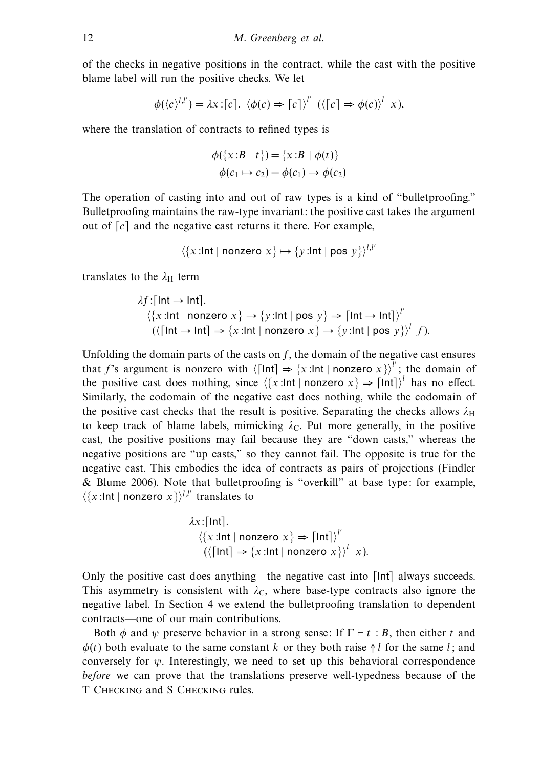of the checks in negative positions in the contract, while the cast with the positive blame label will run the positive checks. We let

$$
\phi(\langle c \rangle^{l,l'}) = \lambda x : [c]. \langle \phi(c) \Rightarrow [c] \rangle^{l'} \ (\langle [c] \Rightarrow \phi(c) \rangle^{l} x),
$$

where the translation of contracts to refined types is

$$
\phi({x:B | t}) = {x:B | \phi(t)}
$$
  

$$
\phi(c_1 \mapsto c_2) = \phi(c_1) \rightarrow \phi(c_2)
$$

The operation of casting into and out of raw types is a kind of "bulletproofing." Bulletproofing maintains the raw-type invariant: the positive cast takes the argument out of  $|c|$  and the negative cast returns it there. For example,

$$
\langle \{x : \text{Int} \mid \text{nonzero } x \} \mapsto \{y : \text{Int} \mid \text{pos } y \} \rangle^{l,l'}
$$

translates to the  $\lambda_H$  term

$$
\lambda f:[Int \to Int].
$$
\n
$$
\langle \{x: Int \mid nonzero \ x\} \to \{y: Int \mid pos \ y\} \Rightarrow [Int \to Int] \rangle^{l'}
$$
\n
$$
(\langle \lceil Int \to Int \rceil \Rightarrow \{x: Int \mid nonzero \ x\} \to \{y: Int \mid pos \ y\} \rangle^{l} f).
$$

Unfolding the domain parts of the casts on *f*, the domain of the negative cast ensures that f's argument is nonzero with  $\langle \text{Int} \rangle \Rightarrow \{x : \text{Int} \mid \text{nonzero } x\}^{\prime\prime}$ ; the domain of the positive cast does nothing, since  $\langle x : \text{Int} \mid \text{nonzero } x \rangle \Rightarrow [\text{Int}] \rangle^l$  has no effect. Similarly, the codomain of the negative cast does nothing, while the codomain of the positive cast checks that the result is positive. Separating the checks allows  $\lambda_H$ to keep track of blame labels, mimicking  $\lambda_c$ . Put more generally, in the positive cast, the positive positions may fail because they are "down casts," whereas the negative positions are "up casts," so they cannot fail. The opposite is true for the negative cast. This embodies the idea of contracts as pairs of projections (Findler & Blume 2006). Note that bulletproofing is "overkill" at base type: for example,  $\langle x : \text{Int} \mid \text{nonzero } x \rangle^{l,l'}$  translates to

$$
\lambda x: [\text{Int}].
$$
  
\n
$$
\langle \{x: \text{Int} \mid \text{nonzero } x \} \Rightarrow [\text{Int}] \rangle^{l'}
$$
  
\n
$$
(\langle [\text{Int}] \Rightarrow \{x: \text{Int} \mid \text{nonzero } x \} \rangle^{l} x).
$$

Only the positive cast does anything—the negative cast into  $\lceil \text{Int} \rceil$  always succeeds. This asymmetry is consistent with  $\lambda_C$ , where base-type contracts also ignore the negative label. In Section 4 we extend the bulletproofing translation to dependent contracts—one of our main contributions.

Both  $\phi$  and  $\psi$  preserve behavior in a strong sense: If  $\Gamma \vdash t : B$ , then either t and  $\phi(t)$  both evaluate to the same constant k or they both raise  $\frac{1}{n}$  for the same l; and conversely for  $\psi$ . Interestingly, we need to set up this behavioral correspondence before we can prove that the translations preserve well-typedness because of the T Checking and S Checking rules.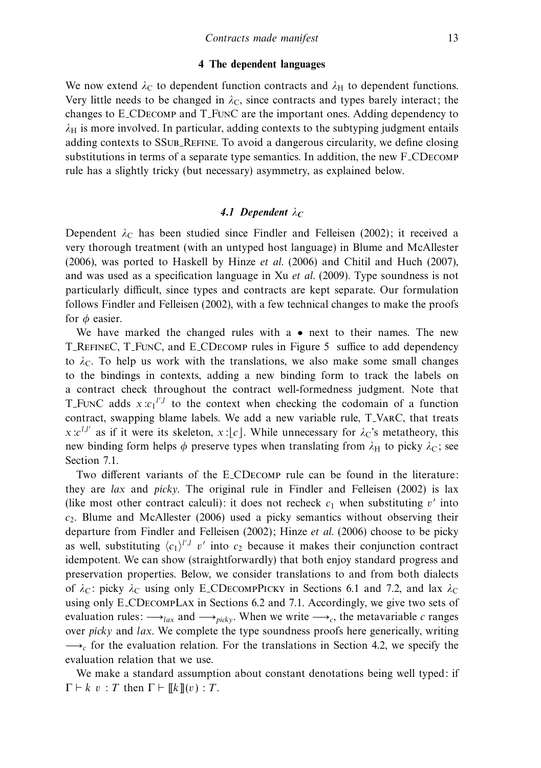## **4 The dependent languages**

We now extend  $\lambda_C$  to dependent function contracts and  $\lambda_H$  to dependent functions. Very little needs to be changed in  $\lambda_{\rm C}$ , since contracts and types barely interact; the changes to E CDecomp and T FunC are the important ones. Adding dependency to  $\lambda_H$  is more involved. In particular, adding contexts to the subtyping judgment entails adding contexts to SSUB REFINE. To avoid a dangerous circularity, we define closing substitutions in terms of a separate type semantics. In addition, the new F CDecomp rule has a slightly tricky (but necessary) asymmetry, as explained below.

# *4.1 Dependent λ<sup>C</sup>*

Dependent  $λ$ <sub>C</sub> has been studied since Findler and Felleisen (2002); it received a very thorough treatment (with an untyped host language) in Blume and McAllester (2006), was ported to Haskell by Hinze et al. (2006) and Chitil and Huch (2007), and was used as a specification language in Xu et al. (2009). Type soundness is not particularly difficult, since types and contracts are kept separate. Our formulation follows Findler and Felleisen (2002), with a few technical changes to make the proofs for *φ* easier.

We have marked the changed rules with a  $\bullet$  next to their names. The new T RefineC, T FunC, and E CDecomp rules in Figure 5 suffice to add dependency to  $\lambda_c$ . To help us work with the translations, we also make some small changes to the bindings in contexts, adding a new binding form to track the labels on a contract check throughout the contract well-formedness judgment. Note that T\_FunC adds  $x : c_1^{l',l}$  to the context when checking the codomain of a function contract, swapping blame labels. We add a new variable rule, T VarC, that treats  $x : c^{l,l'}$  as if it were its skeleton,  $x : [c]$ . While unnecessary for  $\lambda_c$ 's metatheory, this new binding form helps  $\phi$  preserve types when translating from  $\lambda_H$  to picky  $\lambda_C$ ; see Section 7.1.

Two different variants of the E CDecomp rule can be found in the literature: they are lax and picky. The original rule in Findler and Felleisen (2002) is lax (like most other contract calculi): it does not recheck  $c_1$  when substituting v' into  $c_2$ . Blume and McAllester (2006) used a picky semantics without observing their departure from Findler and Felleisen (2002); Hinze et al. (2006) choose to be picky as well, substituting  $\langle c_1 \rangle^{l',l}$  v' into  $c_2$  because it makes their conjunction contract idempotent. We can show (straightforwardly) that both enjoy standard progress and preservation properties. Below, we consider translations to and from both dialects of  $λ$ <sub>C</sub>: picky  $λ$ <sub>C</sub> using only E\_CD<sub>ECOMP</sub>PICKY in Sections 6.1 and 7.2, and lax  $λ$ <sub>C</sub> using only E CDecompLax in Sections 6.2 and 7.1. Accordingly, we give two sets of evaluation rules:  $\longrightarrow_{lax}$  and  $\longrightarrow_{picky}$ . When we write  $\longrightarrow_c$ , the metavariable *c* ranges over *picky* and *lax*. We complete the type soundness proofs here generically, writing  $\rightarrow c$  for the evaluation relation. For the translations in Section 4.2, we specify the evaluation relation that we use.

We make a standard assumption about constant denotations being well typed: if  $\Gamma \vdash k \ v : T$  then  $\Gamma \vdash \llbracket k \rrbracket(v) : T$ .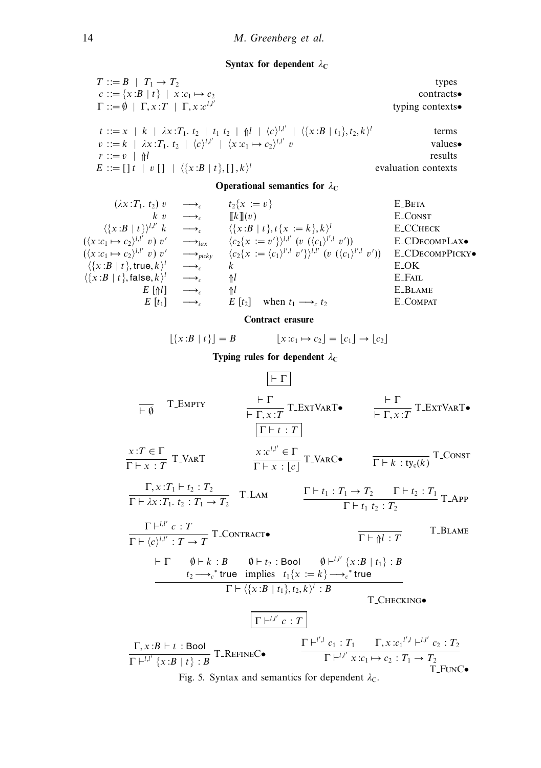# **Syntax for dependent**  $λ$ **C**

| $T ::= B \mid T_1 \rightarrow T_2$                                                                                                      | types               |
|-----------------------------------------------------------------------------------------------------------------------------------------|---------------------|
| $c ::= \{x : B   t\}   x : c_1 \mapsto c_2$                                                                                             | contracts           |
| $\Gamma ::= \emptyset \mid \Gamma, x : T \mid \Gamma, x : c^{l,l'}$                                                                     | typing contexts.    |
| $t ::= x   k   \lambda x : T_1, t_2   t_1 t_2   \mathcal{H}   \langle c \rangle^{l,l'}   \langle x : B   t_1 \rangle, t_2, k \rangle^l$ | terms               |
| $v ::= k \mid \lambda x : T_1, t_2 \mid \langle c \rangle^{l,l'} \mid \langle x : c_1 \mapsto c_2 \rangle^{l,l'} v$                     | values•             |
| $r ::= v \;   \; \mathbb{A}l$                                                                                                           | results             |
| $E := [\,] t \,   \, v \, [\,] \,   \, \langle \{x : B \,   \, t\}, \, [\,], k \rangle^l$                                               | evaluation contexts |

# **Operational semantics for**  $\lambda_C$

| $(\lambda x : T_1, t_2)$ v                          | $\longrightarrow$                | $t_2\{x := v\}$                                                                                | <b>E_BETA</b>             |
|-----------------------------------------------------|----------------------------------|------------------------------------------------------------------------------------------------|---------------------------|
| $k$ v                                               | $\longrightarrow$                | $\llbracket k \rrbracket(v)$                                                                   | <b>E_CONST</b>            |
| $\langle \{x:B \mid t\} \rangle^{l,l'} k$           | $\longrightarrow$                | $\langle \{x : B   t\}, t\{x := k\}, k \rangle^l$                                              | <b>E_CCHECK</b>           |
| $(\langle x: c_1 \mapsto c_2 \rangle^{l,l'} v) v'$  | $\longrightarrow$ lax            | $\langle c_2\{x := v'\}\rangle^{l,l'}$ $(v \ (\langle c_1 \rangle^{l',l} v'))$                 | E_CDECOMPLAX <sup>•</sup> |
| $(\langle x: c_1 \mapsto c_2 \rangle^{l,l'} v) v'$  | $\longrightarrow_{\text{picky}}$ | $\langle c_2\{x := \langle c_1 \rangle^{l',l} v'\}^{l,l'} (v (\langle c_1 \rangle^{l',l} v'))$ | <b>E_CDECOMPPICKY</b>     |
| $\langle \{x : B   t\}, \mathsf{true}, k \rangle^l$ | $\longrightarrow$                | k                                                                                              | E_OK                      |
| $\langle \{x:B \mid t\},\mathsf{false},k\rangle^l$  | $\longrightarrow_{c}$            | Λl                                                                                             | E_FAIL                    |
| $E[\Uparrow l]$                                     | $\longrightarrow$                | Λl                                                                                             | <b>E_BLAME</b>            |
| $E[t_1]$                                            | $\longrightarrow$                | when $t_1 \longrightarrow_c t_2$<br>$E[t_2]$                                                   | E_COMPAT                  |
|                                                     |                                  |                                                                                                |                           |

**Contract erasure**

$$
\lfloor \{x : B \mid t\} \rfloor = B \qquad \lfloor x : c_1 \mapsto c_2 \rfloor = \lfloor c_1 \rfloor \to \lfloor c_2 \rfloor
$$

**Typing rules for dependent**  $\lambda_C$ 

 Γ <sup>∅</sup> <sup>T</sup> Empty  <sup>Γ</sup>  Γ*,* x:T <sup>T</sup> ExtVarT•  <sup>Γ</sup>  Γ*,* x:T T ExtVarT• Γ  t : T x:T ∈ Γ Γ  x : T <sup>T</sup> VarT <sup>x</sup>:c<sup>l</sup>*,*l ∈ Γ <sup>Γ</sup> <sup>x</sup> : c <sup>T</sup> VarC• <sup>Γ</sup> <sup>k</sup> : tyc(k) T Const Γ*,* x:T<sup>1</sup>  t<sup>2</sup> : T<sup>2</sup> Γ  *λ*x:T1*.* t<sup>2</sup> : T<sup>1</sup> → T<sup>2</sup> T Lam Γ <sup>l</sup>*,*l c : T Γ  c<sup>l</sup>*,*l : T → T T Contract• Γ  t<sup>1</sup> : T<sup>1</sup> → T<sup>2</sup> Γ  t<sup>2</sup> : T<sup>1</sup> Γ  t<sup>1</sup> t<sup>2</sup> : T<sup>2</sup> T App Γ  ⇑l : T T Blame  Γ ∅  k : B ∅  t<sup>2</sup> : Bool ∅ <sup>l</sup>*,*l {x:B | t1} : B t<sup>2</sup> −→*<sup>c</sup>* <sup>∗</sup> true implies t1{x := k} −→*<sup>c</sup>* <sup>∗</sup> true Γ  {x:B | t1}*,*t2*,* k<sup>l</sup> : B T Checking• Γ <sup>l</sup>*,*l c : T Γ*,* x:B  t : Bool Γ <sup>l</sup>*,*l {x:B | t} : B T RefineC• Γ <sup>l</sup> *,*<sup>l</sup> c<sup>1</sup> : T<sup>1</sup> Γ*,* x:c<sup>1</sup> l *,*<sup>l</sup> <sup>l</sup>*,*l c<sup>2</sup> : T<sup>2</sup> Γ <sup>l</sup>*,*l x:c<sup>1</sup> → c<sup>2</sup> : T<sup>1</sup> → T<sup>2</sup> <sup>T</sup> FunC• Fig. 5. Syntax and semantics for dependent *<sup>λ</sup>*C.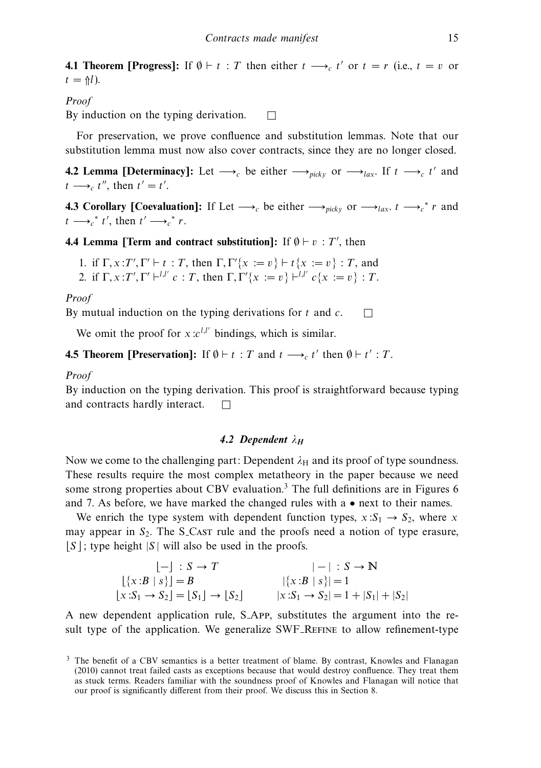**4.1 Theorem [Progress]:** If  $\emptyset \vdash t : T$  then either  $t \rightarrow c$  t' or  $t = r$  (i.e.,  $t = v$  or  $t = \frac{\Lambda}{l}$ .

# Proof

By induction on the typing derivation.  $\Box$ 

For preservation, we prove confluence and substitution lemmas. Note that our substitution lemma must now also cover contracts, since they are no longer closed.

**4.2 Lemma [Determinacy]:** Let  $\rightarrow c$  be either  $\rightarrow$ *picky* or  $\rightarrow c$  lax. If  $t \rightarrow c$  t' and  $t \longrightarrow_c t'',$  then  $t' = t'.$ 

**4.3 Corollary [Coevaluation]:** If Let  $\longrightarrow_c$  be either  $\longrightarrow_{\text{picky}}$  or  $\longrightarrow_{\text{lax}} t \longrightarrow_c^* r$  and  $t \longrightarrow_c^* t'$ , then  $t' \longrightarrow_c^* r$ .

# **4.4 Lemma [Term and contract substitution]:** If  $\emptyset \vdash v : T'$ , then

1. if  $\Gamma, x : T', \Gamma' \vdash t : T$ , then  $\Gamma, \Gamma' \{x := v\} \vdash t \{x := v\} : T$ , and 2. if  $\Gamma, x : T', \Gamma' \vdash^{l,l'} c : T$ , then  $\Gamma, \Gamma' \{x := v\} \vdash^{l,l'} c \{x := v\} : T$ .

#### Proof

By mutual induction on the typing derivations for t and  $c$ .  $\Box$ 

We omit the proof for  $x : c^{l,l'}$  bindings, which is similar.

# **4.5 Theorem [Preservation]:** If  $\emptyset \vdash t : T$  and  $t \longrightarrow_c t'$  then  $\emptyset \vdash t' : T$ .

## Proof

By induction on the typing derivation. This proof is straightforward because typing and contracts hardly interact.  $\Box$ 

## *4.2 Dependent λ<sup>H</sup>*

Now we come to the challenging part: Dependent  $\lambda_H$  and its proof of type soundness. These results require the most complex metatheory in the paper because we need some strong properties about CBV evaluation.<sup>3</sup> The full definitions are in Figures 6 and 7. As before, we have marked the changed rules with a  $\bullet$  next to their names.

We enrich the type system with dependent function types,  $x: S_1 \rightarrow S_2$ , where x may appear in  $S_2$ . The S<sub>-CAST</sub> rule and the proofs need a notion of type erasure,  $|S|$ ; type height  $|S|$  will also be used in the proofs.

$$
\begin{array}{ccc}\n[-] : S \to T & | - | : S \to \mathbb{N} \\
[\{x : B | s\}] = B & |\{x : B | s\}| = 1 \\
[x : S_1 \to S_2] = [S_1] \to [S_2] & |x : S_1 \to S_2| = 1 + |S_1| + |S_2|\n\end{array}
$$

A new dependent application rule, S App, substitutes the argument into the result type of the application. We generalize SWF REFINE to allow refinement-type

 $3$  The benefit of a CBV semantics is a better treatment of blame. By contrast, Knowles and Flanagan (2010) cannot treat failed casts as exceptions because that would destroy confluence. They treat them as stuck terms. Readers familiar with the soundness proof of Knowles and Flanagan will notice that our proof is significantly different from their proof. We discuss this in Section 8.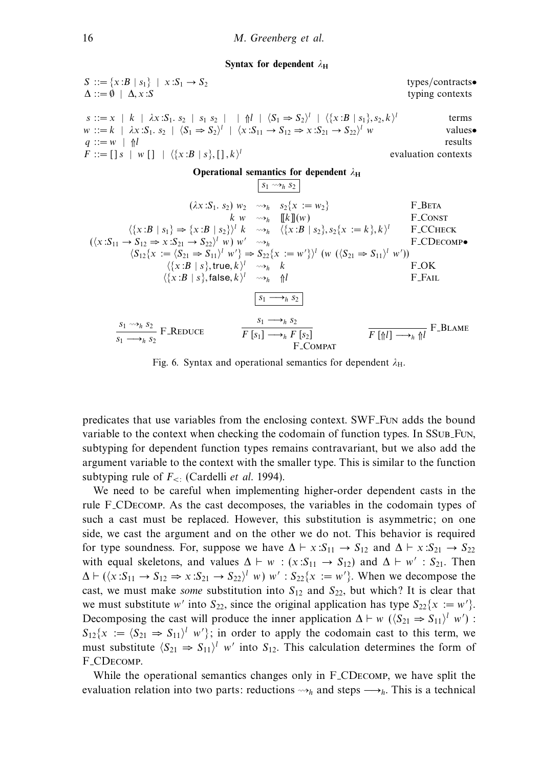#### **Syntax for dependent**  $λ$ **H**

S ::= {x:B | s<sub>1</sub>} | x:S<sub>1</sub> → S<sub>2</sub> types/contrast**•**  
\n
$$
\Delta ::= \emptyset | \Delta, x:S
$$
 types/contrast**•**  
\ns ::= x | k |  $\lambda x.S_1.s_2 | s_1 s_2 | \nparallel \langle S_1 \Rightarrow S_2 \rangle^l | \langle \{x:B | s_1\}, s_2, k \rangle^l$  terms  
\nw ::= k |  $\lambda x.S_1.s_2 | \langle S_1 \Rightarrow S_2 \rangle^l | \langle x.S_{11} \rightarrow S_{12} \Rightarrow x.S_{21} \rightarrow S_{22} \rangle^l w$  values**•**  
\n*q* ::= []s | w [] |  $\langle \{x:B | s_1\}, [l, k \rangle^l$  equalues  
\n**Operational semantics for dependent**  $\lambda_H$   
\n
$$
\begin{array}{c}\n [\frac{s_1 \leadsto s_1}{s_1} & \frac{s_1}{s_2}] & \frac{s_1}{s_2} & \frac{s_1}{s_2} & \frac{s_1}{s_2}\\
 \frac{s_1 \leadsto s_1}{s_2} & \frac{s_1}{s_2} & \frac{s_1}{s_2}\\
 \frac{s_1 \leadsto s_1}{s_2} & \frac{s_1}{s_2} & \frac{s_1}{s_2}\\
 \frac{s_1 \leadsto s_1}{s_2} & \frac{s_1}{s_2} & \frac{s_1}{s_2}\\
 \frac{s_1 \leadsto s_1}{s_2} & \frac{s_1}{s_2} & \frac{s_1}{s_2}\\
 \frac{s_1 \leadsto s_1}{s_2} & \frac{s_1}{s_2} & \frac{s_1}{s_2}\\
 \frac{s_1 \leadsto s_1}{s_2} & \frac{s_1 \leadsto s_1}{s_2}\\
 \frac{s_1 \leadsto s_2}{s_2} & \frac{s_1 \leadsto s_1}{s_2}\\
 \frac{s_1 \leadsto s_2}{s_1 \leadsto s_2} & \frac{s_1 \leadsto s_2}{s_2 \leadsto s_2}\\
 \frac{s_1 \leadsto s_2}{s_1 \leadsto s_2} & \frac{s_1 \leadsto s_2}{s_1 \leadsto s_2}\\
 \frac{s_1 \leadsto s_2}{s_1 \leadsto s_2}\\
 \frac{s_1 \leadsto s_2}{s_1 \leadsto s_2}\\
 \
$$

Fig. 6. Syntax and operational semantics for dependent  $\lambda_{\text{H}}$ .

predicates that use variables from the enclosing context. SWF Fun adds the bound variable to the context when checking the codomain of function types. In SSUB FUN, subtyping for dependent function types remains contravariant, but we also add the argument variable to the context with the smaller type. This is similar to the function subtyping rule of *F<*: (Cardelli et al. 1994).

We need to be careful when implementing higher-order dependent casts in the rule F CDecomp. As the cast decomposes, the variables in the codomain types of such a cast must be replaced. However, this substitution is asymmetric; on one side, we cast the argument and on the other we do not. This behavior is required for type soundness. For, suppose we have  $\Delta \vdash x : S_{11} \rightarrow S_{12}$  and  $\Delta \vdash x : S_{21} \rightarrow S_{22}$ with equal skeletons, and values  $\Delta \vdash w : (x : S_{11} \rightarrow S_{12})$  and  $\Delta \vdash w' : S_{21}$ . Then  $\Delta \vdash (\langle x : S_{11} \rightarrow S_{12} \Rightarrow x : S_{21} \rightarrow S_{22} \rangle^l w) w' : S_{22}\{x := w'\}.$  When we decompose the cast, we must make *some* substitution into  $S_{12}$  and  $S_{22}$ , but which? It is clear that we must substitute w' into  $S_{22}$ , since the original application has type  $S_{22}\{x := w'\}$ . Decomposing the cast will produce the inner application  $\Delta \vdash w \ (\langle S_{21} \Rightarrow S_{11} \rangle^l \ w')$ :  $S_{12}\{x := \langle S_{21} \Rightarrow S_{11}\rangle^l w'\};$  in order to apply the codomain cast to this term, we must substitute  $\langle S_{21} \Rightarrow S_{11} \rangle^l$  w' into  $S_{12}$ . This calculation determines the form of F CDecomp.

While the operational semantics changes only in F CDecomp, we have split the evaluation relation into two parts: reductions  $\leadsto_h$  and steps  $\longrightarrow_h$ . This is a technical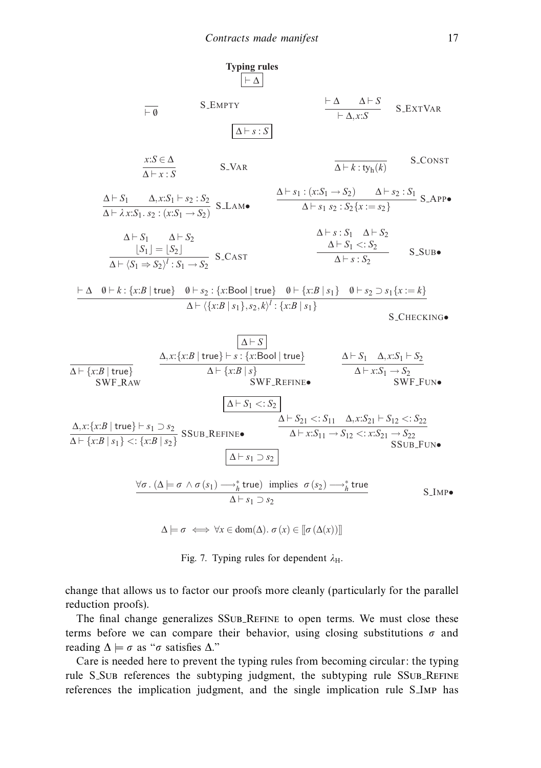

 $\Delta \models \sigma \iff \forall x \in \text{dom}(\Delta) \text{. } \sigma(x) \in [\![\sigma(\Delta(x))]\!]$ 

Fig. 7. Typing rules for dependent  $\lambda_{\text{H}}$ .

change that allows us to factor our proofs more cleanly (particularly for the parallel reduction proofs).

The final change generalizes SSUB REFINE to open terms. We must close these terms before we can compare their behavior, using closing substitutions  $\sigma$  and reading  $\Delta \models \sigma$  as " $\sigma$  satisfies  $\Delta$ ."

Care is needed here to prevent the typing rules from becoming circular: the typing rule S\_SuB references the subtyping judgment, the subtyping rule SSuB\_REFINE references the implication judgment, and the single implication rule S Imp has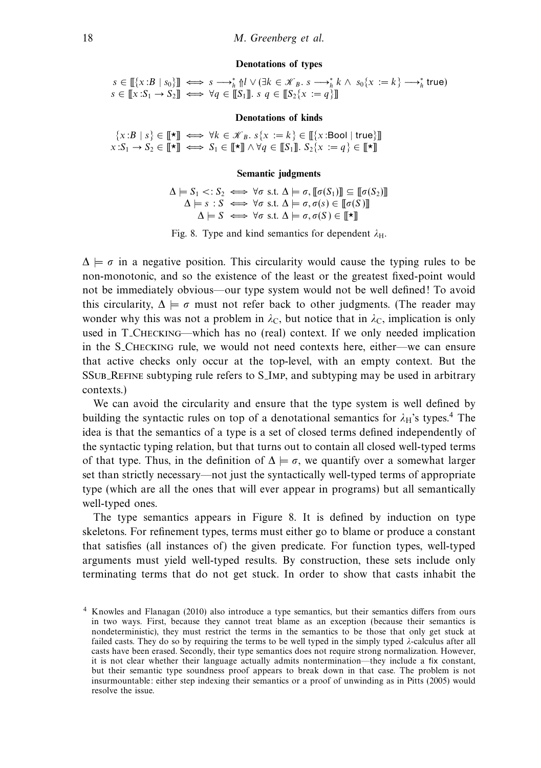#### **Denotations of types**

 $s \in [[\{x:B \mid s_0\}]] \iff s \longrightarrow_h^* \{l \} \vee (\exists k \in \mathcal{K}_B, s \longrightarrow_h^* k \wedge s_0 \{x := k\} \longrightarrow_h^* \text{true})$  $s \in \llbracket x: S_1 \to S_2 \rrbracket \iff \forall q \in \llbracket S_1 \rrbracket$ *.*  $s \mid q \in \llbracket S_2 \{x := q\} \rrbracket$ 

#### **Denotations of kinds**

 $\{x:B \mid s\} \in [\![\star]\!] \iff \forall k \in \mathcal{K}_B, s\{x := k\} \in [\![\{x:\text{Bool} \mid \text{true}\}]\!]$  $x: S_1 \to S_2 \in [\![\star]\!] \iff S_1 \in [\![\star]\!] \land \forall q \in [\![S_1]\!] \colon S_2\{x := q\} \in [\![\star]\!]$ 

## **Semantic judgments**

 $\Delta \models S_1 \lt: S_2 \iff \forall \sigma \text{ s.t. } \Delta \models \sigma, [\![\sigma(S_1)]\!] \subseteq [\![\sigma(S_2)]\!]$  $\Delta \models s : S \iff \forall \sigma \text{ s.t. } \Delta \models \sigma, \sigma(s) \in [\![\sigma(S)]\!]$  $\Delta \models S \iff \forall \sigma \text{ s.t. } \Delta \models \sigma, \sigma(S) \in \llbracket \star \rrbracket$ 

Fig. 8. Type and kind semantics for dependent  $\lambda_{\text{H}}$ .

 $\Delta \models \sigma$  in a negative position. This circularity would cause the typing rules to be non-monotonic, and so the existence of the least or the greatest fixed-point would not be immediately obvious—our type system would not be well defined! To avoid this circularity,  $\Delta \models \sigma$  must not refer back to other judgments. (The reader may wonder why this was not a problem in  $\lambda_c$ , but notice that in  $\lambda_c$ , implication is only used in T Checking—which has no (real) context. If we only needed implication in the S Checking rule, we would not need contexts here, either—we can ensure that active checks only occur at the top-level, with an empty context. But the SSub Refine subtyping rule refers to S Imp, and subtyping may be used in arbitrary contexts.)

We can avoid the circularity and ensure that the type system is well defined by building the syntactic rules on top of a denotational semantics for  $\lambda_H$ 's types.<sup>4</sup> The idea is that the semantics of a type is a set of closed terms defined independently of the syntactic typing relation, but that turns out to contain all closed well-typed terms of that type. Thus, in the definition of  $\Delta \models \sigma$ , we quantify over a somewhat larger set than strictly necessary—not just the syntactically well-typed terms of appropriate type (which are all the ones that will ever appear in programs) but all semantically well-typed ones.

The type semantics appears in Figure 8. It is defined by induction on type skeletons. For refinement types, terms must either go to blame or produce a constant that satisfies (all instances of) the given predicate. For function types, well-typed arguments must yield well-typed results. By construction, these sets include only terminating terms that do not get stuck. In order to show that casts inhabit the

<sup>4</sup> Knowles and Flanagan (2010) also introduce a type semantics, but their semantics differs from ours in two ways. First, because they cannot treat blame as an exception (because their semantics is nondeterministic), they must restrict the terms in the semantics to be those that only get stuck at failed casts. They do so by requiring the terms to be well typed in the simply typed *λ*-calculus after all casts have been erased. Secondly, their type semantics does not require strong normalization. However, it is not clear whether their language actually admits nontermination—they include a fix constant, but their semantic type soundness proof appears to break down in that case. The problem is not insurmountable: either step indexing their semantics or a proof of unwinding as in Pitts (2005) would resolve the issue.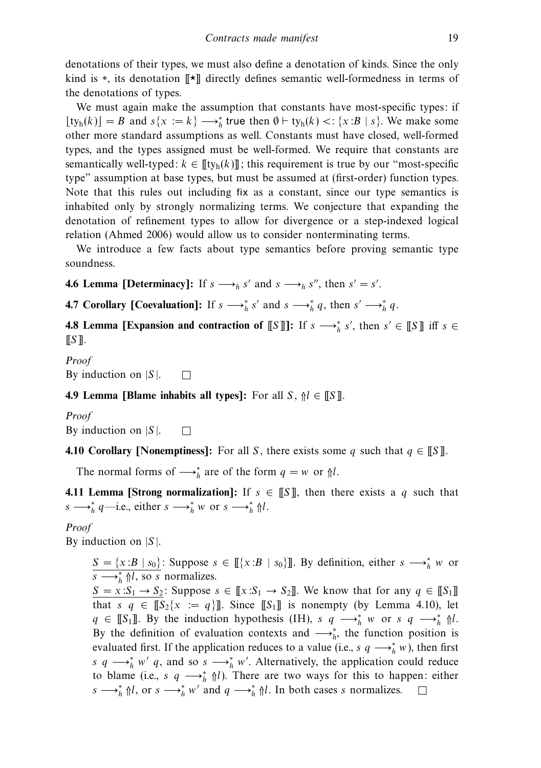denotations of their types, we must also define a denotation of kinds. Since the only kind is \*, its denotation [[★]] directly defines semantic well-formedness in terms of the denotations of types.

We must again make the assumption that constants have most-specific types: if  $\lfloor \text{ty}_{h}(k) \rfloor = B$  and  $s\{x := k\} \longrightarrow_{h}^{*}$  true then  $\emptyset \vdash \text{ty}_{h}(k) < \lvert \{x : B \mid s\}$ . We make some other more standard assumptions as well. Constants must have closed, well-formed types, and the types assigned must be well-formed. We require that constants are semantically well-typed:  $k \in [\![ \operatorname{ty}_h(k)] \!]$ ; this requirement is true by our "most-specific type" assumption at base types, but must be assumed at (first-order) function types. Note that this rules out including fix as a constant, since our type semantics is inhabited only by strongly normalizing terms. We conjecture that expanding the denotation of refinement types to allow for divergence or a step-indexed logical relation (Ahmed 2006) would allow us to consider nonterminating terms.

We introduce a few facts about type semantics before proving semantic type soundness.

**4.6 Lemma [Determinacy]:** If  $s \rightarrow h s'$  and  $s \rightarrow h s''$ , then  $s' = s'$ .

**4.7 Corollary [Coevaluation]:** If  $s \rightarrow h \ s'$  and  $s \rightarrow h \ q$ , then  $s' \rightarrow h \ q$ .

**4.8 Lemma [Expansion and contraction of**  $[[S]]$ **:** If  $s \longrightarrow_h^* s'$ , then  $s' \in [[S]]$  iff  $s \in$  $\llbracket S \rrbracket$ .

Proof By induction on  $|S|$ .  $\Box$ 

**4.9 Lemma [Blame inhabits all types]:** For all  $S$ ,  $\uparrow l \in [S]$ .

Proof

By induction on  $|S|$ .  $\Box$ 

**4.10 Corollary [Nonemptiness]:** For all S, there exists some q such that  $q \in \mathbb{S}$ ].

The normal forms of  $\longrightarrow_h^*$  are of the form  $q = w$  or  $\Uparrow l$ .

**4.11 Lemma [Strong normalization]:** If  $s \in \llbracket S \rrbracket$ , then there exists a q such that  $s \longrightarrow_h^* q$ —i.e., either  $s \longrightarrow_h^* w$  or  $s \longrightarrow_h^* \mathcal{M}$ .

Proof

By induction on  $|S|$ .

 $S = \{x : B | s_0\}$ : Suppose  $s \in [[\{x : B | s_0\}]]$ . By definition, either  $s \rightarrow^*_{h} w$  or  $\overline{s} \longrightarrow_h^* \mathcal{M}$ , so s normalizes.

 $S = x: S_1 \rightarrow S_2$ : Suppose  $s \in [\![x: S_1 \rightarrow S_2]\!]$ . We know that for any  $q \in [\![S_1]\!]$ that s  $q \in [\![S_2\{x := q\}]\!]$ . Since  $[\![S_1]\!]$  is nonempty (by Lemma 4.10), let  $q \in \llbracket S_1 \rrbracket$ . By the induction hypothesis (IH),  $s \neq \rightarrow_h^* w$  or  $s \neq \rightarrow_h^* \Uparrow l$ . By the definition of evaluation contexts and  $\longrightarrow_h^*$ , the function position is evaluated first. If the application reduces to a value (i.e.,  $s \t q \longrightarrow_h^* w$ ), then first s q  $\longrightarrow_h^* w'$  q, and so s  $\longrightarrow_h^* w'$ . Alternatively, the application could reduce to blame (i.e., s q  $\longrightarrow_h^*$   $\Uparrow l$ ). There are two ways for this to happen: either  $s \longrightarrow_h^* \mathcal{M}$ , or  $s \longrightarrow_h^* w'$  and  $q \longrightarrow_h^* \mathcal{M}$ . In both cases s normalizes.  $\square$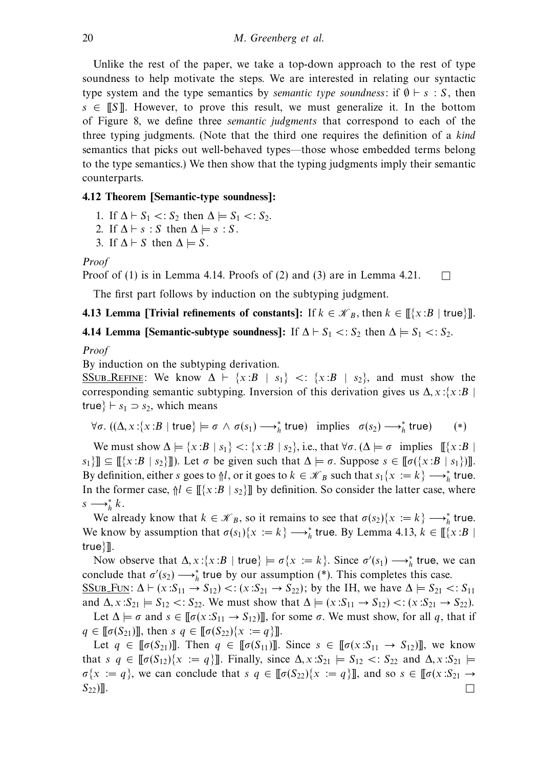Unlike the rest of the paper, we take a top-down approach to the rest of type soundness to help motivate the steps. We are interested in relating our syntactic type system and the type semantics by *semantic type soundness*: if  $\emptyset \vdash s : S$ , then  $s \in \mathbb{S}$ . However, to prove this result, we must generalize it. In the bottom of Figure 8, we define three semantic judgments that correspond to each of the three typing judgments. (Note that the third one requires the definition of a kind semantics that picks out well-behaved types—those whose embedded terms belong to the type semantics.) We then show that the typing judgments imply their semantic counterparts.

# **4.12 Theorem [Semantic-type soundness]:**

- 1. If  $\Delta \vdash S_1 \lt: S_2$  then  $\Delta \models S_1 \lt: S_2$ .
- 2. If  $\Delta \vdash s : S$  then  $\Delta \models s : S$ .
- 3. If  $\Delta \vdash S$  then  $\Delta \models S$ .

Proof

Proof of  $(1)$  is in Lemma 4.14. Proofs of  $(2)$  and  $(3)$  are in Lemma 4.21.  $\Box$ 

The first part follows by induction on the subtyping judgment.

# **4.13 Lemma [Trivial refinements of constants]:** If  $k \in \mathcal{K}_B$ , then  $k \in [\{x : B | \text{ true}\}]$ .

# **4.14 Lemma [Semantic-subtype soundness]:** If  $\Delta \vdash S_1 \lt: S_2$  then  $\Delta \models S_1 \lt: S_2$ .

Proof

By induction on the subtyping derivation.

SSUB REFINE: We know  $\Delta \vdash \{x : B | s_1\} \leq \{x : B | s_2\}$ , and must show the corresponding semantic subtyping. Inversion of this derivation gives us  $\Delta$ , x: $\{x : B\}$ true}  $\vdash s_1 \supset s_2$ , which means

$$
\forall \sigma. ((\Delta, x: \{x:B \mid true\}) \models \sigma \land \sigma(s_1) \longrightarrow_h^* true) \text{ implies } \sigma(s_2) \longrightarrow_h^* true) \quad (*)
$$

We must show  $\Delta \models \{x : B \mid s_1\} \prec \{x : B \mid s_2\}$ , i.e., that  $\forall \sigma \in (\Delta \models \sigma \text{ implies } [\{x : B \mid s_2\}]$  $s_1$ ]]  $\subseteq$  [[ $\{x:B \mid s_2\}$ ]]. Let  $\sigma$  be given such that  $\Delta \models \sigma$ . Suppose  $s \in [\![\sigma(\{x:B \mid s_1\})]\!]$ . By definition, either s goes to  $\mathcal{N}_l$ , or it goes to  $k \in \mathcal{K}_B$  such that  $s_1\{x := k\} \longrightarrow_h^*$  true. In the former case,  $\mathcal{N} \in \mathbb{F}\{x:B \mid s_2\}$  by definition. So consider the latter case, where  $s \longrightarrow_h^* k$ .

We already know that  $k \in \mathcal{K}_B$ , so it remains to see that  $\sigma(s_2)\{x := k\} \longrightarrow_h^*$  true. We know by assumption that  $\sigma(s_1)$ { $x := k$ }  $\longrightarrow_h^*$  true. By Lemma 4.13,  $k \in \llbracket \{x : B \mid$ true}]].

Now observe that  $\Delta$ ,  $x$ :{ $x : B | true$ }  $\models \sigma\{x := k\}$ . Since  $\sigma'(s_1) \longrightarrow_h^*$  true, we can conclude that  $\sigma'(s_2) \longrightarrow_h^*$  true by our assumption (\*). This completes this case.

SSUB FUN:  $\Delta \vdash (x : S_{11} \rightarrow S_{12}) < (x : S_{21} \rightarrow S_{22})$ ; by the IH, we have  $\Delta \models S_{21} < S_{11}$ and  $\Delta$ ,  $x: S_{21} \models S_{12} \lt: S_{22}$ . We must show that  $\Delta \models (x: S_{11} \rightarrow S_{12}) \lt: (x: S_{21} \rightarrow S_{22})$ . Let  $\Delta \models \sigma$  and  $s \in [\![\sigma(x:S_{11} \rightarrow S_{12})]\!]$ , for some  $\sigma$ . We must show, for all q, that if  $q \in [\![\sigma(S_{21})]\!]$ , then  $s \ q \in [\![\sigma(S_{22})\{x := q\}]\!]$ .

Let  $q \in [\![\sigma(S_{21})]\!]$ . Then  $q \in [\![\sigma(S_{11})]\!]$ . Since  $s \in [\![\sigma(x:S_{11} \rightarrow S_{12})]\!]$ , we know that  $s \ q \in [\![\sigma(S_{12})\{x := q\}]\!]$ . Finally, since  $\Delta, x : S_{21} \models S_{12} <: S_{22}$  and  $\Delta, x : S_{21} \models$  $\sigma\{x := q\}$ , we can conclude that  $s \in [\![\sigma(S_{22})\{x := q\}]\!]$ , and so  $s \in [\![\sigma(x:S_{21} \rightarrow$  $S_{22}$ ].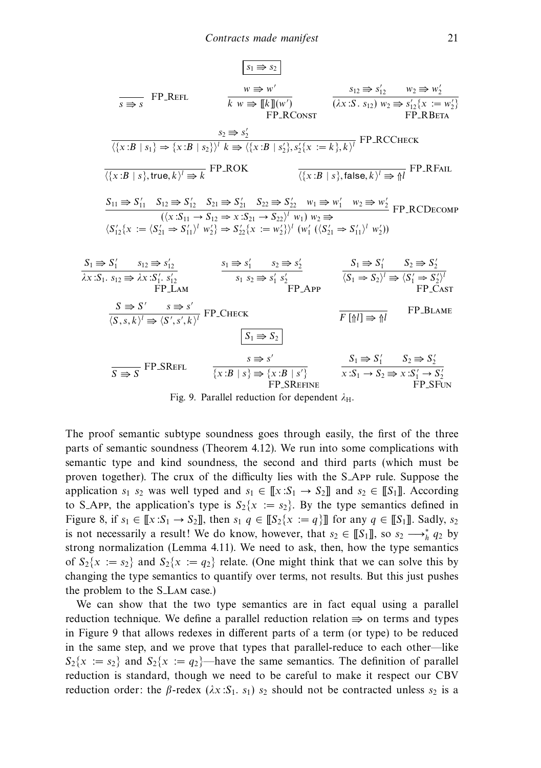s<sup>1</sup> s<sup>2</sup> <sup>s</sup> <sup>s</sup> FP Refl <sup>w</sup> <sup>w</sup> k w [[k]](w ) FP RConst s<sup>12</sup> s <sup>12</sup> w<sup>2</sup> w 2 (*λ*x:S *.* s12) w<sup>2</sup> s <sup>12</sup>{x := w 2} FP RBeta s<sup>2</sup> s 2 {x:B | s1}⇒{x:B | s2}<sup>l</sup> k {x:B | s 2}*,*s <sup>2</sup>{<sup>x</sup> := <sup>k</sup>}*,* <sup>k</sup><sup>l</sup> FP RCCheck {x:B | s}*,* true*,* k<sup>l</sup> k FP ROK {x:<sup>B</sup> <sup>|</sup> <sup>s</sup>}*,* false*,* <sup>k</sup><sup>l</sup> ⇑<sup>l</sup> FP RFail S<sup>11</sup> S <sup>11</sup> S<sup>12</sup> S <sup>12</sup> S<sup>21</sup> S <sup>21</sup> S<sup>22</sup> S <sup>22</sup> w<sup>1</sup> w <sup>1</sup> w<sup>2</sup> w 2 (x:S<sup>11</sup> → S<sup>12</sup> ⇒ x:S<sup>21</sup> → S22<sup>l</sup> w1) w<sup>2</sup> S <sup>12</sup>{x := S <sup>21</sup> ⇒ S 11<sup>l</sup> w <sup>2</sup>} ⇒ S <sup>22</sup>{x := w 2}<sup>l</sup> (w <sup>1</sup> (S <sup>21</sup> ⇒ S 11<sup>l</sup> w 2)) FP RCDecomp S<sup>1</sup> S <sup>1</sup> s<sup>12</sup> s 12 *λ*x:S1*.* s<sup>12</sup> *λ*x:S <sup>1</sup>*.* s 12 FP Lam s<sup>1</sup> s <sup>1</sup> s<sup>2</sup> s 2 s<sup>1</sup> s<sup>2</sup> s <sup>1</sup> s 2 FP App S<sup>1</sup> S <sup>1</sup> S<sup>2</sup> S 2 S<sup>1</sup> ⇒ S2<sup>l</sup> S <sup>1</sup> ⇒ S 2l FP Cast S S s s S *,*s*,* k<sup>l</sup> S *,*s *,* <sup>k</sup><sup>l</sup> FP Check <sup>F</sup> [⇑l] ⇑<sup>l</sup> FP Blame S<sup>1</sup> S<sup>2</sup> S S FP SRefl <sup>s</sup> <sup>s</sup> {x:B | s} {x:B | s } FP SRefine S<sup>1</sup> S <sup>1</sup> S<sup>2</sup> S 2 x:S<sup>1</sup> → S<sup>2</sup> x:S <sup>1</sup> → S 2 FP SFun

Fig. 9. Parallel reduction for dependent  $λ$ <sub>H</sub>.

The proof semantic subtype soundness goes through easily, the first of the three parts of semantic soundness (Theorem 4.12). We run into some complications with semantic type and kind soundness, the second and third parts (which must be proven together). The crux of the difficulty lies with the S App rule. Suppose the application  $s_1$  s<sub>2</sub> was well typed and  $s_1 \in [\![x:S_1] \rightarrow S_2]\!]$  and  $s_2 \in [\![S_1]\!]$ . According to S\_App, the application's type is  $S_2\{x := s_2\}$ . By the type semantics defined in Figure 8, if  $s_1 \in [\![x:S_1 \rightarrow S_2]\!]$ , then  $s_1 \neq [\![S_2\{x := q\}]\!]$  for any  $q \in [\![S_1]\!]$ . Sadly,  $s_2$ is not necessarily a result! We do know, however, that  $s_2 \in [[S_1]],$  so  $s_2 \longrightarrow_h^* q_2$  by strong normalization (Lemma 4.11). We need to ask, then, how the type semantics of  $S_2\{x := s_2\}$  and  $S_2\{x := q_2\}$  relate. (One might think that we can solve this by changing the type semantics to quantify over terms, not results. But this just pushes the problem to the S<sub>-LAM</sub> case.)

We can show that the two type semantics are in fact equal using a parallel reduction technique. We define a parallel reduction relation  $\Rightarrow$  on terms and types in Figure 9 that allows redexes in different parts of a term (or type) to be reduced in the same step, and we prove that types that parallel-reduce to each other—like  $S_2\{x := s_2\}$  and  $S_2\{x := q_2\}$ —have the same semantics. The definition of parallel reduction is standard, though we need to be careful to make it respect our CBV reduction order: the *β*-redex ( $λx: S_1$ . s<sub>1</sub>) s<sub>2</sub> should not be contracted unless s<sub>2</sub> is a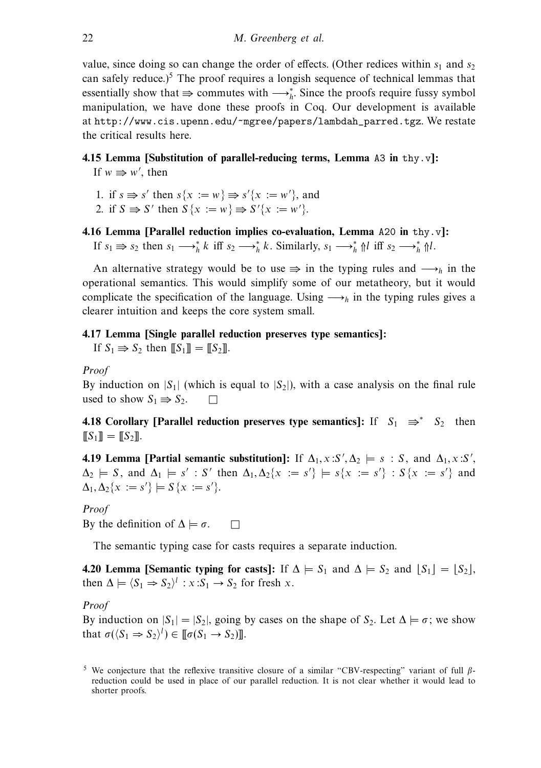value, since doing so can change the order of effects. (Other redices within  $s_1$  and  $s_2$ ) can safely reduce.)<sup>5</sup> The proof requires a longish sequence of technical lemmas that essentially show that  $\Rightarrow$  commutes with  $\longrightarrow_h^*$ . Since the proofs require fussy symbol manipulation, we have done these proofs in Coq. Our development is available at http://www.cis.upenn.edu/~mgree/papers/lambdah\_parred.tgz. We restate the critical results here.

# **4.15 Lemma [Substitution of parallel-reducing terms, Lemma** A3 **in** thy.v**]:**

If  $w \Rightarrow w'$ , then

- 1. if  $s \Rightarrow s'$  then  $s\{x := w\} \Rightarrow s'\{x := w'\}$ , and
- 2. if  $S \implies S'$  then  $S\{x := w\} \implies S'\{x := w'\}.$
- **4.16 Lemma [Parallel reduction implies co-evaluation, Lemma** A20 **in** thy.v**]:** If  $s_1 \Rightarrow s_2$  then  $s_1 \longrightarrow_h^* k$  iff  $s_2 \longrightarrow_h^* k$ . Similarly,  $s_1 \longrightarrow_h^* \mathcal{M}$  iff  $s_2 \longrightarrow_h^* \mathcal{M}$ .

An alternative strategy would be to use  $\Rightarrow$  in the typing rules and  $\longrightarrow$ <sub>h</sub> in the operational semantics. This would simplify some of our metatheory, but it would complicate the specification of the language. Using  $\longrightarrow$ <sub>h</sub> in the typing rules gives a clearer intuition and keeps the core system small.

# **4.17 Lemma [Single parallel reduction preserves type semantics]:**

If  $S_1 \Rightarrow S_2$  then  $[[S_1]] = [[S_2]]$ .

## Proof

By induction on  $|S_1|$  (which is equal to  $|S_2|$ ), with a case analysis on the final rule used to show  $S_1 \Rightarrow S_2$ .  $\Box$ 

**4.18 Corollary [Parallel reduction preserves type semantics]:** If  $S_1 \Rightarrow S_2$  then  $[[S_1]] = [[S_2]].$ 

**4.19 Lemma [Partial semantic substitution]:** If  $\Delta_1$ , x:S',  $\Delta_2$   $\models$  s: S, and  $\Delta_1$ , x:S',  $\Delta_2 \models S$ , and  $\Delta_1 \models s' : S'$  then  $\Delta_1, \Delta_2\{x := s'\} \models s\{x := s'\} : S\{x := s'\}$  and  $\Delta_1, \Delta_2\{x := s'\} \models S\{x := s'\}.$ 

## Proof

By the definition of  $\Delta \models \sigma$ .  $\Box$ 

The semantic typing case for casts requires a separate induction.

**4.20 Lemma [Semantic typing for casts]:** If  $\Delta \models S_1$  and  $\Delta \models S_2$  and  $|S_1| = |S_2|$ , then  $\Delta \models \langle S_1 \Rightarrow S_2 \rangle^l : x : S_1 \rightarrow S_2$  for fresh x.

## Proof

By induction on  $|S_1| = |S_2|$ , going by cases on the shape of  $S_2$ . Let  $\Delta \models \sigma$ ; we show that  $\sigma(\langle S_1 \Rightarrow S_2 \rangle^l) \in [\![\sigma(S_1 \rightarrow S_2)]\!]$ .

<sup>5</sup> We conjecture that the reflexive transitive closure of a similar "CBV-respecting" variant of full *β*reduction could be used in place of our parallel reduction. It is not clear whether it would lead to shorter proofs.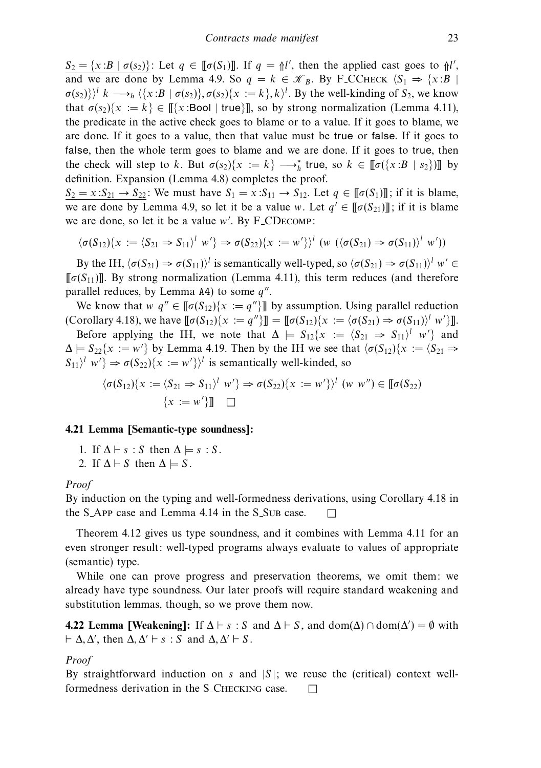$S_2 = \{x : B \mid \sigma(s_2)\}\.$  Let  $q \in [\![\sigma(S_1)]\!]$ . If  $q = \frac{\Lambda}{\Lambda}$ , then the applied cast goes to  $\frac{\Lambda}{\Lambda}$ , and we are done by Lemma 4.9. So  $q = k \in \mathcal{K}_B$ . By F<sub>-CCHECK</sub>  $\langle S_1 \Rightarrow \{x : B |$  $\sigma(s_2)$ } $\langle k \longrightarrow_h \langle \{x : B \mid \sigma(s_2)\}, \sigma(s_2) \{x := k\}, k \rangle$ <sup>t</sup>. By the well-kinding of  $S_2$ , we know that  $\sigma(s_2)$ { $x := k$ }  $\in$   $\lbrack\! \lbrack \{x : \text{Bool} \mid \text{true} \} \rbrack\! \rbrack$ , so by strong normalization (Lemma 4.11), the predicate in the active check goes to blame or to a value. If it goes to blame, we are done. If it goes to a value, then that value must be true or false. If it goes to false, then the whole term goes to blame and we are done. If it goes to true, then the check will step to k. But  $\sigma(s_2)$ { $x := k$ }  $\longrightarrow_h^*$  true, so  $k \in [\![\sigma(\{x : B \mid s_2\})]\!]$  by definition. Expansion (Lemma 4.8) completes the proof.

 $S_2 = x: S_{21} \rightarrow S_{22}$ : We must have  $S_1 = x: S_{11} \rightarrow S_{12}$ . Let  $q \in [\![\sigma(S_1)]\!]$ ; if it is blame, we are done by Lemma 4.9, so let it be a value w. Let  $q' \in [\![\sigma(S_{21})]\!]$ ; if it is blame we are done, so let it be a value w . By F CDecomp:

$$
\langle \sigma(S_{12})\{x := \langle S_{21} \Rightarrow S_{11}\rangle^l \ w'\} \Rightarrow \sigma(S_{22})\{x := w'\}\rangle^l \ (w \ (\langle \sigma(S_{21}) \Rightarrow \sigma(S_{11})\rangle^l \ w')\)
$$

By the IH,  $\langle \sigma(S_{21}) \Rightarrow \sigma(S_{11}) \rangle^l$  is semantically well-typed, so  $\langle \sigma(S_{21}) \Rightarrow \sigma(S_{11}) \rangle^l$  w' ∈  $[\![\sigma(S_{11})]\!]$ . By strong normalization (Lemma 4.11), this term reduces (and therefore parallel reduces, by Lemma  $A4$ ) to some  $q''$ .

We know that  $w \, q'' \in [\![\sigma(S_{12})\{x := q''\}] \!]$  by assumption. Using parallel reduction  $(\text{Corollary 4.18}), \text{ we have } [\![\sigma(S_{12})\{x := q''\}]\!] = [\![\sigma(S_{12})\{x := \langle \sigma(S_{21}) \Rightarrow \sigma(S_{11})\rangle^l w'\}]\!]$ .

Before applying the IH, we note that  $\Delta \models S_{12}\{x := \langle S_{21} \Rightarrow S_{11}\rangle^l \ w'\}$  and  $\Delta \models S_{22} \{x := w'\}$  by Lemma 4.19. Then by the IH we see that  $\langle \sigma(S_{12}) \{x := \langle S_{21} \Rightarrow w'\}\rangle$  $S_{11}$ <sup>l</sup> w'  $\Rightarrow \sigma(S_{22})\{x := w'\}$  is semantically well-kinded, so

$$
\langle \sigma(S_{12})\{x := \langle S_{21} \Rightarrow S_{11}\rangle^l \ w'\} \Rightarrow \sigma(S_{22})\{x := w'\}\rangle^l \ (w \ w'') \in [\![\sigma(S_{22})\;]\times \{x := w'\}]\!] \quad \square
$$

# **4.21 Lemma [Semantic-type soundness]:**

1. If  $\Delta \vdash s : S$  then  $\Delta \models s : S$ .

2. If  $\Delta \vdash S$  then  $\Delta \models S$ .

## Proof

By induction on the typing and well-formedness derivations, using Corollary 4.18 in the S<sub>-APP</sub> case and Lemma 4.14 in the S<sub>-SUB</sub> case.  $\Box$ 

Theorem 4.12 gives us type soundness, and it combines with Lemma 4.11 for an even stronger result: well-typed programs always evaluate to values of appropriate (semantic) type.

While one can prove progress and preservation theorems, we omit them: we already have type soundness. Our later proofs will require standard weakening and substitution lemmas, though, so we prove them now.

**4.22 Lemma [Weakening]:** If  $\Delta \vdash s : S$  and  $\Delta \vdash S$ , and dom( $\Delta$ )  $\cap$  dom( $\Delta'$ ) =  $\emptyset$  with  $\vdash \Delta, \Delta'$ , then  $\Delta, \Delta' \vdash s : S$  and  $\Delta, \Delta' \vdash S$ .

# Proof

By straightforward induction on s and  $|S|$ ; we reuse the (critical) context wellformedness derivation in the S\_CHECKING case.  $\Box$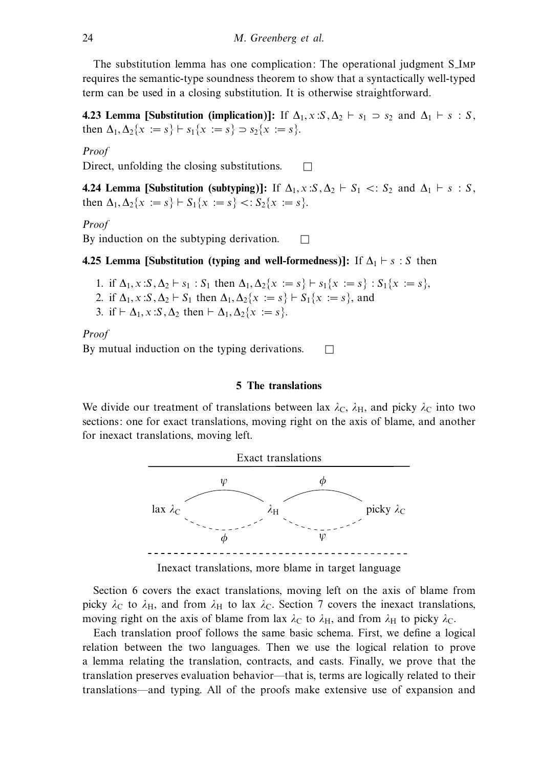The substitution lemma has one complication: The operational judgment S Imp requires the semantic-type soundness theorem to show that a syntactically well-typed term can be used in a closing substitution. It is otherwise straightforward.

**4.23 Lemma [Substitution (implication)]:** If  $\Delta_1$ , x:S,  $\Delta_2 \vdash s_1 > s_2$  and  $\Delta_1 \vdash s : S$ , then  $\Delta_1, \Delta_2\{x := s\} \vdash s_1\{x := s\} \supset s_2\{x := s\}.$ 

## Proof

Direct, unfolding the closing substitutions.  $\Box$ 

**4.24 Lemma [Substitution (subtyping)]:** If  $\Delta_1, x : S, \Delta_2 \vdash S_1 \prec S_2$  and  $\Delta_1 \vdash s : S$ , then  $\Delta_1, \Delta_2\{x := s\} \vdash S_1\{x := s\} < :S_2\{x := s\}.$ 

# Proof

By induction on the subtyping derivation.  $\Box$ 

**4.25 Lemma [Substitution (typing and well-formedness)]:** If  $\Delta_1 \vdash s : S$  then

- 1. if  $\Delta_1$ ,  $x : S, \Delta_2 \vdash s_1 : S_1$  then  $\Delta_1, \Delta_2 \{x := s\} \vdash s_1 \{x := s\} : S_1 \{x := s\}$ ,
- 2. if  $\Delta_1$ , x:S,  $\Delta_2 \vdash S_1$  then  $\Delta_1$ ,  $\Delta_2 \{x := s\} \vdash S_1 \{x := s\}$ , and
- 3. if  $\vdash \Delta_1$ , x:S,  $\Delta_2$  then  $\vdash \Delta_1$ ,  $\Delta_2$ {x := s}.

Proof By mutual induction on the typing derivations.  $\Box$ 

## **5 The translations**

We divide our treatment of translations between lax  $\lambda_c$ ,  $\lambda_H$ , and picky  $\lambda_c$  into two sections: one for exact translations, moving right on the axis of blame, and another for inexact translations, moving left.



Inexact translations, more blame in target language

Section 6 covers the exact translations, moving left on the axis of blame from picky  $\lambda_c$  to  $\lambda_H$ , and from  $\lambda_H$  to lax  $\lambda_c$ . Section 7 covers the inexact translations, moving right on the axis of blame from lax  $\lambda_C$  to  $\lambda_H$ , and from  $\lambda_H$  to picky  $\lambda_C$ .

Each translation proof follows the same basic schema. First, we define a logical relation between the two languages. Then we use the logical relation to prove a lemma relating the translation, contracts, and casts. Finally, we prove that the translation preserves evaluation behavior—that is, terms are logically related to their translations—and typing. All of the proofs make extensive use of expansion and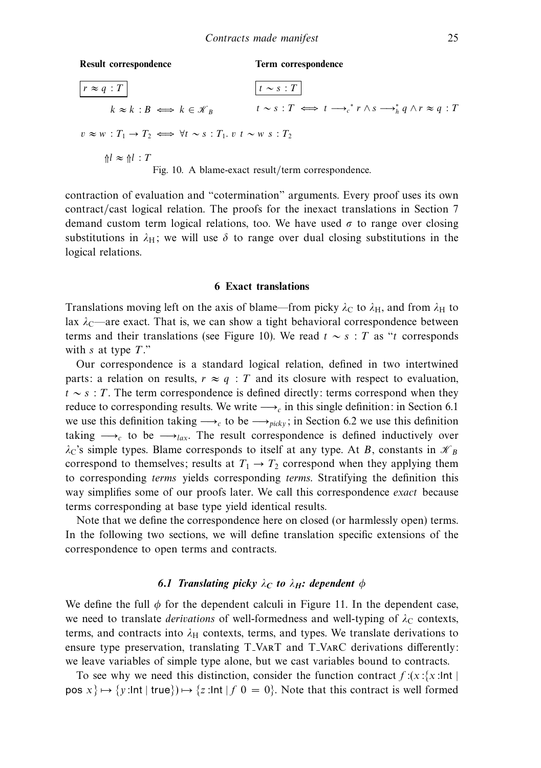**Result correspondence**

**Term correspondence**

 $r \approx q : T$  $k \approx k : B \iff k \in \mathcal{K}_B$  $v \approx w : T_1 \rightarrow T_2 \iff \forall t \sim s : T_1, v \ t \sim w \ s : T_2$  $\Uparrow l \approx \Uparrow l : T$  $t \sim s : T$ t ∼ s : T ⇐⇒ t −→*<sup>c</sup>* <sup>∗</sup> r ∧ s −→∗ *<sup>h</sup>* q ∧ r ≈ q : T

Fig. 10. A blame-exact result/term correspondence.

contraction of evaluation and "cotermination" arguments. Every proof uses its own contract/cast logical relation. The proofs for the inexact translations in Section 7 demand custom term logical relations, too. We have used  $\sigma$  to range over closing substitutions in  $\lambda_H$ ; we will use  $\delta$  to range over dual closing substitutions in the logical relations.

#### **6 Exact translations**

Translations moving left on the axis of blame—from picky  $\lambda_c$  to  $\lambda_H$ , and from  $\lambda_H$  to lax  $\lambda_c$ —are exact. That is, we can show a tight behavioral correspondence between terms and their translations (see Figure 10). We read  $t \sim s$  : T as "t corresponds with s at type  $T$ ."

Our correspondence is a standard logical relation, defined in two intertwined parts: a relation on results,  $r \approx q$ : T and its closure with respect to evaluation,  $t \sim s$ : T. The term correspondence is defined directly: terms correspond when they reduce to corresponding results. We write  $\longrightarrow_c$  in this single definition: in Section 6.1 we use this definition taking  $\longrightarrow_c$  to be  $\longrightarrow_{picky}$ ; in Section 6.2 we use this definition taking  $\rightarrow c$  to be  $\rightarrow lax$ . The result correspondence is defined inductively over  $\lambda$ C's simple types. Blame corresponds to itself at any type. At B, constants in  $\mathcal{K}_B$ correspond to themselves; results at  $T_1 \rightarrow T_2$  correspond when they applying them to corresponding terms yields corresponding terms. Stratifying the definition this way simplifies some of our proofs later. We call this correspondence *exact* because terms corresponding at base type yield identical results.

Note that we define the correspondence here on closed (or harmlessly open) terms. In the following two sections, we will define translation specific extensions of the correspondence to open terms and contracts.

# *6.1 Translating picky*  $\lambda_C$  *to*  $\lambda_H$ : dependent  $\phi$

We define the full  $\phi$  for the dependent calculi in Figure 11. In the dependent case, we need to translate *derivations* of well-formedness and well-typing of  $\lambda_c$  contexts, terms, and contracts into  $\lambda_H$  contexts, terms, and types. We translate derivations to ensure type preservation, translating T\_VART and T\_VARC derivations differently: we leave variables of simple type alone, but we cast variables bound to contracts.

To see why we need this distinction, consider the function contract  $f:(x)(x)$  lnt  $pos x$   $\mapsto \{y : Int | true\}$   $\mapsto \{z : Int | f \neq 0 = 0\}$ . Note that this contract is well formed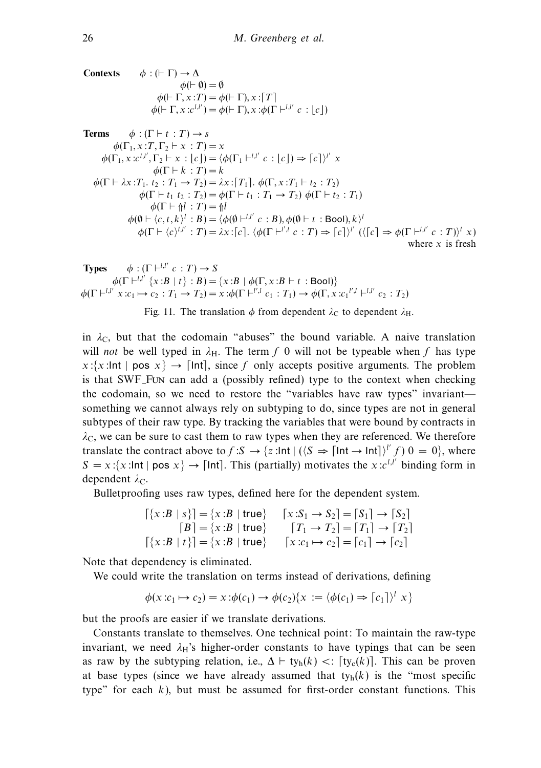**Contexts**  $\phi : (F \Gamma) \to \Delta$  $\phi$ ( $\vdash$   $\emptyset$ ) =  $\emptyset$  $\phi$ ( $\vdash \Gamma, x : T$ ) =  $\phi$ ( $\vdash \Gamma$ )*, x*: [*T*]  $\phi$ ( $\vdash \Gamma, x : c^{l,l'}$ ) =  $\phi$ ( $\vdash \Gamma$ ),  $x : \phi$ ( $\Gamma \vdash^{l,l'} c : \lfloor c \rfloor$ )

**Terms** 
$$
\phi : (\Gamma + t : T) \to s
$$
  
\n $\phi(\Gamma_1, x : T, \Gamma_2 \vdash x : T) = x$   
\n $\phi(\Gamma_1, x : c^{l,l'}, \Gamma_2 \vdash x : [c]) = \langle \phi(\Gamma_1 \vdash^{l,l'} c : [c]) \Rightarrow [c] \rangle^{l'} x$   
\n $\phi(\Gamma \vdash k : T) = k$   
\n $\phi(\Gamma \vdash \lambda x : T_1 \cdot t_2 : T_1 \to T_2) = \lambda x : [T_1], \phi(\Gamma, x : T_1 \vdash t_2 : T_2)$   
\n $\phi(\Gamma \vdash t_1 t_2 : T_2) = \phi(\Gamma \vdash t_1 : T_1 \to T_2) \phi(\Gamma \vdash t_2 : T_1)$   
\n $\phi(\Gamma \vdash \uparrow h : T) = \uparrow l$   
\n $\phi(\emptyset \vdash \langle c, t, k \rangle^l : B) = \langle \phi(\emptyset \vdash^{l,l'} c : B), \phi(\emptyset \vdash t : \text{Bool}), k \rangle^l$   
\n $\phi(\Gamma \vdash \langle c \rangle^{l,l'} : T) = \lambda x : [c], \langle \phi(\Gamma \vdash^{l',l} c : T) \Rightarrow [c] \rangle^{l'} (\langle [c] \Rightarrow \phi(\Gamma \vdash^{l,l'} c : T) \rangle^{l} x)$   
\nwhere x is fresh

**Types** 
$$
\phi : (\Gamma \vdash^{l,l'} c : T) \to S
$$
  
\n $\phi(\Gamma \vdash^{l,l'} \{x : B \mid t\} : B) = \{x : B \mid \phi(\Gamma, x : B \vdash t : \text{Bool})\}$   
\n $\phi(\Gamma \vdash^{l,l'} x : c_1 \mapsto c_2 : T_1 \to T_2) = x : \phi(\Gamma \vdash^{l',l} c_1 : T_1) \to \phi(\Gamma, x : c_1^{l',l} \vdash^{l,l'} c_2 : T_2)$ 

Fig. 11. The translation  $\phi$  from dependent  $\lambda_C$  to dependent  $\lambda_H$ .

in  $\lambda_c$ , but that the codomain "abuses" the bound variable. A naive translation will not be well typed in  $\lambda_H$ . The term f 0 will not be typeable when f has type  $x:\{x:\mathsf{Int} \mid \mathsf{pos}\ x\} \to \mathsf{Int}$ , since f only accepts positive arguments. The problem is that SWF Fun can add a (possibly refined) type to the context when checking the codomain, so we need to restore the "variables have raw types" invariant something we cannot always rely on subtyping to do, since types are not in general subtypes of their raw type. By tracking the variables that were bound by contracts in  $\lambda_C$ , we can be sure to cast them to raw types when they are referenced. We therefore translate the contract above to  $f: S \to \{z : \text{Int} \mid (\langle S \Rightarrow \text{Int} \rightarrow \text{Int} \rangle)^{l'} f\} 0 = 0\}$ , where  $S = x : \{x : \text{Int} \mid \text{pos } x\} \rightarrow \text{Int}.$  This (partially) motivates the  $x : c^{l,l'}$  binding form in dependent  $\lambda_C$ .

Bulletproofing uses raw types, defined here for the dependent system.

$$
\begin{aligned}\n\left[\{x : B \mid s\}\right] &= \{x : B \mid \text{true}\} & \left[x : S_1 \to S_2\right] = \left[S_1\right] \to \left[S_2\right] \\
\left[B\right] &= \{x : B \mid \text{true}\} & \left[T_1 \to T_2\right] = \left[T_1\right] \to \left[T_2\right] \\
\left[\{x : B \mid t\}\right] &= \{x : B \mid \text{true}\} & \left[x : c_1 \mapsto c_2\right] = \left[c_1\right] \to \left[c_2\right]\n\end{aligned}
$$

Note that dependency is eliminated.

We could write the translation on terms instead of derivations, defining

$$
\phi(x:c_1 \mapsto c_2) = x \colon \phi(c_1) \to \phi(c_2) \{x := \langle \phi(c_1) \Rightarrow [c_1] \rangle^l x\}
$$

but the proofs are easier if we translate derivations.

Constants translate to themselves. One technical point: To maintain the raw-type invariant, we need  $\lambda$ <sup>H</sup>'s higher-order constants to have typings that can be seen as raw by the subtyping relation, i.e.,  $\Delta \vdash \text{ty}_{h}(k) < : [\text{ty}_{c}(k)]$ . This can be proven at base types (since we have already assumed that  $ty<sub>h</sub>(k)$  is the "most specific type" for each  $k$ ), but must be assumed for first-order constant functions. This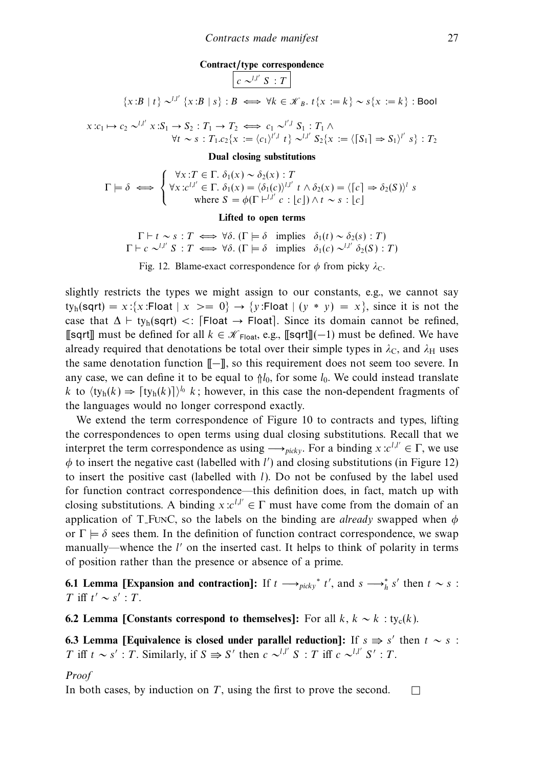#### **Contract/type correspondence**

$$
c \sim^{l,l'} S : T
$$

$$
\{x : B \mid t\} \sim^{l,l'} \{x : B \mid s\} : B \iff \forall k \in \mathcal{K}_B \text{ and } t\{x := k\} \sim s\{x := k\} : \text{Bool}
$$

$$
x:c_1 \mapsto c_2 \sim^{l,l'} x: S_1 \to S_2: T_1 \to T_2 \iff c_1 \sim^{l',l} S_1: T_1 \wedge \forall t \sim s: T_1.c_2\{x := \langle c_1 \rangle^{l',l} t\} \sim^{l,l'} S_2\{x := \langle \lceil S_1 \rceil \Rightarrow S_1 \rangle^{l'} s\} : T_2
$$

#### **Dual closing substitutions**

$$
\Gamma \models \delta \iff \begin{cases} \forall x : T \in \Gamma. \ \delta_1(x) \sim \delta_2(x) : T \\ \forall x : c^{l,l'} \in \Gamma. \ \delta_1(x) = \langle \delta_1(c) \rangle^{l,l'} \ t \wedge \delta_2(x) = \langle [c] \Rightarrow \delta_2(S) \rangle^l \ s \\ \text{where } S = \phi(\Gamma \vdash^{l,l'} c : [c]) \wedge t \sim s : [c] \end{cases}
$$

#### **Lifted to open terms**

 $\Gamma \vdash t \sim s : T \iff \forall \delta.$  ( $\Gamma \models \delta$  implies  $\delta_1(t) \sim \delta_2(s) : T$ )  $\Gamma \vdash c \sim^{l,l'} S : T \iff \forall \delta. (\Gamma \models \delta \text{ implies } \delta_1(c) \sim^{l,l'} \delta_2(S) : T)$ 

Fig. 12. Blame-exact correspondence for  $\phi$  from picky  $\lambda_c$ .

slightly restricts the types we might assign to our constants, e.g., we cannot say ty<sub>h</sub>(sqrt) = x:{x:Float  $|x\rangle = 0$ }  $\rightarrow$  {y:Float  $|(y * y) = x$ }, since it is not the case that  $\Delta \vdash \text{ty}_h(\text{sqrt}) \lt: [\text{Float} \rightarrow \text{Float}]$ . Since its domain cannot be refined, [[sqrt]] must be defined for all  $k \in \mathcal{K}_{\text{Float}}$ , e.g., [[sqrt]](-1) must be defined. We have already required that denotations be total over their simple types in  $\lambda_C$ , and  $\lambda_H$  uses the same denotation function [[−]], so this requirement does not seem too severe. In any case, we can define it to be equal to  $\frac{1}{0}$ , for some  $l_0$ . We could instead translate k to  $\langle \text{ty}_h(k) \Rightarrow [\text{ty}_h(k)] \rangle^{l_0}$  k; however, in this case the non-dependent fragments of the languages would no longer correspond exactly.

We extend the term correspondence of Figure 10 to contracts and types, lifting the correspondences to open terms using dual closing substitutions. Recall that we interpret the term correspondence as using  $\longrightarrow_{\text{picky}}$ . For a binding  $x: c^{l,l'} \in \Gamma$ , we use  $\phi$  to insert the negative cast (labelled with  $l'$ ) and closing substitutions (in Figure 12) to insert the positive cast (labelled with l). Do not be confused by the label used for function contract correspondence—this definition does, in fact, match up with closing substitutions. A binding  $x: c^{l,l'} \in \Gamma$  must have come from the domain of an application of T<sub>-FUNC</sub>, so the labels on the binding are *already* swapped when  $\phi$ or  $\Gamma \models \delta$  sees them. In the definition of function contract correspondence, we swap manually—whence the  $l'$  on the inserted cast. It helps to think of polarity in terms of position rather than the presence or absence of a prime.

**6.1 Lemma [Expansion and contraction]:** If  $t \rightarrow_{picky} t'$ , and  $s \rightarrow_h^* s'$  then  $t \sim s$ :  $T$  iff  $t' \sim s'$  :  $T$ .

**6.2 Lemma [Constants correspond to themselves]:** For all  $k, k \sim k$  : ty<sub>c</sub>(k).

**6.3 Lemma [Equivalence is closed under parallel reduction]:** If  $s \Rightarrow s'$  then  $t \sim s$ : T iff  $t \sim s'$ : T. Similarly, if  $S \Rightarrow S'$  then  $c \sim^{l,l'} S$ : T iff  $c \sim^{l,l'} S'$ : T.

Proof

In both cases, by induction on T, using the first to prove the second.  $\square$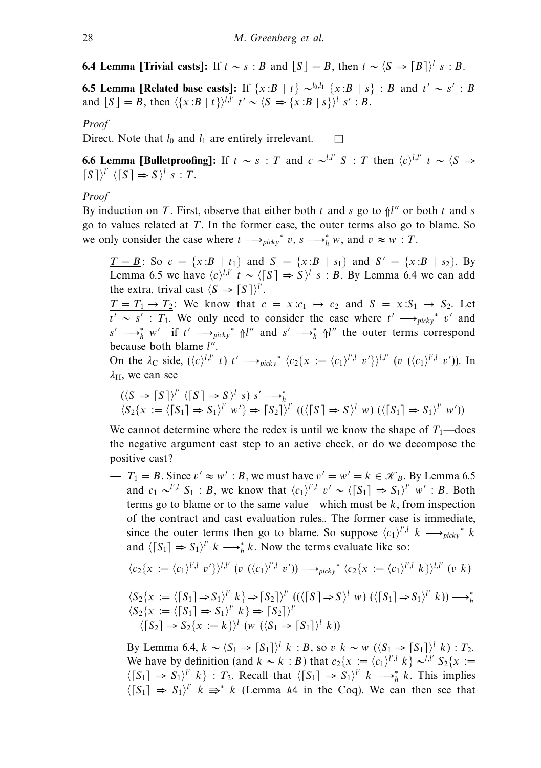**6.4 Lemma [Trivial casts]:** If  $t \sim s : B$  and  $\lfloor S \rfloor = B$ , then  $t \sim \langle S \Rightarrow [B] \rangle^l s : B$ .

**6.5 Lemma [Related base casts]:** If  $\{x:B | t\} \sim \{b,b\}$   $\{x:B | s\} : B$  and  $t' \sim s' : B$ and  $[S] = B$ , then  $\langle \{x : B | t\} \rangle^{l,l'}$   $t' \sim \langle S \Rightarrow \{x : B | s\} \rangle^{l}$  s' : B.

Proof

Direct. Note that  $l_0$  and  $l_1$  are entirely irrelevant.  $\Box$ 

**6.6 Lemma [Bulletproofing]:** If  $t \sim s$  : T and  $c \sim l^{l,l'} S$  : T then  $\langle c \rangle^{l,l'} t \sim \langle S \rangle$  ⇒  $[S]$ <sup>''</sup>  $\langle [S] \Rightarrow S$ <sup>''</sup> s : T.

# Proof

By induction on T. First, observe that either both t and s go to  $\frac{1}{n}$  or both t and s go to values related at  $T$ . In the former case, the outer terms also go to blame. So we only consider the case where  $t \longrightarrow_{picky}^* v$ ,  $s \longrightarrow_h^* w$ , and  $v \approx w : T$ .

 $\underline{T = B}$ : So  $c = \{x : B | t_1\}$  and  $S = \{x : B | s_1\}$  and  $S' = \{x : B | s_2\}$ . By Lemma 6.5 we have  $\langle c \rangle^{l,l'}$   $t \sim \langle [S] \Rightarrow S \rangle^{l}$  s : B. By Lemma 6.4 we can add the extra, trival cast  $\langle S \Rightarrow [S] \rangle^{l'}$ .

 $T = T_1 \rightarrow T_2$ : We know that  $c = x: c_1 \mapsto c_2$  and  $S = x: S_1 \rightarrow S_2$ . Let  $t' \sim s'$ : T<sub>1</sub>. We only need to consider the case where  $t' \rightarrow_{nickv} t'$  v' and  $s' \longrightarrow_h^* w'$ —if  $t' \longrightarrow_{picky}^* \Uparrow l''$  and  $s' \longrightarrow_h^* \Uparrow l''$  the outer terms correspond because both blame  $l''$ .

On the  $\lambda_c$  side,  $(\langle c \rangle^{l,l'} \ t) \ t' \longrightarrow_{picky^*} \langle c_2\{x := \langle c_1 \rangle^{l',l} \ v'\}^{l,l'} \ (v \ (\langle c_1 \rangle^{l',l} \ v') )$ . In *λ*H, we can see

$$
(\langle S \Rightarrow [S']\rangle^{l'} \langle [S] \Rightarrow S\rangle^{l} s) s' \longrightarrow_h^*
$$
  

$$
\langle S_2\{x := \langle [S_1] \Rightarrow S_1\rangle^{l'} w'\} \Rightarrow [S_2]\rangle^{l'} ((\langle [S] \Rightarrow S\rangle^{l} w) (\langle [S_1] \Rightarrow S_1\rangle^{l'} w'))
$$

We cannot determine where the redex is until we know the shape of  $T_1$ —does the negative argument cast step to an active check, or do we decompose the positive cast?

 $- T_1 = B$ . Since  $v' \approx w' : B$ , we must have  $v' = w' = k \in \mathcal{K}_B$ . By Lemma 6.5 and  $c_1 \sim^{l',l} S_1 : B$ , we know that  $\langle c_1 \rangle^{l',l} v' \sim \langle [S_1] \Rightarrow S_1 \rangle^{l'} w' : B$ . Both terms go to blame or to the same value—which must be  $k$ , from inspection of the contract and cast evaluation rules.. The former case is immediate, since the outer terms then go to blame. So suppose  $\langle c_1 \rangle^{l',l}$  k  $\longrightarrow_{\text{picky}}^*$  k and  $\langle [S_1] \Rightarrow S_1 \rangle^{l'}$  k  $\longrightarrow_h^*$  k. Now the terms evaluate like so:

$$
\langle c_2\{x := \langle c_1 \rangle^{l',l} v'\}\rangle^{l,l'} \ (v \ (\langle c_1 \rangle^{l',l} v')\) \longrightarrow_{\text{picky}}^* \langle c_2\{x := \langle c_1 \rangle^{l',l} k\}\rangle^{l,l'} \ (v \ k)
$$

$$
\langle S_2\{x := \langle [S_1] \Rightarrow S_1 \rangle^l \ k\} \Rightarrow [S_2] \rangle^l \ ((\langle [S] \Rightarrow S \rangle^l \ w) \ (\langle [S_1] \Rightarrow S_1 \rangle^l \ k)) \longrightarrow_h^* \langle S_2\{x := \langle [S_1] \Rightarrow S_1 \rangle^l \ k\} \Rightarrow [S_2] \rangle^l \langle [S_2] \Rightarrow S_2\{x := k\} \rangle^l \ (w \ (\langle S_1 \Rightarrow [S_1] \rangle^l \ k))
$$

By Lemma 6.4,  $k \sim \langle S_1 \Rightarrow [S_1] \rangle^l$  k : B, so v k ~ w  $(\langle S_1 \Rightarrow [S_1] \rangle^l$  k) :  $T_2$ . We have by definition (and  $k \sim k : B$ ) that  $c_2\{x := (c_1)^{l',l}, k\} \sim^{l,l'} S_2\{x := k' \}$  $\langle [S_1] \Rightarrow S_1 \rangle^l \langle k \rangle : T_2$ . Recall that  $\langle [S_1] \Rightarrow S_1 \rangle^l \langle k \rangle \longrightarrow_h^* k$ . This implies  $\langle [S_1] \Rightarrow S_1 \rangle^{\mu}$   $k \Rightarrow^* k$  (Lemma A4 in the Coq). We can then see that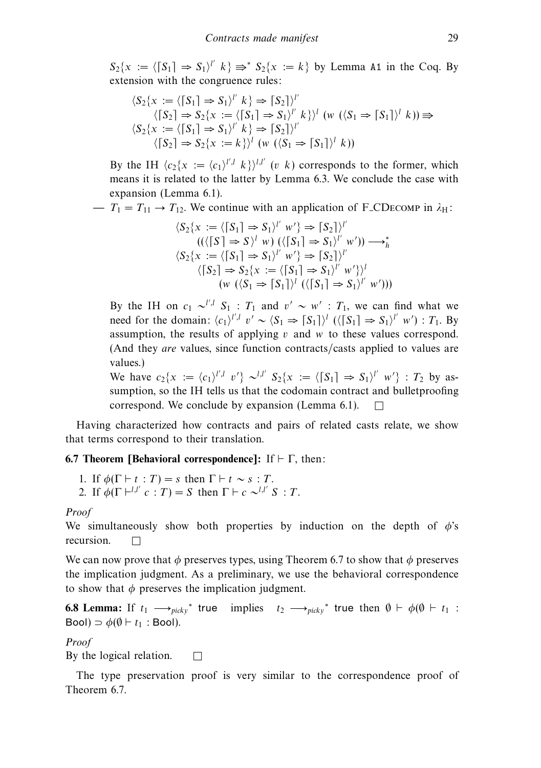$S_2\{x := \langle [S_1] \Rightarrow S_1 \rangle^{l'} | k\} \Rightarrow^* S_2\{x := k\}$  by Lemma A1 in the Coq. By extension with the congruence rules:

$$
\langle S_2\{x := \langle [S_1] \Rightarrow S_1 \rangle^l | k \rangle \Rightarrow [S_2] \rangle^l
$$
  

$$
\langle [S_2] \Rightarrow S_2\{x := \langle [S_1] \Rightarrow S_1 \rangle^l | k \rangle\}^l (w (\langle S_1 \Rightarrow [S_1] \rangle^l | k)) \Rightarrow
$$
  

$$
\langle S_2\{x := \langle [S_1] \Rightarrow S_1 \rangle^l | k \rangle \Rightarrow [S_2] \rangle^l
$$
  

$$
\langle [S_2] \Rightarrow S_2\{x := k \} \rangle^l (w (\langle S_1 \Rightarrow [S_1] \rangle^l | k))
$$

By the IH  $\langle c_2\{x := \langle c_1 \rangle^{l',l} | k \rangle^{l,l'}$  (v k) corresponds to the former, which means it is related to the latter by Lemma 6.3. We conclude the case with expansion (Lemma 6.1).

 $T_1 = T_{11} \rightarrow T_{12}$ . We continue with an application of F<sub>-CDECOMP</sub> in  $\lambda_H$ :

$$
\langle S_2\{x := \langle [S_1] \Rightarrow S_1 \rangle^l w' \} \Rightarrow [S_2]\rangle^l
$$
  
\n
$$
((\langle [S] \Rightarrow S \rangle^l w) (\langle [S_1] \Rightarrow S_1 \rangle^l w') ) \longrightarrow_h^*
$$
  
\n
$$
\langle S_2\{x := \langle [S_1] \Rightarrow S_1 \rangle^l w' \} \Rightarrow [S_2]\rangle^l
$$
  
\n
$$
\langle [S_2] \Rightarrow S_2\{x := \langle [S_1] \Rightarrow S_1 \rangle^l w' \} \rangle^l
$$
  
\n
$$
(w (\langle S_1 \Rightarrow [S_1] \rangle^l (\langle [S_1] \Rightarrow S_1 \rangle^l w')))
$$

By the IH on  $c_1 \sim^{l',l} S_1 : T_1$  and  $v' \sim w' : T_1$ , we can find what we need for the domain:  $\langle c_1 \rangle^{l',l}$   $v' \sim \langle S_1 \Rightarrow [S_1] \rangle^l$  ( $\langle [S_1] \Rightarrow S_1 \rangle^{l'}$  w') :  $T_1$ . By assumption, the results of applying  $v$  and  $w$  to these values correspond. (And they are values, since function contracts/casts applied to values are values.)

We have  $c_2\{x := \langle c_1 \rangle^{l',l} \ v'\} \sim^{l,l'} S_2\{x := \langle [S_1] \Rightarrow S_1 \rangle^{l'} \ w'\} : T_2$  by assumption, so the IH tells us that the codomain contract and bulletproofing correspond. We conclude by expansion (Lemma 6.1).  $\Box$ 

Having characterized how contracts and pairs of related casts relate, we show that terms correspond to their translation.

# **6.7 Theorem [Behavioral correspondence]:** If  $\vdash \Gamma$ , then:

1. If  $\phi(\Gamma \vdash t : T) = s$  then  $\Gamma \vdash t \sim s : T$ . 2. If  $\phi(\Gamma \vdash^{l,l'} c : T) = S$  then  $\Gamma \vdash c \sim^{l,l'} S : T$ .

## Proof

We simultaneously show both properties by induction on the depth of  $\phi$ 's recursion.  $\Box$ 

We can now prove that  $\phi$  preserves types, using Theorem 6.7 to show that  $\phi$  preserves the implication judgment. As a preliminary, we use the behavioral correspondence to show that  $\phi$  preserves the implication judgment.

**6.8 Lemma:** If  $t_1 \longrightarrow_{picky}^*$  true implies  $t_2 \longrightarrow_{picky}^*$  true then  $\emptyset \vdash \phi(\emptyset \vdash t_1)$ : Bool)  $\Rightarrow$   $\phi(\emptyset \vdash t_1 : \text{Bool})$ .

Proof

By the logical relation.  $\Box$ 

The type preservation proof is very similar to the correspondence proof of Theorem 6.7.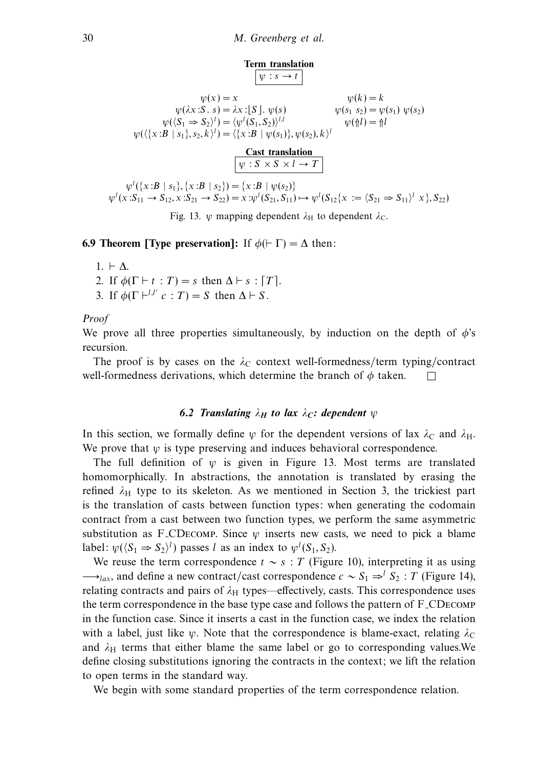

Fig. 13. *ψ* mapping dependent  $\lambda_H$  to dependent  $\lambda_C$ .

**6.9 Theorem [Type preservation]:** If  $\phi$ ( $\vdash$   $\Gamma$ ) =  $\Delta$  then:

- 1.  $\vdash$   $\Delta$ .
- 2. If  $\phi(\Gamma \vdash t : T) = s$  then  $\Delta \vdash s : |T|$ .
- 3. If  $\phi(\Gamma \vdash^{l,l'} c : T) = S$  then  $\Delta \vdash S$ .

Proof

We prove all three properties simultaneously, by induction on the depth of  $\phi$ 's recursion.

The proof is by cases on the  $\lambda_c$  context well-formedness/term typing/contract well-formedness derivations, which determine the branch of  $\phi$  taken.

# *6.2 Translating*  $\lambda_H$  *to lax*  $\lambda_C$ : *dependent*  $\psi$

In this section, we formally define  $\psi$  for the dependent versions of lax  $\lambda_C$  and  $\lambda_H$ . We prove that  $\psi$  is type preserving and induces behavioral correspondence.

The full definition of  $\psi$  is given in Figure 13. Most terms are translated homomorphically. In abstractions, the annotation is translated by erasing the refined  $\lambda_H$  type to its skeleton. As we mentioned in Section 3, the trickiest part is the translation of casts between function types: when generating the codomain contract from a cast between two function types, we perform the same asymmetric substitution as F<sub>-CDECOMP</sub>. Since  $\psi$  inserts new casts, we need to pick a blame label:  $\psi(\langle S_1 \Rightarrow S_2 \rangle^l)$  passes l as an index to  $\psi^l(S_1, S_2)$ .

We reuse the term correspondence  $t \sim s$  : T (Figure 10), interpreting it as using  $\rightarrow$ <sub>*lax*</sub>, and define a new contract/cast correspondence  $c \sim S_1 \Rightarrow^l S_2 : T$  (Figure 14), relating contracts and pairs of  $\lambda$ <sub>H</sub> types—effectively, casts. This correspondence uses the term correspondence in the base type case and follows the pattern of F CDecomp in the function case. Since it inserts a cast in the function case, we index the relation with a label, just like  $\psi$ . Note that the correspondence is blame-exact, relating  $\lambda_c$ and  $\lambda$ <sub>H</sub> terms that either blame the same label or go to corresponding values.We define closing substitutions ignoring the contracts in the context; we lift the relation to open terms in the standard way.

We begin with some standard properties of the term correspondence relation.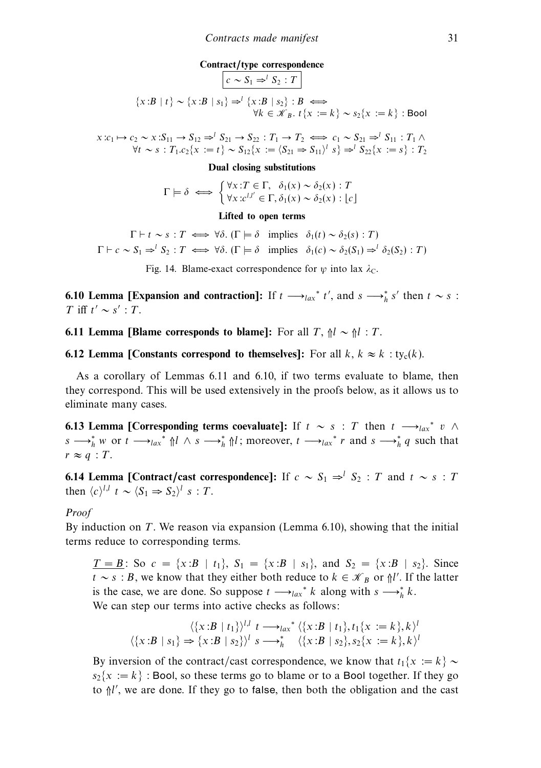#### **Contract/type correspondence**

$$
\begin{aligned}\n\left[c \sim S_1 \Rightarrow^l S_2 : T\right] \\
\{x : B \mid t\} &\sim \{x : B \mid s_1\} \Rightarrow^l \{x : B \mid s_2\} : B \iff \\
\forall k \in \mathcal{K}_B. \ t\{x := k\} \sim s_2\{x := k\} : \text{Bool}\n\end{aligned}
$$

$$
x:c_1 \mapsto c_2 \sim x: S_{11} \to S_{12} \Rightarrow^{l} S_{21} \to S_{22}: T_1 \to T_2 \iff c_1 \sim S_{21} \Rightarrow^{l} S_{11}: T_1 \wedge^{l} V \to s: T_1.c_2\{x := t\} \sim S_{12}\{x := (S_{21} \Rightarrow S_{11})^{l} s\} \Rightarrow^{l} S_{22}\{x := s\}: T_2
$$

**Dual closing substitutions**

$$
\Gamma \models \delta \iff \begin{cases} \forall x : T \in \Gamma, \ \delta_1(x) \sim \delta_2(x) : T \\ \forall x : c^{l,l'} \in \Gamma, \delta_1(x) \sim \delta_2(x) : \lfloor c \rfloor \end{cases}
$$

**Lifted to open terms**

 $\Gamma \vdash t \sim s : T \iff \forall \delta.$  ( $\Gamma \models \delta$  implies  $\delta_1(t) \sim \delta_2(s) : T$ )  $\Gamma \vdash c \sim S_1 \Rightarrow^l S_2 : T \iff \forall \delta.$  ( $\Gamma \models \delta$  implies  $\delta_1(c) \sim \delta_2(S_1) \Rightarrow^l \delta_2(S_2) : T$ )

Fig. 14. Blame-exact correspondence for  $\psi$  into lax  $\lambda_c$ .

**6.10 Lemma [Expansion and contraction]:** If  $t \rightarrow_{lax}^* t'$ , and  $s \rightarrow_{h}^* s'$  then  $t \sim s$ : T iff  $t' \sim s'$  : T.

**6.11 Lemma [Blame corresponds to blame]:** For all  $T$ ,  $\uparrow \mathcal{U} \sim \uparrow \mathcal{U}$  : T.

**6.12 Lemma [Constants correspond to themselves]:** For all  $k, k \approx k$  : ty<sub>c</sub>(k).

As a corollary of Lemmas 6.11 and 6.10, if two terms evaluate to blame, then they correspond. This will be used extensively in the proofs below, as it allows us to eliminate many cases.

**6.13 Lemma [Corresponding terms coevaluate]:** If  $t \sim s : T$  then  $t \rightarrow_{lax}^* v \land$  $s \rightarrow_h^* w$  or  $t \rightarrow_{lax}^* \mathcal{M} \wedge s \rightarrow_h^* \mathcal{M}$ ; moreover,  $t \rightarrow_{lax}^* r$  and  $s \rightarrow_h^* q$  such that  $r \approx q : T$ .

**6.14 Lemma [Contract/cast correspondence]:** If  $c \sim S_1 \Rightarrow^l S_2 : T$  and  $t \sim s : T$ then  $\langle c \rangle^{l,l}$  t ~  $\langle S_1 \Rightarrow S_2 \rangle^{l}$  s : T.

## Proof

By induction on  $T$ . We reason via expansion (Lemma 6.10), showing that the initial terms reduce to corresponding terms.

 $T = B$ : So  $c = \{x : B | t_1\}$ ,  $S_1 = \{x : B | s_1\}$ , and  $S_2 = \{x : B | s_2\}$ . Since  $t \sim s : B$ , we know that they either both reduce to  $k \in \mathcal{K}_B$  or  $\int l'$ . If the latter is the case, we are done. So suppose  $t \rightarrow_{lax}^* k$  along with  $s \rightarrow_{h}^* k$ . We can step our terms into active checks as follows:

$$
\langle \{x:B \mid t_1\} \rangle^{l,l} \quad t \longrightarrow_{lax}^* \langle \{x:B \mid t_1\}, t_1\{x := k\}, k \rangle^l
$$
  

$$
\langle \{x:B \mid s_1\} \Rightarrow \{x:B \mid s_2\} \rangle^l \quad s \longrightarrow_h^* \quad \langle \{x:B \mid s_2\}, s_2\{x := k\}, k \rangle^l
$$

By inversion of the contract/cast correspondence, we know that  $t_1\{x := k\} \sim$  $s_2\{x := k\}$ : Bool, so these terms go to blame or to a Bool together. If they go to  $\frac{1}{n}$ , we are done. If they go to false, then both the obligation and the cast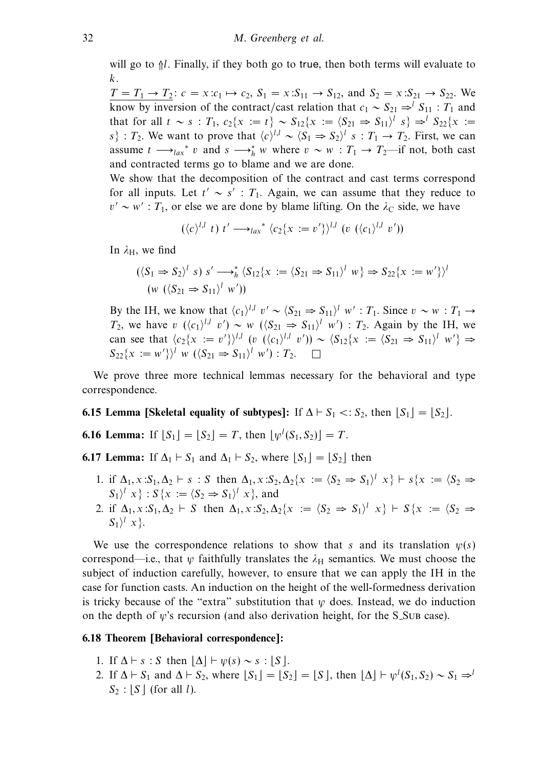will go to  $\frac{1}{1}$ . Finally, if they both go to true, then both terms will evaluate to k.

 $T = T_1 \rightarrow T_2$ :  $c = x:c_1 \mapsto c_2$ ,  $S_1 = x:S_{11} \rightarrow S_{12}$ , and  $S_2 = x:S_{21} \rightarrow S_{22}$ . We know by inversion of the contract/cast relation that  $c_1 \sim S_{21} \Rightarrow^l S_{11} : T_1$  and that for all  $t \sim s : T_1, c_2\{x := t\} \sim S_{12}\{x := (S_{21} \Rightarrow S_{11})^l s\} \Rightarrow^l S_{22}\{x := t\}$ s} : T<sub>2</sub>. We want to prove that  $\langle c \rangle^{l,l} \sim \langle S_1 \Rightarrow S_2 \rangle^l$  s : T<sub>1</sub> → T<sub>2</sub>. First, we can assume  $t \longrightarrow_{lax}^* v$  and  $s \longrightarrow_h^* w$  where  $v \sim w : T_1 \rightarrow T_2$ —if not, both cast and contracted terms go to blame and we are done.

We show that the decomposition of the contract and cast terms correspond for all inputs. Let  $t' \sim s'$ :  $T_1$ . Again, we can assume that they reduce to  $v' \sim w'$ : T<sub>1</sub>, or else we are done by blame lifting. On the  $\lambda_c$  side, we have

$$
(\langle c \rangle^{l,l} t) t' \longrightarrow_{lax}^* \langle c_2 \{x := v' \} \rangle^{l,l} (v (\langle c_1 \rangle^{l,l} v'))
$$

In  $\lambda_H$ , we find

$$
(\langle S_1 \Rightarrow S_2 \rangle^l s) s' \longrightarrow_h^* \langle S_{12} \{x := \langle S_{21} \Rightarrow S_{11} \rangle^l w \} \Rightarrow S_{22} \{x := w'\}\rangle^l
$$
  

$$
(w \ (\langle S_{21} \Rightarrow S_{11} \rangle^l w'))
$$

By the IH, we know that  $\langle c_1 \rangle^{l,l}$  v' ~  $\langle S_{21} \Rightarrow S_{11} \rangle^l$  w' :  $T_1$ . Since  $v \sim w : T_1 \rightarrow$  $T_2$ , we have v  $(\langle c_1 \rangle^{l,l} v') \sim w \ (\langle S_{21} \Rightarrow S_{11} \rangle^l w') : T_2$ . Again by the IH, we can see that  $\langle c_2\{x := v'\}\rangle^{l,l}$  (v  $(\langle c_1\rangle^{l,l}$  v')) ~  $\langle S_{12}\{x := \langle S_{21} \Rightarrow S_{11}\rangle^{l}$  w'}  $\Rightarrow$  $S_{22}\{x := w'\}\}' w (\langle S_{21} \Rightarrow S_{11}\rangle^l w') : T_2. \square$ 

We prove three more technical lemmas necessary for the behavioral and type correspondence.

# **6.15 Lemma [Skeletal equality of subtypes]:** If  $\Delta \vdash S_1 \lt S_2$ , then  $\lfloor S_1 \rfloor = \lfloor S_2 \rfloor$ .

**6.16 Lemma:** If  $[S_1] = [S_2] = T$ , then  $[\psi^l(S_1, S_2)] = T$ .

**6.17 Lemma:** If  $\Delta_1 \vdash S_1$  and  $\Delta_1 \vdash S_2$ , where  $\lfloor S_1 \rfloor = \lfloor S_2 \rfloor$  then

- 1. if  $\Delta_1$ ,  $x : S_1, \Delta_2 \vdash s : S$  then  $\Delta_1$ ,  $x : S_2, \Delta_2\{x := \langle S_2 \Rightarrow S_1 \rangle^l x \} \vdash s\{x := \langle S_2 \Rightarrow S_2 \rangle^l x \}$  $S_1$ <sup>l</sup> x } :  $S$  {x :=  $\langle S_2 \Rightarrow S_1 \rangle$ <sup>l</sup> x }, and
- 2. if  $\Delta_1$ ,  $x : S_1, \Delta_2 \vdash S$  then  $\Delta_1$ ,  $x : S_2, \Delta_2\{x := \langle S_2 \Rightarrow S_1 \rangle \mid x \} \vdash S\{x := \langle S_2 \Rightarrow S_2 \mid x \rangle\}$  $S_1$ <sup>l</sup>  $x$ <sup>}</sup>.

We use the correspondence relations to show that s and its translation  $\psi(s)$ correspond—i.e., that *ψ* faithfully translates the  $\lambda_H$  semantics. We must choose the subject of induction carefully, however, to ensure that we can apply the IH in the case for function casts. An induction on the height of the well-formedness derivation is tricky because of the "extra" substitution that  $\psi$  does. Instead, we do induction on the depth of *w*'s recursion (and also derivation height, for the S<sub>-SUB</sub> case).

#### **6.18 Theorem [Behavioral correspondence]:**

- 1. If  $\Delta \vdash s : S$  then  $|\Delta| \vdash \psi(s) \sim s : |S|$ .
- 2. If  $\Delta \vdash S_1$  and  $\Delta \vdash S_2$ , where  $\lfloor S_1 \rfloor = \lfloor S_2 \rfloor = \lfloor S \rfloor$ , then  $\lfloor \Delta \rfloor \vdash \psi^l(S_1, S_2) \sim S_1 \Rightarrow^l \psi^l(S_1, S_2)$  $S_2$ :  $|S|$  (for all l).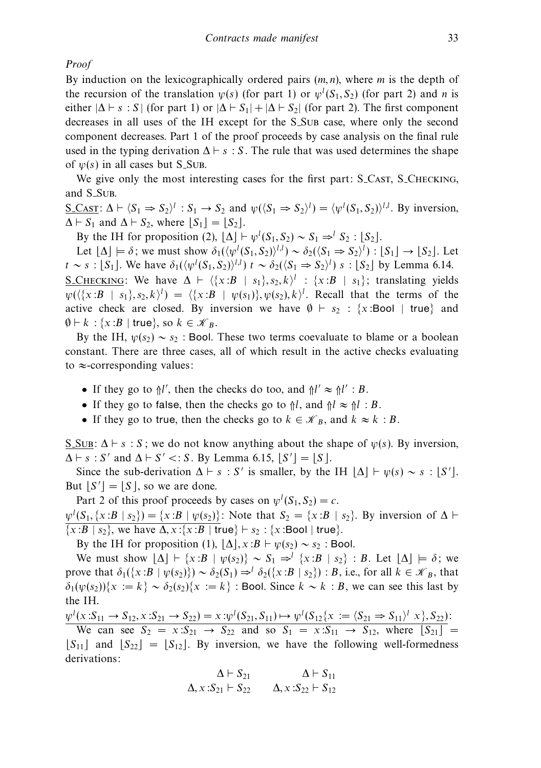Proof

By induction on the lexicographically ordered pairs (*m, n*), where *m* is the depth of the recursion of the translation  $\psi(s)$  (for part 1) or  $\psi^l(S_1, S_2)$  (for part 2) and *n* is either  $|\Delta \vdash s : S|$  (for part 1) or  $|\Delta \vdash S_1| + |\Delta \vdash S_2|$  (for part 2). The first component decreases in all uses of the IH except for the S Sub case, where only the second component decreases. Part 1 of the proof proceeds by case analysis on the final rule used in the typing derivation  $\Delta \vdash s : S$ . The rule that was used determines the shape of  $\psi(s)$  in all cases but S\_SUB.

We give only the most interesting cases for the first part: S\_CAST, S\_CHECKING, and S<sub>-SUB</sub>.

 $\underline{S\_CAST}$ :  $\Delta \vdash \langle S_1 \Rightarrow S_2 \rangle^l$  :  $S_1 \rightarrow S_2$  and  $\psi(\langle S_1 \Rightarrow S_2 \rangle^l) = \langle \psi^l(S_1, S_2) \rangle^{l,l}$ . By inversion,  $\Delta \vdash S_1$  and  $\Delta \vdash S_2$ , where  $[S_1] = [S_2]$ .

By the IH for proposition (2),  $\lfloor \Delta \rfloor \vdash \psi^l(S_1, S_2) \sim S_1 \Rightarrow^l S_2 : \lfloor S_2 \rfloor$ .

Let  $[\Delta] \models \delta$ ; we must show  $\delta_1(\langle \psi^l(S_1, S_2) \rangle^{l,l}) \sim \delta_2(\langle S_1 \Rightarrow S_2 \rangle^l) : [S_1] \rightarrow [S_2]$ . Let  $t \sim s : [S_1]$ . We have  $\delta_1(\langle \psi^l(S_1, S_2) \rangle^{l,l})$   $t \sim \delta_2(\langle S_1 \Rightarrow S_2 \rangle^l)$  s :  $[S_2]$  by Lemma 6.14. S\_CHECKING: We have  $\Delta \vdash \langle \{x : B | s_1\}, s_2, k \rangle^l : \{x : B | s_1\}$ ; translating yields  $\psi(\langle \{x:B \mid s_1\}, s_2, k \rangle^l) = \langle \{x:B \mid \psi(s_1)\}, \psi(s_2), k \rangle^l$ . Recall that the terms of the active check are closed. By inversion we have  $\emptyset \vdash s_2 : \{x : \text{Bool} \mid \text{true}\}\$ and  $\emptyset \vdash k : \{x : B \mid \text{true}\}, \text{ so } k \in \mathcal{K}_B.$ 

By the IH,  $\psi(s_2) \sim s_2$ : Bool. These two terms coevaluate to blame or a boolean constant. There are three cases, all of which result in the active checks evaluating to  $\approx$ -corresponding values:

- If they go to  $\frac{1}{l}$ , then the checks do too, and  $\frac{1}{l'} \approx \frac{1}{l'}$ : B.
- If they go to false, then the checks go to  $\frac{1}{1}$ , and  $\frac{1}{1} \approx \frac{1}{1}$ : B.
- If they go to true, then the checks go to  $k \in \mathcal{K}_B$ , and  $k \approx k : B$ .

<u>S.Sub:</u>  $\Delta \vdash s : S$ ; we do not know anything about the shape of  $\psi(s)$ . By inversion,  $\Delta \vdash s : S'$  and  $\Delta \vdash S' \lt: S$ . By Lemma 6.15,  $\lfloor S' \rfloor = \lfloor S \rfloor$ .

Since the sub-derivation  $\Delta \vdash s : S'$  is smaller, by the IH  $\lfloor \Delta \rfloor \vdash \psi(s) \sim s : S'$ . But  $[S'] = [S]$ , so we are done.

Part 2 of this proof proceeds by cases on  $\psi^l(S_1, S_2) = c$ .  $\psi^l(S_1, \{x : B \mid s_2\}) = \{x : B \mid \psi(s_2)\}$ : Note that  $S_2 = \{x : B \mid s_2\}$ . By inversion of  $\Delta \vdash$  $\{x : B | s_2\}$ , we have  $\Delta$ ,  $x : \{x : B | true\} \vdash s_2 : \{x : \text{Bool} | true\}.$ 

By the IH for proposition (1),  $|\Delta|$ ,  $x : B \vdash \psi(s_2) \sim s_2$ : Bool.

We must show  $|\Delta| + \{x : B | \psi(s_2)\} \sim S_1 \Rightarrow^{l} \{x : B | s_2\} : B$ . Let  $|\Delta| \models \delta$ ; we prove that  $\delta_1({x:B \mid \psi(s_2)} \sim \delta_2(S_1) \Rightarrow^l \delta_2({x:B \mid s_2})$ : B, i.e., for all  $k \in \mathcal{K}_B$ , that  $\delta_1(\psi(s_2))\{x := k\} \sim \delta_2(s_2)\{x := k\}$ : Bool. Since  $k \sim k : B$ , we can see this last by the IH.

 $\psi^l(x: S_{11} \to S_{12}, x: S_{21} \to S_{22}) = x: \psi^l(S_{21}, S_{11}) \mapsto \psi^l(S_{12}\{x:=(S_{21} \Rightarrow S_{11})^l x\}, S_{22})$ We can see  $S_2 = x: S_{21} \rightarrow S_{22}$  and so  $S_1 = x: S_{11} \rightarrow S_{12}$ , where  $[S_{21}] =$ 

 $|S_{11}|$  and  $|S_{22}| = |S_{12}|$ . By inversion, we have the following well-formedness derivations:

$$
\Delta \vdash S_{21} \qquad \Delta \vdash S_{11}
$$
  

$$
\Delta, x : S_{21} \vdash S_{22} \qquad \Delta, x : S_{22} \vdash S_{12}
$$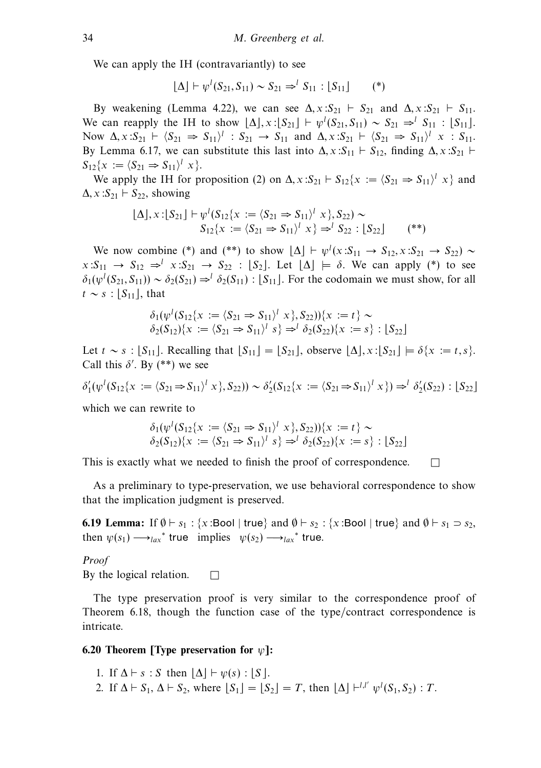We can apply the IH (contravariantly) to see

$$
[\Delta] \vdash \psi^l(S_{21}, S_{11}) \sim S_{21} \Rightarrow^l S_{11} : [S_{11}] \quad (*)
$$

By weakening (Lemma 4.22), we can see  $\Delta$ ,  $x : S_{21} \vdash S_{21}$  and  $\Delta$ ,  $x : S_{21} \vdash S_{11}$ . We can reapply the IH to show  $[\Delta]$ ,  $x:[S_{21}] \vdash \psi^l(S_{21}, S_{11}) \sim S_{21} \Rightarrow^l S_{11} : [S_{11}]$ . Now  $\Delta$ ,  $x: S_{21} \vdash \langle S_{21} \Rightarrow S_{11} \rangle^l : S_{21} \rightarrow S_{11}$  and  $\Delta$ ,  $x: S_{21} \vdash \langle S_{21} \Rightarrow S_{11} \rangle^l : S_{11}$ . By Lemma 6.17, we can substitute this last into  $\Delta$ ,  $x : S_{11} \vdash S_{12}$ , finding  $\Delta$ ,  $x : S_{21} \vdash$  $S_{12}{x := \langle S_{21} \Rightarrow S_{11} \rangle}^l x$ .

We apply the IH for proposition (2) on  $\Delta$ ,  $x: S_{21} \vdash S_{12} \{x := \langle S_{21} \Rightarrow S_{11} \rangle^l x\}$  and  $\Delta$ ,  $x : S_{21} \vdash S_{22}$ , showing

$$
\begin{array}{l} [\Delta], x : [S_{21}] \vdash \psi^l (S_{12} \{ x := \langle S_{21} \Rightarrow S_{11} \rangle^l x \}, S_{22}) \sim \\ S_{12} \{ x := \langle S_{21} \Rightarrow S_{11} \rangle^l x \} \Rightarrow^l S_{22} : [S_{22}] \end{array} \tag{**}
$$

We now combine (\*) and (\*\*) to show  $[\Delta] \vdash \psi^l(x : S_{11} \rightarrow S_{12}, x : S_{21} \rightarrow S_{22})$  ~  $x: S_{11} \rightarrow S_{12} \Rightarrow^{l} x: S_{21} \rightarrow S_{22} : [S_2]$ . Let  $[\Delta] \models \delta$ . We can apply (\*) to see  $\delta_1(\psi^l(S_{21}, S_{11})) \sim \delta_2(S_{21}) \Rightarrow^l \delta_2(S_{11})$ : [S<sub>11</sub>]. For the codomain we must show, for all  $t \sim s$ :  $|S_{11}|$ , that

$$
\delta_1(\psi^l(S_{12}\{x := \langle S_{21} \Rightarrow S_{11}\rangle^l x \}, S_{22}))\{x := t\} \sim \delta_2(S_{12})\{x := \langle S_{21} \Rightarrow S_{11}\rangle^l s\} \Rightarrow^l \delta_2(S_{22})\{x := s\} : [S_{22}]
$$

Let  $t \sim s : |S_{11}|$ . Recalling that  $|S_{11}| = |S_{21}|$ , observe  $|\Delta|, x : |S_{21}| \models \delta\{x := t, s\}$ . Call this  $\delta'$ . By (\*\*) we see

$$
\delta'_1(\psi^l(S_{12}\{x := \langle S_{21} \Rightarrow S_{11} \rangle^l x \}, S_{22})) \sim \delta'_2(S_{12}\{x := \langle S_{21} \Rightarrow S_{11} \rangle^l x \}) \Rightarrow^l \delta'_2(S_{22}) : [S_{22}]
$$

which we can rewrite to

$$
\delta_1(\psi^l(S_{12}\{x := \langle S_{21} \Rightarrow S_{11}\rangle^l x \}, S_{22}))\{x := t\} \sim
$$
  

$$
\delta_2(S_{12})\{x := \langle S_{21} \Rightarrow S_{11}\rangle^l s\} \Rightarrow^l \delta_2(S_{22})\{x := s\} : [S_{22}]
$$

This is exactly what we needed to finish the proof of correspondence.  $\Box$ 

As a preliminary to type-preservation, we use behavioral correspondence to show that the implication judgment is preserved.

**6.19 Lemma:** If  $\emptyset \vdash s_1 : \{x : \text{Bool} \mid \text{true} \}$  and  $\emptyset \vdash s_2 : \{x : \text{Bool} \mid \text{true} \}$  and  $\emptyset \vdash s_1 \supset s_2$ , then  $\psi(s_1) \longrightarrow_{lax}^*$  true implies  $\psi(s_2) \longrightarrow_{lax}^*$  true.

Proof

By the logical relation.  $\Box$ 

The type preservation proof is very similar to the correspondence proof of Theorem 6.18, though the function case of the type/contract correspondence is intricate.

# **6.20 Theorem [Type preservation for** *ψ***]:**

- 1. If  $\Delta \vdash s : S$  then  $|\Delta| \vdash \psi(s) : |S|$ .
- 2. If  $\Delta \vdash S_1, \Delta \vdash S_2$ , where  $\lfloor S_1 \rfloor = \lfloor S_2 \rfloor = T$ , then  $\lfloor \Delta \rfloor \vdash^{l,l'} \psi^l(S_1, S_2)$ : T.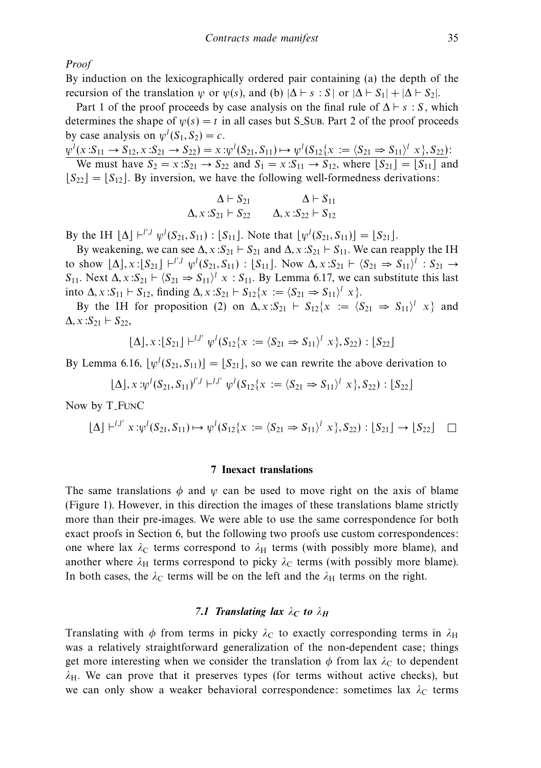Proof

By induction on the lexicographically ordered pair containing (a) the depth of the recursion of the translation *ψ* or  $\psi(s)$ , and (b)  $|\Delta \vdash s : S|$  or  $|\Delta \vdash S_1| + |\Delta \vdash S_2|$ .

Part 1 of the proof proceeds by case analysis on the final rule of  $\Delta \vdash s : S$ , which determines the shape of  $\psi(s) = t$  in all cases but S<sub>-SUB</sub>. Part 2 of the proof proceeds by case analysis on  $\psi^l(S_1, S_2) = c$ .

 $\psi^l(x: S_{11} \to S_{12}, x: S_{21} \to S_{22}) = x: \psi^l(S_{21}, S_{11}) \mapsto \psi^l(S_{12}\{x: = \langle S_{21} \Rightarrow S_{11} \rangle^l x\}, S_{22})$ We must have  $S_2 = x: S_{21} \rightarrow S_{22}$  and  $S_1 = x: S_{11} \rightarrow S_{12}$ , where  $[S_{21}] = [S_{11}]$  and

 $|S_{22}| = |S_{12}|$ . By inversion, we have the following well-formedness derivations:

$$
\Delta \vdash S_{21} \qquad \Delta \vdash S_{11} \n\Delta, x : S_{21} \vdash S_{22} \qquad \Delta, x : S_{22} \vdash S_{12}
$$

By the IH  $[\Delta]$   $\vdash^{l',l} \psi^l(S_{21}, S_{11}) : [S_{11}]$ . Note that  $[\psi^l(S_{21}, S_{11})] = [S_{21}]$ .

By weakening, we can see  $\Delta$ ,  $x : S_{21} \vdash S_{21}$  and  $\Delta$ ,  $x : S_{21} \vdash S_{11}$ . We can reapply the IH to show  $[\Delta], x:[S_{21}] \vdash^{l',l} \psi^l(S_{21}, S_{11}) : [S_{11}]$ . Now  $\Delta, x:S_{21} \vdash (S_{21} \Rightarrow S_{11})^l : S_{21} \rightarrow$  $S_{11}$ . Next  $\Delta$ ,  $x: S_{21} \vdash \langle S_{21} \Rightarrow S_{11} \rangle^l$   $x: S_{11}$ . By Lemma 6.17, we can substitute this last into  $\Delta$ ,  $x : S_{11} \vdash S_{12}$ , finding  $\Delta$ ,  $x : S_{21} \vdash S_{12} \{x := \langle S_{21} \Rightarrow S_{11} \rangle^l x\}.$ 

By the IH for proposition (2) on  $\Delta$ ,  $x : S_{21} \vdash S_{12} \{x := \langle S_{21} \Rightarrow S_{11} \rangle^l x\}$  and  $\Delta$ ,  $x : S_{21} \vdash S_{22}$ ,

$$
\lfloor \Delta \rfloor, x : [S_{21}] \vdash^{l,l'} \psi^l(S_{12}\{x := \langle S_{21} \Rightarrow S_{11} \rangle^l x\}, S_{22}) : [S_{22}]
$$

By Lemma 6.16,  $\lfloor \psi^l(S_{21}, S_{11}) \rfloor = \lfloor S_{21} \rfloor$ , so we can rewrite the above derivation to

$$
[\Delta], x : \psi^l(S_{21}, S_{11})^{l', l} \vdash^{l, l'} \psi^l(S_{12}\{x := \langle S_{21} \Rightarrow S_{11} \rangle^l x\}, S_{22}) : [S_{22}]
$$

Now by T FunC

$$
\lfloor \Delta \rfloor +^{l,l'} x : \psi^l(S_{21}, S_{11}) \mapsto \psi^l(S_{12}\{x := \langle S_{21} \Rightarrow S_{11} \rangle^l x \}, S_{22}) : [S_{21}] \to [S_{22}] \quad \square
$$

#### **7 Inexact translations**

The same translations  $\phi$  and  $\psi$  can be used to move right on the axis of blame (Figure 1). However, in this direction the images of these translations blame strictly more than their pre-images. We were able to use the same correspondence for both exact proofs in Section 6, but the following two proofs use custom correspondences: one where lax  $\lambda_C$  terms correspond to  $\lambda_H$  terms (with possibly more blame), and another where  $\lambda_H$  terms correspond to picky  $\lambda_C$  terms (with possibly more blame). In both cases, the  $\lambda_C$  terms will be on the left and the  $\lambda_H$  terms on the right.

# *7.1 Translating lax*  $\lambda_C$  *to*  $\lambda_H$

Translating with  $\phi$  from terms in picky  $\lambda_c$  to exactly corresponding terms in  $\lambda_H$ was a relatively straightforward generalization of the non-dependent case; things get more interesting when we consider the translation  $\phi$  from lax  $\lambda_c$  to dependent  $\lambda_H$ . We can prove that it preserves types (for terms without active checks), but we can only show a weaker behavioral correspondence: sometimes lax  $\lambda_c$  terms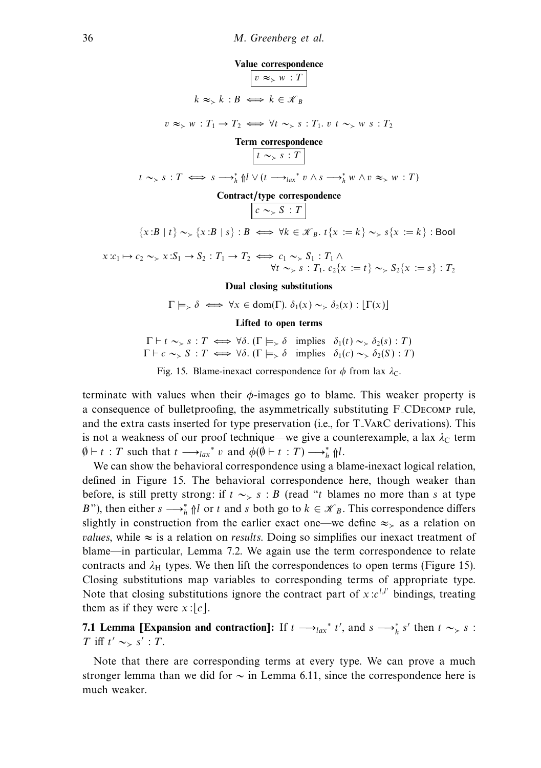

 $v \approx_{\succ} w : T_1 \to T_2 \iff \forall t \sim_{\succ} s : T_1 \text{.} v \quad t \sim_{\succ} w \quad s : T_2$ 

# **Term correspondence**  $\boxed{t \sim_{>} s : T}$  $t \sim_{>} s : T \iff s \longrightarrow_{h}^{*} \mathcal{N} \cup (t \longrightarrow_{lax}^{*} v \land s \longrightarrow_{h}^{*} w \land v \approx_{>} w : T)$ **Contract/type correspondence**

# $c \sim S : T$

 ${x:B | t} \sim {x:B | s} : B \iff \forall k \in \mathcal{K}_B$ .  $t {x := k} \sim s{x := k}$ : Bool

 $x: c_1 \mapsto c_2 \sim_{\succ} x: S_1 \to S_2: T_1 \to T_2 \iff c_1 \sim_{\succ} S_1: T_1 \wedge$  $\forall t \sim_{>} s : T_1 \ldotp c_2\{x := t\} \sim_{>} S_2\{x := s\} : T_2$ 

#### **Dual closing substitutions**

$$
\Gamma \models_{\succ} \delta \iff \forall x \in \text{dom}(\Gamma). \ \delta_1(x) \sim_{\succ} \delta_2(x) : [\Gamma(x)]
$$

# **Lifted to open terms**

 $\Gamma \vdash t \sim_{\succ} s : T \iff \forall \delta.$  ( $\Gamma \models_{\succ} \delta$  implies  $\delta_1(t) \sim_{\succ} \delta_2(s) : T$ )  $\Gamma \vdash c \sim_{\succ} S : T \iff \forall \delta. (\Gamma \models_{\succ} \delta \text{ implies } \delta_1(c) \sim_{\succ} \delta_2(S) : T)$ 

Fig. 15. Blame-inexact correspondence for  $\phi$  from lax  $\lambda_c$ .

terminate with values when their  $\phi$ -images go to blame. This weaker property is a consequence of bulletproofing, the asymmetrically substituting F CDecomp rule, and the extra casts inserted for type preservation (i.e., for T VarC derivations). This is not a weakness of our proof technique—we give a counterexample, a lax  $\lambda_c$  term  $\emptyset \vdash t : T$  such that  $t \longrightarrow_{lax}^* v$  and  $\phi(\emptyset \vdash t : T) \longrightarrow_h^* \{l\}.$ 

We can show the behavioral correspondence using a blame-inexact logical relation. defined in Figure 15. The behavioral correspondence here, though weaker than before, is still pretty strong: if  $t \sim > s : B$  (read "t blames no more than s at type B"), then either  $s \rightarrow h \nvert h$  or t and s both go to  $k \in \mathcal{K}_B$ . This correspondence differs slightly in construction from the earlier exact one—we define  $\approx_{\ge}$  as a relation on *values*, while  $\approx$  is a relation on *results*. Doing so simplifies our inexact treatment of blame—in particular, Lemma 7.2. We again use the term correspondence to relate contracts and  $\lambda_H$  types. We then lift the correspondences to open terms (Figure 15). Closing substitutions map variables to corresponding terms of appropriate type. Note that closing substitutions ignore the contract part of  $x : c^{l,l'}$  bindings, treating them as if they were  $x:|c|$ .

**7.1 Lemma [Expansion and contraction]:** If  $t \rightarrow_{lax}^* t'$ , and  $s \rightarrow_{h}^* s'$  then  $t \sim_{>} s$ : T iff  $t' \sim_s s'$  : T.

Note that there are corresponding terms at every type. We can prove a much stronger lemma than we did for  $\sim$  in Lemma 6.11, since the correspondence here is much weaker.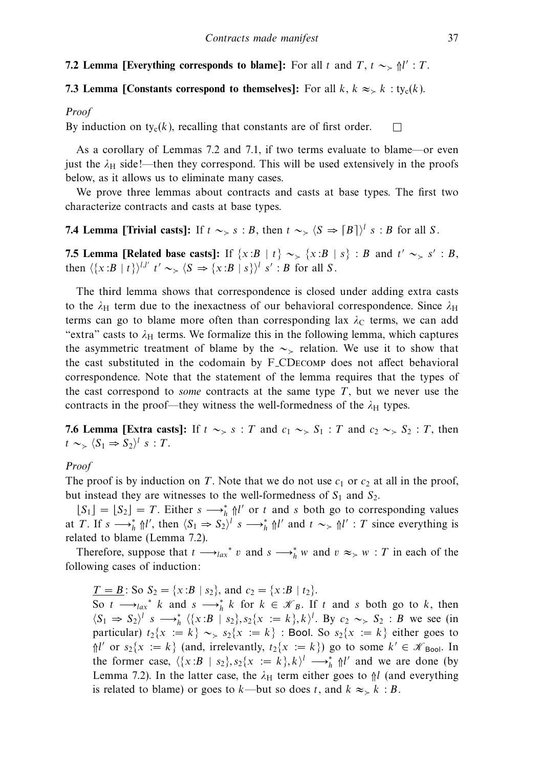# **7.2 Lemma [Everything corresponds to blame]:** For all t and T,  $t \sim_{\ge} \frac{1}{2}$  : T.

# **7.3 Lemma [Constants correspond to themselves]:** For all  $k$ ,  $k \approx k$  : ty<sub>c</sub>(k).

#### Proof

By induction on ty<sub>c</sub> $(k)$ , recalling that constants are of first order.  $\square$ 

As a corollary of Lemmas 7.2 and 7.1, if two terms evaluate to blame—or even just the  $\lambda_H$  side!—then they correspond. This will be used extensively in the proofs below, as it allows us to eliminate many cases.

We prove three lemmas about contracts and casts at base types. The first two characterize contracts and casts at base types.

# **7.4 Lemma [Trivial casts]:** If  $t \sim_{>} s : B$ , then  $t \sim_{>} \langle S \Rightarrow [B] \rangle^{l} s : B$  for all S.

**7.5 Lemma [Related base casts]:** If  $\{x:B | t\} \sim_{>} \{x:B | s\} : B$  and  $t' \sim_{>} s' : B$ , then  $\langle \{x : B | t\} \rangle^{l,l'}$   $t' \sim_{\succ} \langle S \Rightarrow \{x : B | s\} \rangle^{l}$  s' : B for all S.

The third lemma shows that correspondence is closed under adding extra casts to the  $\lambda$ <sub>H</sub> term due to the inexactness of our behavioral correspondence. Since  $\lambda$ <sub>H</sub> terms can go to blame more often than corresponding lax  $\lambda_c$  terms, we can add "extra" casts to  $\lambda_H$  terms. We formalize this in the following lemma, which captures the asymmetric treatment of blame by the  $\sim$  relation. We use it to show that the cast substituted in the codomain by F CDecomp does not affect behavioral correspondence. Note that the statement of the lemma requires that the types of the cast correspond to *some* contracts at the same type  $T$ , but we never use the contracts in the proof—they witness the well-formedness of the  $\lambda_H$  types.

**7.6 Lemma [Extra casts]:** If  $t \sim S$  s : T and  $c_1 \sim S_1$  : T and  $c_2 \sim S_2$  : T, then  $t \sim_{>} \langle S_1 \Rightarrow S_2 \rangle^l \; s : T.$ 

# Proof

The proof is by induction on T. Note that we do not use  $c_1$  or  $c_2$  at all in the proof, but instead they are witnesses to the well-formedness of  $S_1$  and  $S_2$ .

 $[S_1] = [S_2] = T$ . Either  $s \longrightarrow_h^* \mathcal{M}'$  or t and s both go to corresponding values at T. If  $s \longrightarrow_h^* \mathcal{H}'$ , then  $\langle S_1 \Rightarrow S_2 \rangle^l$   $s \longrightarrow_h^* \mathcal{H}'$  and  $t \sim_\gt \mathcal{H}'$  : T since everything is related to blame (Lemma 7.2).

Therefore, suppose that  $t \rightarrow_{lax}^* v$  and  $s \rightarrow_{\hat{h}}^* w$  and  $v \approx_{> w} t$  : T in each of the following cases of induction:

 $\underline{T} = \underline{B}$ : So  $S_2 = \{x : B | s_2\}$ , and  $c_2 = \{x : B | t_2\}$ .

So  $t \longrightarrow_{lax}^* k$  and  $s \longrightarrow_{h}^* k$  for  $k \in \mathcal{K}_B$ . If t and s both go to k, then  $\langle S_1 \Rightarrow S_2 \rangle^l$  s  $\longrightarrow_h^*$   $\langle \{x : B | s_2\}, s_2 \{x := k\}, k \rangle^l$ . By  $c_2 \sim_S S_2 : B$  we see (in particular)  $t_2\{x := k\} \sim_{\geq} s_2\{x := k\}$ : Bool. So  $s_2\{x := k\}$  either goes to  $\mathcal{M}'$  or  $s_2\{x := k\}$  (and, irrelevantly,  $t_2\{x := k\}$ ) go to some  $k' \in \mathcal{K}_{\text{Bool}}$ . In the former case,  $\langle \{x : B | s_2\}, s_2\{x := k\}, k \rangle^l \longrightarrow_h^* \mathcal{M}'$  and we are done (by Lemma 7.2). In the latter case, the  $\lambda_H$  term either goes to  $\frac{1}{1}$  (and everything is related to blame) or goes to k—but so does t, and  $k \approx k : B$ .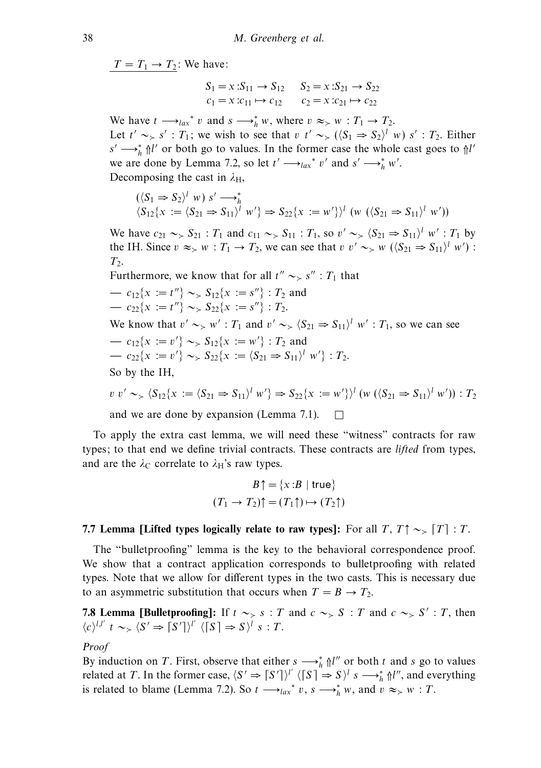$T = T_1 \rightarrow T_2$ : We have:

$$
S_1 = x : S_{11} \to S_{12} \t S_2 = x : S_{21} \to S_{22}
$$
  

$$
c_1 = x : c_{11} \mapsto c_{12} \t c_2 = x : c_{21} \mapsto c_{22}
$$

We have  $t \longrightarrow_{lax}^* v$  and  $s \longrightarrow_h^* w$ , where  $v \approx_{> w} : T_1 \rightarrow T_2$ . Let  $t' \sim_{>} s'$ :  $T_1$ ; we wish to see that v  $t' \sim_{>} (\langle S_1 \Rightarrow S_2 \rangle^l w) s'$ :  $T_2$ . Either  $s' \rightarrow_h^* \mathbb{N}'$  or both go to values. In the former case the whole cast goes to  $\mathbb{N}'$ we are done by Lemma 7.2, so let  $t' \rightarrow t_{\alpha x}^* v'$  and  $s' \rightarrow \tau_h^* w'$ . Decomposing the cast in  $\lambda_{\rm H}$ ,

$$
(\langle S_1 \Rightarrow S_2 \rangle^l w) s' \longrightarrow_h^*
$$
  

$$
\langle S_{12} \{x := \langle S_{21} \Rightarrow S_{11} \rangle^l w' \} \Rightarrow S_{22} \{x := w' \} \rangle^l (w (\langle S_{21} \Rightarrow S_{11} \rangle^l w'))
$$

We have  $c_{21} \sim S_{21}$ :  $T_1$  and  $c_{11} \sim S_{11}$ :  $T_1$ , so  $v' \sim S_{21} \Rightarrow S_{11}$ ,  $w'$ :  $T_1$  by the IH. Since  $v \approx_{> w} : T_1 \to T_2$ , we can see that  $v \sim_{> w} ((S_{21} \Rightarrow S_{11})^l w')$ :  $T<sub>2</sub>$ .

Furthermore, we know that for all  $t'' \sim S'' : T_1$  that — c<sub>12</sub>{ $x := t''$ } ~ S<sub>12</sub>{ $x := s''$ } : T<sub>2</sub> and —  $c_{22}\{x := t''\} \sim_{\geq} S_{22}\{x := s''\}$  :  $T_2$ . We know that  $v' \sim_{\geq} w' : T_1$  and  $v' \sim_{\geq} \langle S_{21} \Rightarrow S_{11} \rangle^l w' : T_1$ , so we can see —  $c_{12}\{x := v'\} \sim S_{12}\{x := w'\}$ : *T*<sub>2</sub> and —  $c_{22}\{x := v'\} \sim S_{22}\{x := \langle S_{21} \Rightarrow S_{11}\rangle^l w'\}$ : T<sub>2</sub>. So by the IH,

$$
v \, v' \sim_{\geq} \langle S_{12} \{ x := \langle S_{21} \Rightarrow S_{11} \rangle^l \, w' \} \Rightarrow S_{22} \{ x := w' \} \rangle^l \, (w \, (\langle S_{21} \Rightarrow S_{11} \rangle^l \, w')) : T_2
$$

and we are done by expansion (Lemma 7.1).  $\Box$ 

To apply the extra cast lemma, we will need these "witness" contracts for raw types; to that end we define trivial contracts. These contracts are *lifted* from types, and are the  $\lambda_C$  correlate to  $\lambda_H$ 's raw types.

$$
B \uparrow = \{x : B \mid \text{true}\}
$$

$$
(T_1 \rightarrow T_2) \uparrow = (T_1 \uparrow) \mapsto (T_2 \uparrow)
$$

# **7.7 Lemma [Lifted types logically relate to raw types]:** For all  $T, T \uparrow \sim_{\gt} [T] : T$ .

The "bulletproofing" lemma is the key to the behavioral correspondence proof. We show that a contract application corresponds to bulletproofing with related types. Note that we allow for different types in the two casts. This is necessary due to an asymmetric substitution that occurs when  $T = B \rightarrow T_2$ .

**7.8 Lemma [Bulletproofing]:** If  $t \sim s : T$  and  $c \sim s S : T$  and  $c \sim s S' : T$ , then  $\langle c \rangle^{l,l'}$  t ~>  $\langle S' \Rightarrow \lceil S' \rceil \rangle^{l'}$   $\langle \lceil S \rceil \Rightarrow S \rangle^{l}$  s : T.

# Proof

By induction on T. First, observe that either  $s \rightarrow \hat{h} \parallel''$  or both t and s go to values related at T. In the former case,  $\langle S' \Rightarrow [S'] \rangle^{l'} \langle [S] \Rightarrow S \rangle^{l} s \longrightarrow_{h}^{*} \Uparrow^{l'}$ , and everything is related to blame (Lemma 7.2). So  $t \rightarrow_{lax}^* v$ ,  $s \rightarrow_{l}^* w$ , and  $v \approx_{>} w : T$ .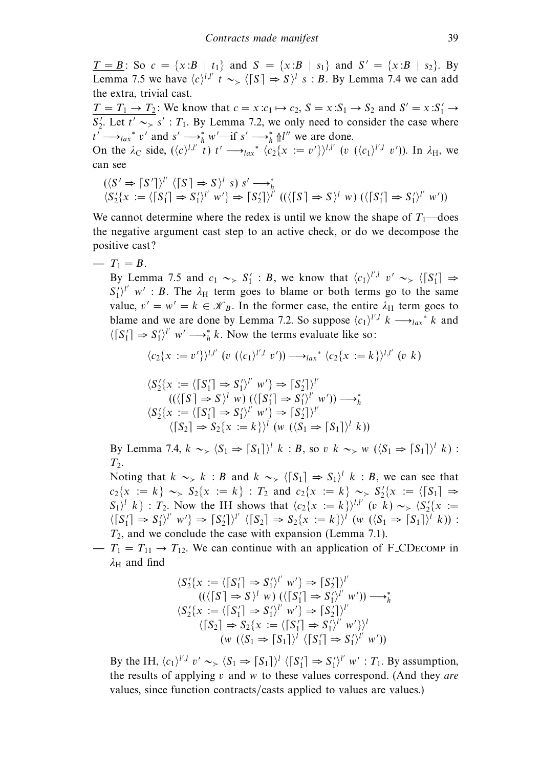$T = B$ : So  $c = \{x : B | t_1\}$  and  $S = \{x : B | s_1\}$  and  $S' = \{x : B | s_2\}$ . By Lemma 7.5 we have  $\langle c \rangle^{l,l'}$  t ~>  $\langle [S] \Rightarrow S \rangle^{l}$  s : B. By Lemma 7.4 we can add the extra, trivial cast.

 $T = T_1 \rightarrow T_2$ : We know that  $c = x : c_1 \mapsto c_2$ ,  $S = x : S_1 \rightarrow S_2$  and  $S' = x : S'_1 \rightarrow$  $S'_2$ . Let  $t' \sim S'$ :  $T_1$ . By Lemma 7.2, we only need to consider the case where  $t' \longrightarrow_{lax}^* v'$  and  $s' \longrightarrow_h^* w'$ —if  $s' \longrightarrow_h^* \mathcal{M}''$  we are done.

On the  $\lambda_c$  side,  $({\langle c \rangle}^{l,l'} t) t' \longrightarrow_{lax}^* {\langle c_2(x := v') \rangle}^{l,l'}$  (v  $({\langle c_1 \rangle}^{l',l} v')$ ). In  $\lambda_H$ , we can see

$$
(\langle S' \Rightarrow \lceil S' \rceil \rangle^{l'} \langle \lceil S \rceil \Rightarrow S \rangle^{l} s) s' \longrightarrow_h^*
$$
  

$$
\langle S_2' \{x := \langle \lceil S_1' \rceil \Rightarrow S_1' \rangle^{l'} w' \} \Rightarrow \lceil S_2' \rceil \rangle^{l'} ((\langle \lceil S \rceil \Rightarrow S \rangle^{l} w) (\langle \lceil S_1' \rceil \Rightarrow S_1' \rangle^{l'} w'))
$$

We cannot determine where the redex is until we know the shape of  $T_1$ —does the negative argument cast step to an active check, or do we decompose the positive cast?

 $- T_1 = B$ .

By Lemma 7.5 and  $c_1 \sim S_1' : B$ , we know that  $\langle c_1 \rangle^{l',l} v' \sim_S \langle [S_1'] \Rightarrow$  $S_1^{\prime}\rangle^{\prime\prime}$  w': B. The  $\lambda_H$  term goes to blame or both terms go to the same value,  $v' = w' = k \in \mathcal{K}_B$ . In the former case, the entire  $\lambda_H$  term goes to blame and we are done by Lemma 7.2. So suppose  $\langle c_1 \rangle^{l',l}$   $k \longrightarrow_{lax}^{\infty} k$  and  $\langle [S_1'] \Rightarrow S_1' \rangle^{\mu}$  w'  $\longrightarrow_h^* k$ . Now the terms evaluate like so:

$$
\langle c_2\{x := v'\}\rangle^{l,l'} \ (v \ (\langle c_1\rangle^{l',l} \ v')\big) \longrightarrow_{lax}^* \langle c_2\{x := k\}\rangle^{l,l'} \ (v \ k)
$$

$$
\langle S_2'\{x := \langle [S_1'] \Rightarrow S_1'\rangle^V w'\} \Rightarrow [S_2']\rangle^V
$$
  
\n
$$
((\langle [S] \Rightarrow S\rangle^l w) (\langle [S_1'] \Rightarrow S_1'\rangle^V w') ) \longrightarrow_h^*
$$
  
\n
$$
\langle S_2'\{x := \langle [S_1'] \Rightarrow S_1'\rangle^V w'\} \Rightarrow [S_2']\rangle^V
$$
  
\n
$$
\langle [S_2] \Rightarrow S_2\{x := k\}\rangle^l (w (\langle S_1 \Rightarrow [S_1]\rangle^l k))
$$

By Lemma 7.4,  $k \sim_{>} \langle S_1 \Rightarrow [S_1] \rangle^l k : B$ , so v  $k \sim_{>} w ((S_1 \Rightarrow [S_1])^l k)$ :  $T<sub>2</sub>$ .

Noting that  $k \sim_{>} k : B$  and  $k \sim_{>} \langle [S_1] \Rightarrow S_1 \rangle^l k : B$ , we can see that  $c_2\{x := k\} \sim S_2\{x := k\}$ :  $T_2$  and  $c_2\{x := k\} \sim S_2'\{x := \sqrt{S_1}\} \Rightarrow$  $S_1$ <sup>l</sup> k } :  $T_2$ . Now the IH shows that  $\langle c_2\{x := k\}\rangle^{l,l'}$  (v k) ~>  $\langle S_2'\{x := k\}\rangle^{l'}$  $\langle [S_1'] \Rightarrow S_1'\rangle^{l'}$   $w'\rangle \Rightarrow [S_2']\rangle^{l'}$   $\langle [S_2] \Rightarrow S_2\{x := k\}\rangle^{l}$   $(w \ (\langle S_1 \Rightarrow [S_1] \rangle^{l} k))$ :  $T_2$ , and we conclude the case with expansion (Lemma 7.1).

 $- T_1 = T_{11} \rightarrow T_{12}$ . We can continue with an application of F\_CD<sub>ECOMP</sub> in *λ*<sup>H</sup> and find

$$
\langle S_2'\{x := \langle \lceil S_1' \rceil \Rightarrow S_1'\rangle^l \ w'\} \Rightarrow \lceil S_2'\rceil \}^{l'} \n((\langle \lceil S \rceil \Rightarrow S \rangle^l \ w) (\langle \lceil S_1' \rceil \Rightarrow S_1'\rangle^l \ w') ) \longrightarrow_h^* \n\langle S_2'\{x := \langle \lceil S_1' \rceil \Rightarrow S_1'\rangle^l \ w'\} \Rightarrow \lceil S_2'\rceil \}^{l'} \n(\lceil S_2 \rceil \Rightarrow S_2\{x := \langle \lceil S_1' \rceil \Rightarrow S_1'\rangle^l \ w'\} \}^{l'} \n(w (\langle S_1 \Rightarrow \lceil S_1 \rceil \rangle^l \langle \lceil S_1' \rceil \Rightarrow S_1'\rangle^l \ w'))
$$

By the IH,  $\langle c_1 \rangle^{l',l}$   $v' \sim_{\succ} \langle S_1 \Rightarrow \lceil S_1 \rceil \rangle^l \langle \lceil S_1' \rceil \Rightarrow S_1' \rangle^{l'}$   $w' : T_1$ . By assumption, the results of applying  $v$  and  $w$  to these values correspond. (And they are values, since function contracts/casts applied to values are values.)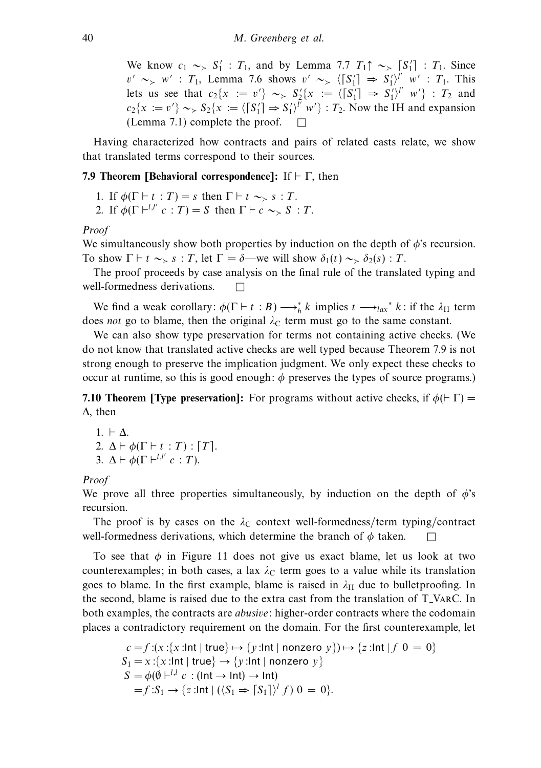We know  $c_1 \sim S_1'$ :  $T_1$ , and by Lemma 7.7  $T_1 \uparrow \sim [S_1']$ :  $T_1$ . Since  $v' \sim_{\geq} w'$ : T<sub>1</sub>, Lemma 7.6 shows  $v' \sim_{\geq} \langle [S_1'] \Rightarrow S_1' \rangle_{\perp}^{l'} w'$ : T<sub>1</sub>. This lets us see that  $c_2\{x := v'\} \sim S_2'\{x := \langle [S_1'] \Rightarrow S_1'\rangle'' \ w'\}$  :  $T_2$  and  $c_2\{x := v'\} \sim S_2\{x := \langle [S_1'] \Rightarrow S_1'\rangle^{l'} w'\} : T_2$ . Now the IH and expansion (Lemma 7.1) complete the proof.  $\Box$ 

Having characterized how contracts and pairs of related casts relate, we show that translated terms correspond to their sources.

# **7.9 Theorem [Behavioral correspondence]:** If  $\vdash \Gamma$ , then

- 1. If  $\phi(\Gamma \vdash t : T) = s$  then  $\Gamma \vdash t \sim_{\succ} s : T$ .
- 2. If  $\phi(\Gamma \vdash^{l,l'} c : T) = S$  then  $\Gamma \vdash c \sim S S : T$ .

#### Proof

We simultaneously show both properties by induction on the depth of  $\phi$ 's recursion. To show  $\Gamma \vdash t \sim_{\succ} s : T$ , let  $\Gamma \models \delta$ —we will show  $\delta_1(t) \sim_{\succ} \delta_2(s) : T$ .

The proof proceeds by case analysis on the final rule of the translated typing and well-formedness derivations.  $\square$ 

We find a weak corollary:  $\phi(\Gamma \vdash t : B) \longrightarrow_h^* k$  implies  $t \longrightarrow_{lax}^* k$ : if the  $\lambda_H$  term does not go to blame, then the original  $\lambda_c$  term must go to the same constant.

We can also show type preservation for terms not containing active checks. (We do not know that translated active checks are well typed because Theorem 7.9 is not strong enough to preserve the implication judgment. We only expect these checks to occur at runtime, so this is good enough:  $\phi$  preserves the types of source programs.)

**7.10 Theorem [Type preservation]:** For programs without active checks, if  $\phi$ ( $\vdash \Gamma$ ) = Δ, then

 $1. \vdash \Delta$ . 2.  $\Delta \vdash \phi(\Gamma \vdash t : T) : [T]$ . 3.  $\Delta \vdash \phi(\Gamma \vdash^{l,l'} c : T)$ .

# Proof

We prove all three properties simultaneously, by induction on the depth of  $\phi$ 's recursion.

The proof is by cases on the  $\lambda_c$  context well-formedness/term typing/contract well-formedness derivations, which determine the branch of  $\phi$  taken.  $\Box$ 

To see that  $\phi$  in Figure 11 does not give us exact blame, let us look at two counterexamples; in both cases, a lax  $\lambda_c$  term goes to a value while its translation goes to blame. In the first example, blame is raised in  $\lambda_H$  due to bulletproofing. In the second, blame is raised due to the extra cast from the translation of T VarC. In both examples, the contracts are *abusive*: higher-order contracts where the codomain places a contradictory requirement on the domain. For the first counterexample, let

$$
c = f:(x:\{x:\text{Int} \mid \text{true}\} \mapsto \{y:\text{Int} \mid \text{nonzero } y\}) \mapsto \{z:\text{Int} \mid f \neq 0\}.
$$
\n
$$
S_1 = x:\{x:\text{Int} \mid \text{true}\} \to \{y:\text{Int} \mid \text{nonzero } y\}
$$
\n
$$
S = \phi(\emptyset \mid \text{-}^{1,l} c: (\text{Int} \to \text{Int}) \to \text{Int})
$$
\n
$$
= f:S_1 \to \{z:\text{Int} \mid ((S_1 \Rightarrow [S_1])^{l} f) \neq 0\} = 0\}.
$$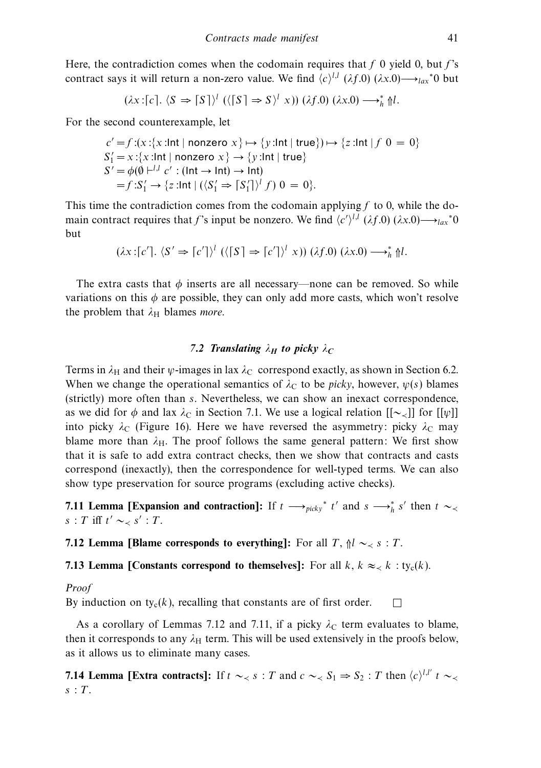Here, the contradiction comes when the codomain requires that f 0 yield 0, but  $f$ 's contract says it will return a non-zero value. We find  $\langle c \rangle^{l,l}$  ( $\lambda f.0$ ) ( $\lambda x.0$ )  $\longrightarrow_{lax}$ <sup>∗</sup>0 but

$$
(\lambda x : [c], \langle S \Rightarrow [S] \rangle^{l} \left( \langle [S] \Rightarrow S \rangle^{l} x \right) \left( \lambda f. 0 \right) (\lambda x. 0) \longrightarrow_{h}^{*} \mathcal{U}.
$$

For the second counterexample, let

$$
c' = f:(x:\{x:\text{Int} \mid \text{nonzero } x\} \mapsto \{y:\text{Int} \mid \text{true}\}) \mapsto \{z:\text{Int} \mid f \neq 0\} = 0\}
$$
  
\n
$$
S'_1 = x:\{x:\text{Int} \mid \text{nonzero } x\} \to \{y:\text{Int} \mid \text{true}\}
$$
  
\n
$$
S' = \phi(\emptyset \mid \text{-}^{l,l} c': (\text{Int} \to \text{Int}) \to \text{Int})
$$
  
\n
$$
= f:S'_1 \to \{z:\text{Int} \mid ((S'_1 \Rightarrow \lceil S'_1 \rceil)^l f) \neq 0\} = 0\}.
$$

This time the contradiction comes from the codomain applying  $f$  to 0, while the domain contract requires that f's input be nonzero. We find  $\langle c' \rangle^{l,l}$  ( $\lambda f.0$ ) ( $\lambda x.0$ ) $\longrightarrow_{lax}$ <sup>∗</sup>0 but

$$
(\lambda x : [c'], \langle S' \Rightarrow [c']\rangle^l \left( \langle [S] \Rightarrow [c']\rangle^l x \right) \left( \lambda f. 0 \right) (\lambda x. 0) \longrightarrow_h^* \mathcal{H}l.
$$

The extra casts that  $\phi$  inserts are all necessary—none can be removed. So while variations on this  $\phi$  are possible, they can only add more casts, which won't resolve the problem that  $\lambda_H$  blames *more*.

# *7.2 Translating*  $\lambda_H$  *to picky*  $\lambda_C$

Terms in  $\lambda_H$  and their  $\psi$ -images in lax  $\lambda_C$  correspond exactly, as shown in Section 6.2. When we change the operational semantics of  $\lambda_c$  to be *picky*, however,  $\psi(s)$  blames (strictly) more often than s. Nevertheless, we can show an inexact correspondence, as we did for  $\phi$  and lax  $\lambda_c$  in Section 7.1. We use a logical relation  $[[\sim_{\prec}]]$  for  $[[\psi]]$ into picky  $\lambda_c$  (Figure 16). Here we have reversed the asymmetry: picky  $\lambda_c$  may blame more than  $\lambda$ <sub>H</sub>. The proof follows the same general pattern: We first show that it is safe to add extra contract checks, then we show that contracts and casts correspond (inexactly), then the correspondence for well-typed terms. We can also show type preservation for source programs (excluding active checks).

**7.11 Lemma [Expansion and contraction]:** If  $t \rightarrow_{picky} t'$  and  $s \rightarrow_{h} s'$  then  $t \sim_{lt}$  $s : T$  iff  $t' \sim_{\prec} s' : T$ .

**7.12 Lemma [Blame corresponds to everything]:** For all T,  $\mathcal{N} \sim S$  is T.

**7.13 Lemma [Constants correspond to themselves]:** For all  $k$ ,  $k \approx k$  : ty<sub>c</sub>(k).

Proof

By induction on  $ty_c(k)$ , recalling that constants are of first order.

As a corollary of Lemmas 7.12 and 7.11, if a picky  $\lambda_c$  term evaluates to blame, then it corresponds to any  $\lambda_H$  term. This will be used extensively in the proofs below, as it allows us to eliminate many cases.

 $\Box$ 

**7.14 Lemma [Extra contracts]:** If  $t \sim S_1$  is  $t \sim S_2$  : T then  $\langle c \rangle^{l,l'}$   $t \sim S_1$  $s$ :  $T$ .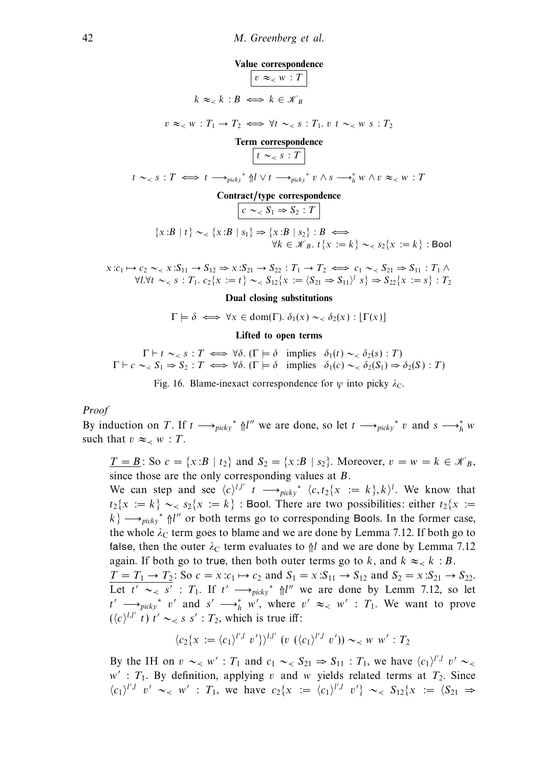**Value correspondence**  $\vert v \approx \langle w : T \rangle$  $k \approx k : B \iff k \in \mathcal{K}_B$ 

 $v \approx_{\leq} w : T_1 \to T_2 \iff \forall t \sim_{\leq} s : T_1, v \in \sim_{\leq} w \ s : T_2$ 

**Term correspondence**  $t \sim \langle s : T \rangle$ t ∼≺ s : T ⇐⇒ t −→*picky*<sup>∗</sup> ⇑l ∨ t −→*picky*<sup>∗</sup> v ∧ s −→∗ *<sup>h</sup>* w ∧ v ≈≺ w : T **Contract/type correspondence**  $c \sim_S S_1 \Rightarrow S_2 : T$  $\{x:B \mid t\} \sim_{\prec} \{x:B \mid s_1\} \Rightarrow \{x:B \mid s_2\} : B \iff$  $\forall k \in \mathscr{K}_B$ .  $t\{x := k\} \sim_{\prec} s_2\{x := k\}$ : Bool

 $x:c_1 \mapsto c_2 \sim_{\prec} x:S_{11} \to S_{12} \Rightarrow x:S_{21} \to S_{22} : T_1 \to T_2 \iff c_1 \sim_{\prec} S_{21} \Rightarrow S_{11} : T_1 \wedge T_2$  $\forall l.\forall t \sim_{\leq} s : T_1 \cdot c_2\{x := t\} \sim_{\leq} S_{12}\{x := \langle S_{21} \Rightarrow S_{11} \rangle \mid s \} \Rightarrow S_{22}\{x := s\} : T_2$ 

#### **Dual closing substitutions**

$$
\Gamma \models \delta \iff \forall x \in \text{dom}(\Gamma). \ \delta_1(x) \sim_{\prec} \delta_2(x) : [\Gamma(x)]
$$

#### **Lifted to open terms**

 $\Gamma \vdash t \sim_{\prec} s : T \iff \forall \delta.$  ( $\Gamma \models \delta$  implies  $\delta_1(t) \sim_{\prec} \delta_2(s) : T$ )  $\Gamma \vdash c \sim S_1 \Rightarrow S_2 : T \iff \forall \delta.$  ( $\Gamma \models \delta$  implies  $\delta_1(c) \sim S_2(S_1) \Rightarrow \delta_2(S) : T$ )

Fig. 16. Blame-inexact correspondence for  $\psi$  into picky  $\lambda_c$ .

#### Proof

By induction on T. If  $t \rightarrow_{picky}^* \mathcal{M}''$  we are done, so let  $t \rightarrow_{picky}^* v$  and  $s \rightarrow_{h}^* w$ such that  $v \approx_{\lt} w : T$ .

 $\underline{T} = \underline{B}$ : So  $c = \{x : B | t_2\}$  and  $S_2 = \{x : B | s_2\}$ . Moreover,  $v = w = k \in \mathcal{K}_B$ , since those are the only corresponding values at  $B$ .

We can step and see  $\langle c \rangle^{l,l'}$   $t \longrightarrow_{picky^*} \langle c, t_2\{x := k\}, k \rangle^l$ . We know that  $t_2\{x := k\} \sim_{\leq} s_2\{x := k\}$ : Bool. There are two possibilities: either  $t_2\{x := k\}$  $k$ }  $\longrightarrow_{\text{pick}}$ <sup>\*</sup>  $\Uparrow l''$  or both terms go to corresponding Bools. In the former case, the whole  $\lambda_c$  term goes to blame and we are done by Lemma 7.12. If both go to false, then the outer  $\lambda_c$  term evaluates to  $\frac{1}{l}$  and we are done by Lemma 7.12 again. If both go to true, then both outer terms go to k, and  $k \approx k : B$ .

 $T = T_1 \rightarrow T_2$ : So  $c = x: c_1 \mapsto c_2$  and  $S_1 = x: S_{11} \rightarrow S_{12}$  and  $S_2 = x: S_{21} \rightarrow S_{22}$ . Let  $t' \sim s'$  :  $T_1$ . If  $t' \longrightarrow_{picky^*} \mathbb{N}^{l''}$  we are done by Lemm 7.12, so let  $t' \longrightarrow_{\text{pick}} t'$  v' and s'  $\longrightarrow_h^* w'$ , where  $v' \approx_{\lt} w'$  :  $T_1$ . We want to prove  $({\langle} c {\rangle}^{l,l'} t) t' \sim_{\prec} s s' : T_2$ , which is true iff:

$$
\langle c_2\{x:=\langle c_1\rangle^{l',l} v'\rangle^{l,l'} (v \ (\langle c_1\rangle^{l',l} v')) \sim_{\prec} w \ w': T_2
$$

By the IH on  $v \sim_{\lt} w'$ :  $T_1$  and  $c_1 \sim_{\lt} S_{21} \Rightarrow S_{11}$ :  $T_1$ , we have  $\langle c_1 \rangle^{l',l} v' \sim_{\lt}$  $w'$ :  $T_1$ . By definition, applying v and w yields related terms at  $T_2$ . Since  $\langle c_1 \rangle^{l',l}$  v' ~< w' : T<sub>1</sub>, we have  $c_2\{x := \langle c_1 \rangle^{l',l}$  v'} ~< S<sub>12</sub>{x :=  $\langle S_{21} \rangle$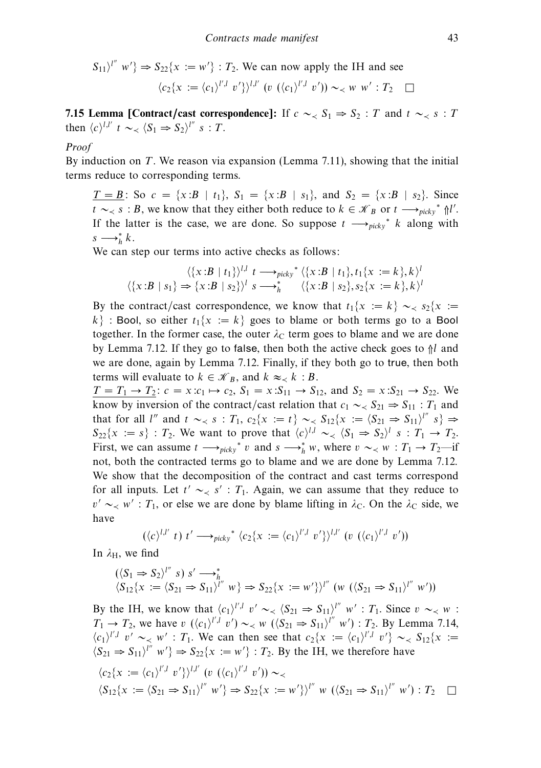$$
S_{11}\rangle^{l''} w' \} \Rightarrow S_{22}\{x := w' \} : T_2. \text{ We can now apply the IH and see}
$$

$$
\langle c_2\{x := \langle c_1 \rangle^{l',l} v'\} \rangle^{l,l'} \ (v \ (\langle c_1 \rangle^{l',l} v')) \sim_{\prec} w \ w' : T_2 \ \Box
$$

**7.15 Lemma [Contract/cast correspondence]:** If  $c \sim S_1 \Rightarrow S_2 : T$  and  $t \sim S_1$  is  $T$ then  $\langle c \rangle^{l,l'}$   $t \sim \langle S_1 \Rightarrow S_2 \rangle^{l''}$   $s : T$ .

#### Proof

By induction on T. We reason via expansion (Lemma 7.11), showing that the initial terms reduce to corresponding terms.

 $T = B$ : So  $c = \{x : B | t_1\}$ ,  $S_1 = \{x : B | s_1\}$ , and  $S_2 = \{x : B | s_2\}$ . Since *t* ∼  $\lt s$  : *B*, we know that they either both reduce to  $k \in \mathcal{K}_B$  or  $t \longrightarrow_{\text{picky}}^* \Uparrow l'.$ If the latter is the case, we are done. So suppose  $t \rightarrow_{picky}^* k$  along with  $s \longrightarrow_h^* k$ .

We can step our terms into active checks as follows:

$$
\langle \{x:B \mid t_1\} \rangle^{l,l} \quad t \longrightarrow_{picky}^* \langle \{x:B \mid t_1\}, t_1\{x := k\}, k \rangle^l
$$

$$
\langle \{x:B \mid s_1\} \Rightarrow \{x:B \mid s_2\} \rangle^l \quad s \longrightarrow_h^* \quad \langle \{x:B \mid s_2\}, s_2\{x := k\}, k \rangle^l
$$

By the contract/cast correspondence, we know that  $t_1\{x := k\} \sim_{\lt} s_2\{x :=$  $k$  : Bool, so either  $t_1\{x := k\}$  goes to blame or both terms go to a Bool together. In the former case, the outer  $\lambda_c$  term goes to blame and we are done by Lemma 7.12. If they go to false, then both the active check goes to  $\frac{1}{1}$  and we are done, again by Lemma 7.12. Finally, if they both go to true, then both terms will evaluate to  $k \in \mathcal{K}_B$ , and  $k \approx \langle k : B$ .

 $T = T_1 \rightarrow T_2$ :  $c = x: c_1 \mapsto c_2$ ,  $S_1 = x: S_{11} \rightarrow S_{12}$ , and  $S_2 = x: S_{21} \rightarrow S_{22}$ . We know by inversion of the contract/cast relation that  $c_1 \sim S_{21} \Rightarrow S_{11} : T_1$  and that for all l" and  $t \sim_S s : T_1, c_2\{x := t\} \sim_S S_{12}\{x := \langle S_{21} \Rightarrow S_{11}\rangle^{l''} s\} \Rightarrow$  $S_{22}\{x := s\}$ :  $T_2$ . We want to prove that  $\langle c \rangle^{l,l} \sim \langle S_1 \Rightarrow S_2 \rangle^l$  s:  $T_1 \rightarrow T_2$ . First, we can assume  $t \longrightarrow_{picky}^* v$  and  $s \longrightarrow_h^* w$ , where  $v \sim_{\prec} w : T_1 \rightarrow T_2$ —if not, both the contracted terms go to blame and we are done by Lemma 7.12. We show that the decomposition of the contract and cast terms correspond for all inputs. Let  $t' \sim \langle s' : T_1$ . Again, we can assume that they reduce to  $v' \sim_{\leq} w' : T_1$ , or else we are done by blame lifting in  $\lambda_c$ . On the  $\lambda_c$  side, we have

$$
(\langle c \rangle^{l,l'}\ t)\ t' \longrightarrow_{\text{picky}}^* \langle c_2\{x := \langle c_1 \rangle^{l',l}\ v'\}^{\setminus l,l'}\ (v\ (\langle c_1 \rangle^{l',l}\ v'))
$$

In  $\lambda_H$ , we find

$$
(\langle S_1 \Rightarrow S_2 \rangle^{l''} s) s' \longrightarrow_h^*
$$
  

$$
\langle S_{12} \{x := \langle S_{21} \Rightarrow S_{11} \rangle^{l''} w \} \Rightarrow S_{22} \{x := w' \} \rangle^{l''} (w \ (\langle S_{21} \Rightarrow S_{11} \rangle^{l''} w'))
$$

By the IH, we know that  $\langle c_1 \rangle^{l',l}$  v'  $\sim \langle S_{21} \Rightarrow S_{11} \rangle^{l''}$  w' :  $T_1$ . Since  $v \sim \langle w \rangle$  :  $T_1 \rightarrow T_2$ , we have v  $(\langle c_1 \rangle^{l',l} v') \sim \langle w \rangle (\langle S_{21} \Rightarrow S_{11} \rangle^{l''} w') : T_2$ . By Lemma 7.14,  $\langle c_1 \rangle^{l',l}$  v' ~< w' : T<sub>1</sub>. We can then see that  $c_2\{x := \langle c_1 \rangle^{l',l}$  v'} ~  $\langle s_1 \rangle^{l'}$  :=  $\langle S_{21} \Rightarrow S_{11} \rangle^{l''}$  w'}  $\Rightarrow S_{22}\{x := w'\}$ :  $T_2$ . By the IH, we therefore have  $\langle c_2\{x := \langle c_1 \rangle^{l',l} v'\}\rangle^{l,l'}$  (v ( $\langle c_1 \rangle^{l',l} v'$ )) ∼<  $\langle S_{12}\{x := \langle S_{21} \Rightarrow S_{11}\rangle^{l''} \ w'\} \Rightarrow S_{22}\{x := w'\}\rangle^{l''} w (\langle S_{21} \Rightarrow S_{11}\rangle^{l''} w') : T_2 \quad \Box$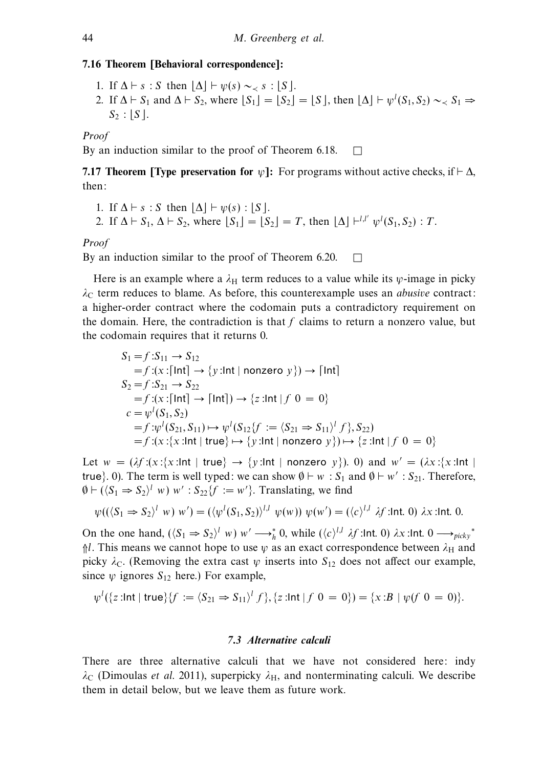# **7.16 Theorem [Behavioral correspondence]:**

- 1. If  $\Delta \vdash s : S$  then  $\Delta \vdash \psi(s) \sim_{\prec} s : S$ .
- 2. If  $\Delta \vdash S_1$  and  $\Delta \vdash S_2$ , where  $[S_1] = [S_2] = [S]$ , then  $[\Delta] \vdash \psi^l(S_1, S_2) \sim S_1 \Rightarrow$  $S_2$ :  $|S|$ .

Proof

By an induction similar to the proof of Theorem 6.18.  $\Box$ 

**7.17 Theorem [Type preservation for**  $\psi$ **]:** For programs without active checks, if  $\vdash \Delta$ , then:

\n- 1. If 
$$
\Delta \vdash s : S
$$
 then  $[\Delta] \vdash \psi(s) : [S]$ .
\n- 2. If  $\Delta \vdash S_1$ ,  $\Delta \vdash S_2$ , where  $[S_1] = [S_2] = T$ , then  $[\Delta] \vdash^{l,l'} \psi^l(S_1, S_2) : T$ .
\n

## Proof

By an induction similar to the proof of Theorem 6.20.  $\Box$ 

Here is an example where a  $\lambda_H$  term reduces to a value while its  $\psi$ -image in picky  $λ<sub>C</sub>$  term reduces to blame. As before, this counterexample uses an *abusive* contract: a higher-order contract where the codomain puts a contradictory requirement on the domain. Here, the contradiction is that  $f$  claims to return a nonzero value, but the codomain requires that it returns 0.

$$
S_1 = f: S_{11} \to S_{12}
$$
  
=  $f: (x : [\text{Int}] \to \{y : \text{Int} \mid \text{nonzero } y\}) \to [\text{Int}]$   

$$
S_2 = f: S_{21} \to S_{22}
$$
  
=  $f: (x : [\text{Int}] \to [\text{Int}] \to \{z : \text{Int} \mid f \neq 0\} \to 0\}$   
 $c = \psi^l(S_1, S_2)$   
=  $f: \psi^l(S_{21}, S_{11}) \mapsto \psi^l(S_{12}\{f := \langle S_{21} \Rightarrow S_{11} \rangle^l f \}, S_{22})$   
=  $f: (x : \{x : \text{Int} \mid \text{true}\} \mapsto \{y : \text{Int} \mid \text{nonzero } y\}) \mapsto \{z : \text{Int} \mid f \neq 0\} \to 0\}$ 

Let  $w = (\lambda f:(x;\{x:\ln t \mid true\}) \rightarrow \{y:\ln t \mid nonzero \ y\})$ *.* 0) and  $w' = (\lambda x:\{x:\ln t \mid true\})$ true}. 0). The term is well typed: we can show  $\emptyset \vdash w : S_1$  and  $\emptyset \vdash w' : S_{21}$ . Therefore,  $\emptyset \vdash (\langle S_1 \Rightarrow S_2 \rangle^l w) w' : S_{22} \{f := w'\}.$  Translating, we find

$$
\psi((\langle S_1 \Rightarrow S_2 \rangle^l w) w') = (\langle \psi^l(S_1, S_2) \rangle^{l,l} \psi(w)) \psi(w') = (\langle c \rangle^{l,l} \lambda f : \text{Int. 0}) \lambda x : \text{Int. 0}.
$$

On the one hand,  $(\langle S_1 \Rightarrow S_2 \rangle^l w) w' \longrightarrow_h^* 0$ , while  $(\langle c \rangle^{l,l} \lambda f$ :Int. 0)  $\lambda x$ :Int. 0  $\longrightarrow_{picky^*}$  $\frac{\hbar}{\hbar}$ . This means we cannot hope to use  $\psi$  as an exact correspondence between  $\lambda_H$  and picky  $\lambda_c$ . (Removing the extra cast *ψ* inserts into  $S_{12}$  does not affect our example, since  $\psi$  ignores  $S_{12}$  here.) For example,

$$
\psi^l(\{z:\text{Int} \mid \text{true}\}\{f := \langle S_{21} \Rightarrow S_{11} \rangle^l f\}, \{z:\text{Int} \mid f \neq 0 = 0\}) = \{x:\text{B} \mid \psi(f \neq 0 = 0)\}.
$$

## *7.3 Alternative calculi*

There are three alternative calculi that we have not considered here: indy  $\lambda_C$  (Dimoulas *et al.* 2011), superpicky  $\lambda_H$ , and nonterminating calculi. We describe them in detail below, but we leave them as future work.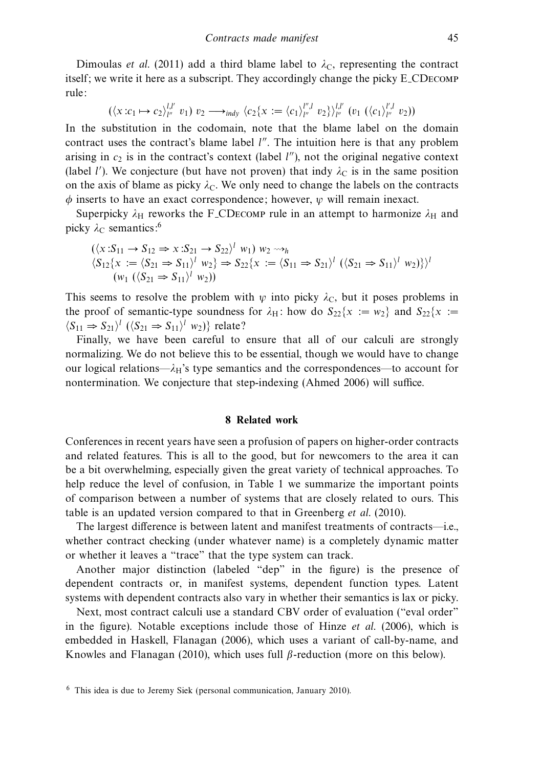Dimoulas et al. (2011) add a third blame label to  $\lambda_c$ , representing the contract itself; we write it here as a subscript. They accordingly change the picky E CDecomp rule:

$$
(\langle x: c_1 \mapsto c_2 \rangle_{l''}^{l,l'} v_1) v_2 \longrightarrow_{indy} \langle c_2 \{x := \langle c_1 \rangle_{l''}^{l'',l} v_2 \} \rangle_{l''}^{l,l'} (v_1 \; (\langle c_1 \rangle_{l''}^{l',l} v_2))
$$

In the substitution in the codomain, note that the blame label on the domain contract uses the contract's blame label  $l''$ . The intuition here is that any problem arising in  $c_2$  is in the contract's context (label  $l''$ ), not the original negative context (label *l'*). We conjecture (but have not proven) that indy  $\lambda_C$  is in the same position on the axis of blame as picky  $\lambda_c$ . We only need to change the labels on the contracts *φ* inserts to have an exact correspondence; however, *ψ* will remain inexact.

Superpicky  $\lambda_H$  reworks the F<sub>-CDECOMP</sub> rule in an attempt to harmonize  $\lambda_H$  and picky  $\lambda_c$  semantics:<sup>6</sup>

$$
(\langle x: S_{11} \to S_{12} \Rightarrow x: S_{21} \to S_{22} \rangle^l w_1) w_2 \leadsto_h
$$
  
\n
$$
\langle S_{12} \{x := \langle S_{21} \Rightarrow S_{11} \rangle^l w_2 \} \Rightarrow S_{22} \{x := \langle S_{11} \Rightarrow S_{21} \rangle^l (\langle S_{21} \Rightarrow S_{11} \rangle^l w_2) \} \rangle^l
$$
  
\n
$$
(w_1 (\langle S_{21} \Rightarrow S_{11} \rangle^l w_2))
$$

This seems to resolve the problem with  $\psi$  into picky  $\lambda_c$ , but it poses problems in the proof of semantic-type soundness for  $\lambda_H$ : how do  $S_{22}\{x := w_2\}$  and  $S_{22}\{x := w_2\}$  $\langle S_{11} \Rightarrow S_{21} \rangle^l$   $(\langle S_{21} \Rightarrow S_{11} \rangle^l$   $w_2)$ } relate?

Finally, we have been careful to ensure that all of our calculi are strongly normalizing. We do not believe this to be essential, though we would have to change our logical relations— $\lambda$ <sub>H</sub>'s type semantics and the correspondences—to account for nontermination. We conjecture that step-indexing (Ahmed 2006) will suffice.

#### **8 Related work**

Conferences in recent years have seen a profusion of papers on higher-order contracts and related features. This is all to the good, but for newcomers to the area it can be a bit overwhelming, especially given the great variety of technical approaches. To help reduce the level of confusion, in Table 1 we summarize the important points of comparison between a number of systems that are closely related to ours. This table is an updated version compared to that in Greenberg et al. (2010).

The largest difference is between latent and manifest treatments of contracts—i.e., whether contract checking (under whatever name) is a completely dynamic matter or whether it leaves a "trace" that the type system can track.

Another major distinction (labeled "dep" in the figure) is the presence of dependent contracts or, in manifest systems, dependent function types. Latent systems with dependent contracts also vary in whether their semantics is lax or picky.

Next, most contract calculi use a standard CBV order of evaluation ("eval order" in the figure). Notable exceptions include those of Hinze *et al.* (2006), which is embedded in Haskell, Flanagan (2006), which uses a variant of call-by-name, and Knowles and Flanagan (2010), which uses full *β*-reduction (more on this below).

<sup>6</sup> This idea is due to Jeremy Siek (personal communication, January 2010).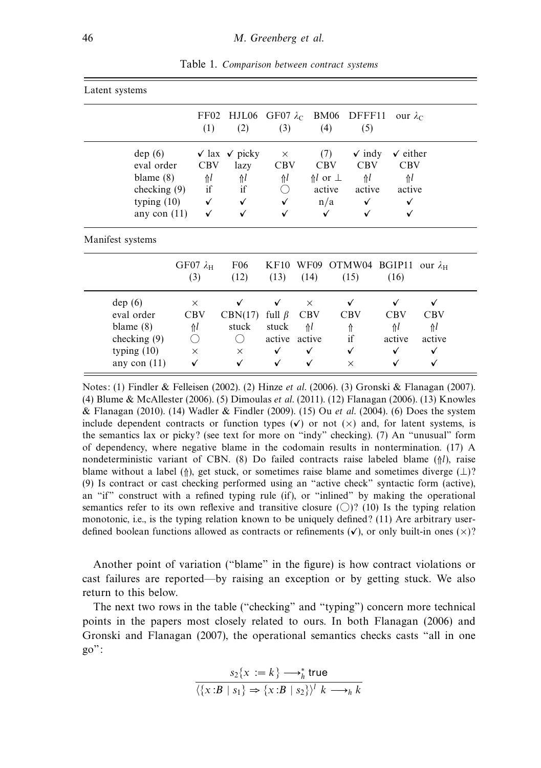| Latent systems |                |              |                                 |                                                |                        |                   |                     |
|----------------|----------------|--------------|---------------------------------|------------------------------------------------|------------------------|-------------------|---------------------|
|                |                | (1)          | (2)                             | FF02 HJL06 GF07 $\lambda_c$ BM06 DFFF11<br>(3) | (4)                    | (5)               | our $\lambda_c$     |
|                | dep(6)         |              | $\sqrt{2}$ lax $\sqrt{2}$ picky | $\times$                                       | (7)                    | $\checkmark$ indy | $\checkmark$ either |
|                | eval order     | <b>CBV</b>   | lazy                            | <b>CBV</b>                                     | <b>CBV</b>             | <b>CBV</b>        | <b>CBV</b>          |
|                | blame $(8)$    | $\Uparrow$   | $\Uparrow$                      | $\Uparrow l$                                   | $\Uparrow l$ or $\bot$ | $\mathcal{N}$     | ⋔                   |
|                | checking $(9)$ | if           | if                              |                                                | active                 | active            | active              |
|                | typing $(10)$  | $\checkmark$ | $\checkmark$                    | $\checkmark$                                   | n/a                    | ✓                 | ✓                   |
|                | any con $(11)$ | ✓            | ✓                               | ✓                                              | ✓                      | ✓                 | ✓                   |

Table 1. Comparison between contract systems

|                | $GF07 \lambda_H$<br>(3) | F <sub>06</sub><br>(12) | (13)         | (14)         | KF10 WF09 OTMW04 BGIP11<br>(15) | (16)   | our $\lambda$ <sub>H</sub> |
|----------------|-------------------------|-------------------------|--------------|--------------|---------------------------------|--------|----------------------------|
| dep(6)         | $\times$                | ✓                       | ✓            | $\times$     | V                               | √      | ✓                          |
| eval order     | CBV                     | CBN(17)                 | full $\beta$ | <b>CBV</b>   | <b>CBV</b>                      | CBV    | <b>CBV</b>                 |
| blame $(8)$    | Λl                      | stuck                   | stuck        | Λl           |                                 | ⋔      | Λl                         |
| checking $(9)$ |                         |                         | active       | active       | if                              | active | active                     |
| typing $(10)$  | $\times$                | X                       | ✓            | $\checkmark$ | ✓                               | ✓      | √                          |
| any con $(11)$ | √                       | ✓                       | ✓            | ✓            | $\times$                        | √      | v                          |

Notes: (1) Findler & Felleisen (2002). (2) Hinze et al. (2006). (3) Gronski & Flanagan (2007). (4) Blume & McAllester (2006). (5) Dimoulas et al. (2011). (12) Flanagan (2006). (13) Knowles & Flanagan (2010). (14) Wadler & Findler (2009). (15) Ou et al. (2004). (6) Does the system include dependent contracts or function types  $(v)$  or not  $(x)$  and, for latent systems, is the semantics lax or picky? (see text for more on "indy" checking). (7) An "unusual" form of dependency, where negative blame in the codomain results in nontermination. (17) A nondeterministic variant of CBN. (8) Do failed contracts raise labeled blame (⇑*l*), raise blame without a label ( $\uparrow$ ), get stuck, or sometimes raise blame and sometimes diverge ( $\perp$ )? (9) Is contract or cast checking performed using an "active check" syntactic form (active), an "if" construct with a refined typing rule (if), or "inlined" by making the operational semantics refer to its own reflexive and transitive closure  $(\bigcirc)$ ? (10) Is the typing relation monotonic, i.e., is the typing relation known to be uniquely defined? (11) Are arbitrary userdefined boolean functions allowed as contracts or refinements  $(v)$ , or only built-in ones  $(x)$ ?

Another point of variation ("blame" in the figure) is how contract violations or cast failures are reported—by raising an exception or by getting stuck. We also return to this below.

The next two rows in the table ("checking" and "typing") concern more technical points in the papers most closely related to ours. In both Flanagan (2006) and Gronski and Flanagan (2007), the operational semantics checks casts "all in one go":

$$
s_2\{x := k\} \longrightarrow_h^* \text{true}
$$

$$
\langle \{x : B \mid s_1\} \Rightarrow \{x : B \mid s_2\} \rangle^l \quad k \longrightarrow_h k
$$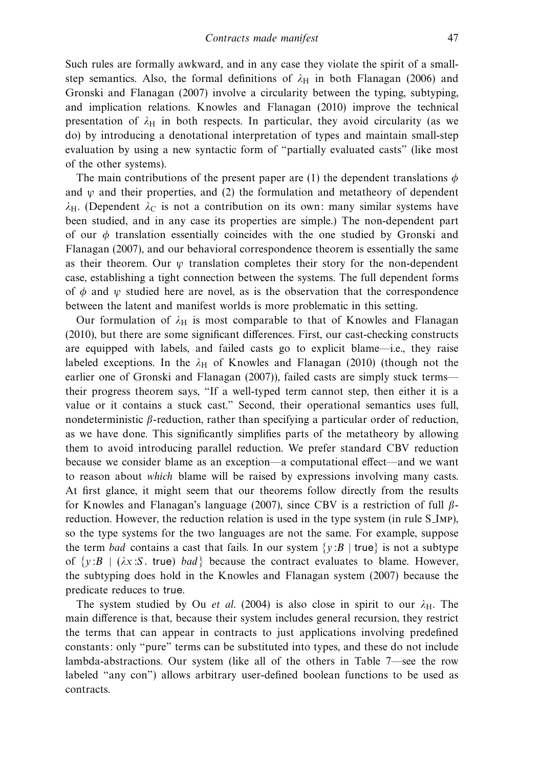Such rules are formally awkward, and in any case they violate the spirit of a smallstep semantics. Also, the formal definitions of  $\lambda_H$  in both Flanagan (2006) and Gronski and Flanagan (2007) involve a circularity between the typing, subtyping, and implication relations. Knowles and Flanagan (2010) improve the technical presentation of  $\lambda_H$  in both respects. In particular, they avoid circularity (as we do) by introducing a denotational interpretation of types and maintain small-step evaluation by using a new syntactic form of "partially evaluated casts" (like most of the other systems).

The main contributions of the present paper are (1) the dependent translations  $\phi$ and  $\psi$  and their properties, and (2) the formulation and metatheory of dependent  $\lambda$ H. (Dependent  $\lambda$ <sub>C</sub> is not a contribution on its own: many similar systems have been studied, and in any case its properties are simple.) The non-dependent part of our *φ* translation essentially coincides with the one studied by Gronski and Flanagan (2007), and our behavioral correspondence theorem is essentially the same as their theorem. Our  $\psi$  translation completes their story for the non-dependent case, establishing a tight connection between the systems. The full dependent forms of  $\phi$  and  $\psi$  studied here are novel, as is the observation that the correspondence between the latent and manifest worlds is more problematic in this setting.

Our formulation of  $\lambda_H$  is most comparable to that of Knowles and Flanagan (2010), but there are some significant differences. First, our cast-checking constructs are equipped with labels, and failed casts go to explicit blame—i.e., they raise labeled exceptions. In the  $\lambda_H$  of Knowles and Flanagan (2010) (though not the earlier one of Gronski and Flanagan (2007)), failed casts are simply stuck terms their progress theorem says, "If a well-typed term cannot step, then either it is a value or it contains a stuck cast." Second, their operational semantics uses full, nondeterministic *β*-reduction, rather than specifying a particular order of reduction, as we have done. This significantly simplifies parts of the metatheory by allowing them to avoid introducing parallel reduction. We prefer standard CBV reduction because we consider blame as an exception—a computational effect—and we want to reason about which blame will be raised by expressions involving many casts. At first glance, it might seem that our theorems follow directly from the results for Knowles and Flanagan's language (2007), since CBV is a restriction of full *β*reduction. However, the reduction relation is used in the type system (in rule S\_IMP), so the type systems for the two languages are not the same. For example, suppose the term bad contains a cast that fails. In our system  $\{y:B \mid true\}$  is not a subtype of  $\{y:B \mid (\lambda x : S, \text{ true}) \text{ bad}\}$  because the contract evaluates to blame. However, the subtyping does hold in the Knowles and Flanagan system (2007) because the predicate reduces to true.

The system studied by Ou *et al.* (2004) is also close in spirit to our  $\lambda_H$ . The main difference is that, because their system includes general recursion, they restrict the terms that can appear in contracts to just applications involving predefined constants: only "pure" terms can be substituted into types, and these do not include lambda-abstractions. Our system (like all of the others in Table 7—see the row labeled "any con") allows arbitrary user-defined boolean functions to be used as contracts.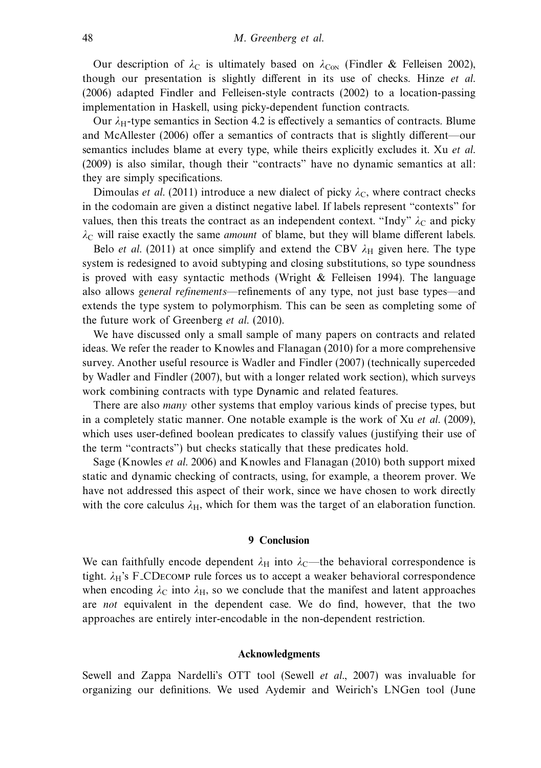Our description of  $\lambda_C$  is ultimately based on  $\lambda_{\text{CON}}$  (Findler & Felleisen 2002), though our presentation is slightly different in its use of checks. Hinze et al. (2006) adapted Findler and Felleisen-style contracts (2002) to a location-passing implementation in Haskell, using picky-dependent function contracts.

Our  $\lambda$ <sub>H</sub>-type semantics in Section 4.2 is effectively a semantics of contracts. Blume and McAllester (2006) offer a semantics of contracts that is slightly different—our semantics includes blame at every type, while theirs explicitly excludes it. Xu *et al.* (2009) is also similar, though their "contracts" have no dynamic semantics at all: they are simply specifications.

Dimoulas *et al.* (2011) introduce a new dialect of picky  $\lambda_c$ , where contract checks in the codomain are given a distinct negative label. If labels represent "contexts" for values, then this treats the contract as an independent context. "Indy"  $\lambda_c$  and picky  $\lambda$ <sub>C</sub> will raise exactly the same *amount* of blame, but they will blame different labels.

Belo *et al.* (2011) at once simplify and extend the CBV  $\lambda_H$  given here. The type system is redesigned to avoid subtyping and closing substitutions, so type soundness is proved with easy syntactic methods (Wright  $\&$  Felleisen 1994). The language also allows general refinements—refinements of any type, not just base types—and extends the type system to polymorphism. This can be seen as completing some of the future work of Greenberg et al. (2010).

We have discussed only a small sample of many papers on contracts and related ideas. We refer the reader to Knowles and Flanagan (2010) for a more comprehensive survey. Another useful resource is Wadler and Findler (2007) (technically superceded by Wadler and Findler (2007), but with a longer related work section), which surveys work combining contracts with type Dynamic and related features.

There are also *many* other systems that employ various kinds of precise types, but in a completely static manner. One notable example is the work of Xu et al. (2009), which uses user-defined boolean predicates to classify values (justifying their use of the term "contracts") but checks statically that these predicates hold.

Sage (Knowles et al. 2006) and Knowles and Flanagan (2010) both support mixed static and dynamic checking of contracts, using, for example, a theorem prover. We have not addressed this aspect of their work, since we have chosen to work directly with the core calculus  $\lambda_{\rm H}$ , which for them was the target of an elaboration function.

# **9 Conclusion**

We can faithfully encode dependent  $\lambda_H$  into  $\lambda_C$ —the behavioral correspondence is tight.  $\lambda_H$ 's F<sub>-C</sub>D<sub>ECOMP</sub> rule forces us to accept a weaker behavioral correspondence when encoding  $\lambda_C$  into  $\lambda_H$ , so we conclude that the manifest and latent approaches are not equivalent in the dependent case. We do find, however, that the two approaches are entirely inter-encodable in the non-dependent restriction.

## **Acknowledgments**

Sewell and Zappa Nardelli's OTT tool (Sewell et al., 2007) was invaluable for organizing our definitions. We used Aydemir and Weirich's LNGen tool (June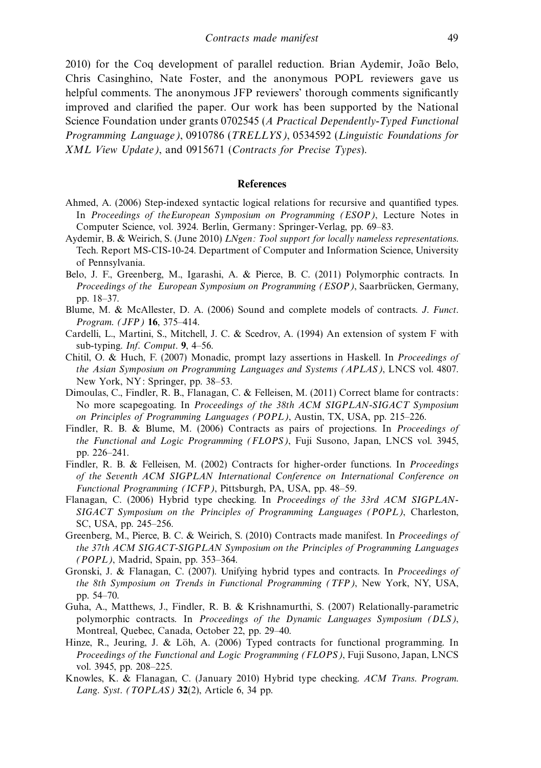2010) for the Coq development of parallel reduction. Brian Aydemir, João Belo, Chris Casinghino, Nate Foster, and the anonymous POPL reviewers gave us helpful comments. The anonymous JFP reviewers' thorough comments significantly improved and clarified the paper. Our work has been supported by the National Science Foundation under grants 0702545 (A Practical Dependently-Typed Functional Programming Language), 0910786 (TRELLYS), 0534592 (Linguistic Foundations for XML View Update), and 0915671 (Contracts for Precise Types).

#### **References**

- Ahmed, A. (2006) Step-indexed syntactic logical relations for recursive and quantified types. In Proceedings of the European Symposium on Programming (ESOP), Lecture Notes in Computer Science, vol. 3924. Berlin, Germany: Springer-Verlag, pp. 69–83.
- Aydemir, B. & Weirich, S. (June 2010) *LNgen: Tool support for locally nameless representations.* Tech. Report MS-CIS-10-24. Department of Computer and Information Science, University of Pennsylvania.
- Belo, J. F., Greenberg, M., Igarashi, A. & Pierce, B. C. (2011) Polymorphic contracts. In Proceedings of the European Symposium on Programming (ESOP), Saarbrücken, Germany, pp. 18–37.
- Blume, M. & McAllester, D. A. (2006) Sound and complete models of contracts. J. Funct. Program. (JFP) **16**, 375–414.
- Cardelli, L., Martini, S., Mitchell, J. C. & Scedrov, A. (1994) An extension of system F with sub-typing. Inf. Comput. **9**, 4–56.
- Chitil, O. & Huch, F. (2007) Monadic, prompt lazy assertions in Haskell. In Proceedings of the Asian Symposium on Programming Languages and Systems (APLAS), LNCS vol. 4807. New York, NY: Springer, pp. 38–53.
- Dimoulas, C., Findler, R. B., Flanagan, C. & Felleisen, M. (2011) Correct blame for contracts: No more scapegoating. In Proceedings of the 38th ACM SIGPLAN-SIGACT Symposium on Principles of Programming Languages (POPL), Austin, TX, USA, pp. 215–226.
- Findler, R. B. & Blume, M. (2006) Contracts as pairs of projections. In *Proceedings of* the Functional and Logic Programming (FLOPS), Fuji Susono, Japan, LNCS vol. 3945, pp. 226–241.
- Findler, R. B. & Felleisen, M. (2002) Contracts for higher-order functions. In Proceedings of the Seventh ACM SIGPLAN International Conference on International Conference on Functional Programming (ICFP), Pittsburgh, PA, USA, pp. 48–59.
- Flanagan, C. (2006) Hybrid type checking. In Proceedings of the 33rd ACM SIGPLAN-SIGACT Symposium on the Principles of Programming Languages (POPL), Charleston, SC, USA, pp. 245–256.
- Greenberg, M., Pierce, B. C. & Weirich, S. (2010) Contracts made manifest. In Proceedings of the 37th ACM SIGACT-SIGPLAN Symposium on the Principles of Programming Languages (POPL), Madrid, Spain, pp. 353–364.
- Gronski, J. & Flanagan, C. (2007). Unifying hybrid types and contracts. In Proceedings of the 8th Symposium on Trends in Functional Programming (TFP), New York, NY, USA, pp. 54–70.
- Guha, A., Matthews, J., Findler, R. B. & Krishnamurthi, S. (2007) Relationally-parametric polymorphic contracts. In Proceedings of the Dynamic Languages Symposium (DLS), Montreal, Quebec, Canada, October 22, pp. 29–40.
- Hinze, R., Jeuring, J. & Löh, A.  $(2006)$  Typed contracts for functional programming. In Proceedings of the Functional and Logic Programming (FLOPS), Fuji Susono, Japan, LNCS vol. 3945, pp. 208–225.
- Knowles, K. & Flanagan, C. (January 2010) Hybrid type checking. ACM Trans. Program. Lang. Syst. (TOPLAS) **32**(2), Article 6, 34 pp.